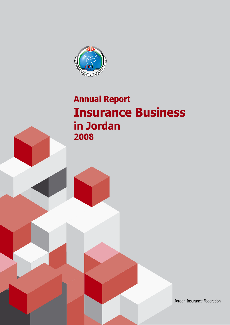

# **Annual Report Insurance Business** in Jordan 2008

Jordan Insurance Federation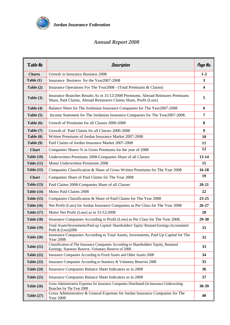

# *Annual Report 2008*

| Table No.         | Description                                                                                                                                          | Page No.                |
|-------------------|------------------------------------------------------------------------------------------------------------------------------------------------------|-------------------------|
| <b>Charts</b>     | Growth in Insurance Business 2008                                                                                                                    | $1 - 2$                 |
| Table $(1)$       | Insurance Business for the Year2007-2008                                                                                                             | 3                       |
| Table $(2)$       | Insurance Operations For The Year2008 - (Total Premiums & Claims)                                                                                    | $\overline{\mathbf{4}}$ |
| Table (3)         | Insurance Branches Results As in 31/12/2008 Premiums, Abroad Reinsures Premiums<br>Share, Paid Claims, Abroad Reinsurers Claims Share, Profit (Loss) | 5                       |
| Table (4)         | Balance Sheet for The Jordanian Insurance Companies for The Year2007-2008                                                                            | 6                       |
| Table $(5)$       | Income Statement for The Jordanian Insurance Companies for The Year2007-2008.                                                                        | $\overline{7}$          |
| Table (6)         | Growth of Premiums for all Classes 2000-2008                                                                                                         | 8                       |
| Table (7)         | Growth of Paid Claims for all Classes 2000-2008                                                                                                      | 9                       |
| Table (8)         | Written Premiums of Jordan Insurance Market 2007-2008                                                                                                | 10                      |
| Table (9)         | Paid Claims of Jordan Insurance Market 2007-2008                                                                                                     | 11                      |
| <b>Chart</b>      | Companies Shares % in Gross Premiums for the year of 2008                                                                                            | 12                      |
| Table $(10)$      | Underwritten Premiums 2008-Companies Share of all Classes                                                                                            | 13-14                   |
| Table $(11)$      | Motor Underwritten Premiums 2008                                                                                                                     | 15                      |
| Table $(12)$      | Companies Classification & Share of Gross Written Premiums for The Year 2008                                                                         | $16 - 18$               |
| <b>Chart</b>      | Companies Share of Paid Claims for The Year 2008                                                                                                     | 19                      |
| Table $(13)$      | Paid Claims 2008-Companies Share of all Classes                                                                                                      | $20 - 21$               |
| Table $(14)$      | Motor Paid Claims 2008                                                                                                                               | 22                      |
| Table $(15)$      | Companies Classification & Share of Paid Claims for The Year 2008                                                                                    | $23 - 25$               |
| Table $(16)$      | Net Profit (Loss) for Jordan Insurance Companies as Per Class for The Year 2008                                                                      | $26 - 27$               |
| Table $(17)$      | Motor Net Profit (Loss) as in 31/12/2008                                                                                                             | 28                      |
| <b>Table (18)</b> | Insurance Companies According to Profit (Loss) as Per Class for The Year 2008.                                                                       | 29-30                   |
| <b>Table (19)</b> | Total Assets/Investments/Paid-up Capital/ Shareholders' Equity/ Retained Earnings (Accumulated<br>Profit $&$ (Loss))2008                             | 31                      |
| Table $(20)$      | Insurance Companies According to Total Assets, Investments, Paid Up Capital for The<br><b>Year 2008</b>                                              | 32                      |
| Table $(21)$      | Classification of The Insurance Companies According to Shareholders' Equity, Retained<br>Earnings, Statutory Reserve, Voluntary Reserve of 2008.     | 33                      |
| Table $(22)$      | Insurance Companies According to Fixed Assets and Other Assets 2008                                                                                  | 34                      |
| Table $(23)$      | Insurance Companies According to Statutory & Voluntary Reserves 2008                                                                                 | 35                      |
| Table $(24)$      | Insurance Companies Balance Sheet Indicators as in 2008                                                                                              | 36                      |
| Table $(25)$      | Insurance Companies Balance Sheet Indicators as in 2008                                                                                              | 37                      |
| Table $(26)$      | Gross Administrative Expenses for Insurance Companies Distributed On Insurance Underwriting<br>Branches for The Year 2008                            | 38-39                   |
| Table $(27)$      | Gross Administrative & General Expenses for Jordan Insurance Companies for The<br><b>Year 2008</b>                                                   | 40                      |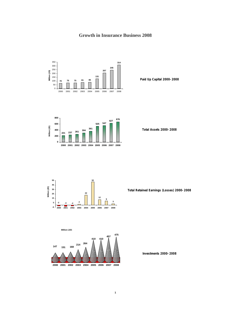# **Growth in Insurance Business 2008**



**Paid Up Capital 2000-2008**



**Total Assets 2000-2008**



**Total Retained Earnings (Losses) 2000-2008**



**2000 2001 2002 2003 2004 2005 2006 2007 2008**

**Investments 2000-2008**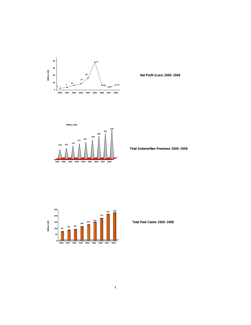

 **Net Profit (Loss) 2000-2008**



 **Total Underwritten Premiums 2000-2008**



 **Total Paid Claims 2000-2008**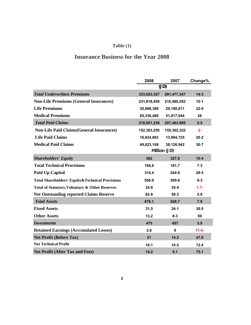# **Table (1)**

# **Insurance Business for the Year 2008**

|                                                   | 2008        | 2007         | Change%  |
|---------------------------------------------------|-------------|--------------|----------|
|                                                   |             | (JD)         |          |
| <b>Total Underwritten Premiums</b>                | 333,023,327 | 291,477,347  | 14.3     |
| <b>Non-Life Premiums (General Insurances)</b>     | 231,818,459 | 210,480,292  | 10.1     |
| <b>Life Premiums</b>                              | 35,868,388  | 29,180,011   | 22.9     |
| <b>Medical Premiums</b>                           | 65,336,480  | 51,817,044   | 26       |
| <b>Total Paid Claims</b>                          | 218,951,239 | 207,483,989  | 5.5      |
| <b>Non-Life Paid Claims (General Insurances)</b>  | 152,303,250 | 155,362,322  | $2 -$    |
| <b>Life Paid Claims</b>                           | 16,824,883  | 13,994,725   | 20.2     |
| <b>Medical Paid Claims</b>                        | 49,823,108  | 38,126,942   | 30.7     |
|                                                   |             | Million (JD) |          |
| <b>Shareholders' Equity</b>                       | 362         | 327,9        | 10.4     |
| <b>Total Technical Provisions</b>                 | 194,9       | 181,7        | 7.3      |
| <b>Paid Up Capital</b>                            | 314,4       | 244.6        | 28.5     |
| Total Shareholders' Equity & Technical Provisions | 556.9       | 509.6        | 9.3      |
| Total of Statutory, Voluntary & Other Reserves    | 34.8        | 35.4         | $1.7 -$  |
| <b>Net Outstanding reported Claims Reserve</b>    | 62.8        | 59.3         | 5.9      |
| <b>Total Assets</b>                               | 676.1       | 626.7        | 7.9      |
| <b>Fixed Assets</b>                               | 31,5        | 24.1         | 30.5     |
| <b>Other Assets</b>                               | 13,2        | 8.3          | 59       |
| <i><b>Investments</b></i>                         | 475         | 457          | 3.9      |
| <b>Retained Earnings (Acccmulated Losses)</b>     | 2.6         | 9            | $71.4 -$ |
| <b>Net Profit (Before Tax)</b>                    | 21          | 14.2         | 47.6     |
| <b>Net Technical Profit</b>                       | 18.1        | 10.5         | 72.4     |
| <b>Net Profit (After Tax and Fees)</b>            | 14,2        | 8.1          | 75.1     |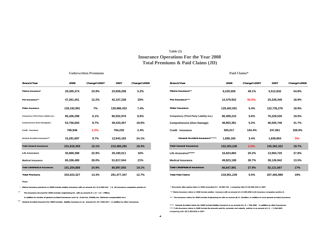### **Insurance Operations For the Year 2008 Total Premiums & Paid Claims (JD) Table (2)**

**Underwritten Premiums**

#### **Paid Claims\* Paid Claims**

| Branch/Year                                    | 2008        | Change%2007 | 2007        | Change%2006 | Branch/Year                              | 2008        | Change%2007 | 2007        | Change%2006 |
|------------------------------------------------|-------------|-------------|-------------|-------------|------------------------------------------|-------------|-------------|-------------|-------------|
| Marine Insurance*                              | 29,305,374  | 23.9%       | 23,659,208  | 5.2%        | Marine Insurance**                       | 8,220,558   | 49.1%       | 5,512,832   | 54.8%       |
| Fire Insurance**                               | 47,261,451  | 12.2%       | 42,107,238  | 20%         | Fire Insurance***                        | 12,479,922  | 50.5%       | 25,228,349  | 18.9%       |
| Motor Insurance                                | 139,192,991 | 7%          | 129,986,433 | 7.4%        | Motor Insurance                          | 129,402,591 | 5.4%        | 122,735,276 | 18.9%       |
| <b>Compulsory (Third Party Liability Ins.)</b> | 85,436,298  | 6.1%        | 80,552,976  | 8.6%        | Compulsory (Third Party Liability Ins.)  | 80,499,210  | 5.6%        | 76,229,530  | 19.5%       |
| Comprehensive (Own Damage)Ins.                 | 53,756,693  | 8.7%        | 49,433,457  | 18.6%       | Comprehensive (Own Damage)               | 48,903,381  | 5.2%        | 46,505,746  | 31.7%       |
| <b>Credit Insurance</b>                        | 766,946     | $2.2% -$    | 784,230     | 2.4%        | Credit Insurance                         | 505,017     | 104.4%      | 247,061     | 168.9%      |
| <b>General Accident Insurance***</b>           | 15,291,697  | 9.7%        | 13,943,183  | 24.1%       | General Accident Insurance*****          | 1,695,160   | 3.4%        | 1,638,804   | $5% -$      |
| <b>Total General Insurances</b>                | 231,818,459 | 10.1%       | 210,480,292 | 18.4%       | <b>Total General Insurances</b>          | 152,303,248 | $2.0% -$    | 155,362,322 | 19.7%       |
| <b>Life Assurance</b>                          | 35,868,388  | 22.9%       | 29,180,011  | 16%         | Life Assurance******                     | 16,824,883  | 20.2%       | 13,994,725  | 27.8%       |
| <b>Medical Insurance</b>                       | 65,336,480  | 26.0%       | 51,817,044  | 21%         | <b>Medical Insurance</b>                 | 49,823,108  | 30.7%       | 38,126,942  | 13.5%       |
| <b>Total Life&amp;Medical Insurances</b>       | 101,204,868 | 24.9%       | 80,997,055  | 19.1%       | <b>Total Life&amp;Medical Insurances</b> | 66,647,991  | 27.9%       | 52,121,667  | 17%         |
| <b>Total Premiums</b>                          | 333,023,327 | 14.3%       | 291,477,347 | 12.7%       | <b>Total Paid Claims</b>                 | 218,951,239 | 5.5%        | 207,483,989 | 19%         |

| Marine Insurance*                        | 29,305,374  | 23.9%    | 23,659,208  | 5.2%  | Marine Insurance**                             | 8,220,558   | 49.1%    | 5,512,832   | 54.8%  |
|------------------------------------------|-------------|----------|-------------|-------|------------------------------------------------|-------------|----------|-------------|--------|
| Fire Insurance**                         | 47,261,451  | 12.2%    | 42,107,238  | 20%   | Fire Insurance***                              | 12,479,922  | 50.5%    | 25,228,349  | 18.9%  |
| Motor Insurance                          | 139,192,991 | 7%       | 129,986,433 | 7.4%  | Motor Insurance                                | 129,402,591 | 5.4%     | 122,735,276 | 18.9%  |
| Compulsory (Third Party Liability Ins.)  | 85,436,298  | 6.1%     | 80,552,976  | 8.6%  | <b>Compulsory (Third Party Liability Ins.)</b> | 80,499,210  | 5.6%     | 76,229,530  | 19.5%  |
| Comprehensive (Own Damage)Ins.           | 53,756,693  | 8.7%     | 49,433,457  | 18.6% | Comprehensive (Own Damage)                     | 48,903,381  | 5.2%     | 46,505,746  | 31.7%  |
| Credit Insurance                         | 766,946     | $2.2% -$ | 784,230     | 2.4%  | Credit Insurance                               | 505,017     | 104.4%   | 247,061     | 168.9% |
| General Accident Insurance***            | 15,291,697  | 9.7%     | 13,943,183  | 24.1% | General Accident Insurance******               | 1,695,160   | 3.4%     | 1,638,804   | $5% -$ |
| <b>Total General Insurances</b>          | 231,818,459 | 10.1%    | 210,480,292 | 18.4% | <b>Total General Insurances</b>                | 152,303,248 | $2.0% -$ | 155,362,322 | 19.7%  |
| Life Assurance                           | 35,868,388  | 22.9%    | 29,180,011  | 16%   | Life Assurance******                           | 16,824,883  | 20.2%    | 13,994,725  | 27.8%  |
| <b>Medical Insurance</b>                 | 65,336,480  | 26.0%    | 51,817,044  | 21%   | <b>Medical Insurance</b>                       | 49,823,108  | 30.7%    | 38,126,942  | 13.5%  |
| <b>Total Life&amp;Medical Insurances</b> | 101,204,868 | 24.9%    | 80,997,055  | 19.1% | <b>Total Life&amp;Medical Insurances</b>       | 66,647,991  | 27.9%    | 52,121,667  | 17%    |
| <b>Total Premiums</b>                    | 333,023,327 | 14.3%    | 291,477,347 | 12.7% | <b>Total Paid Claims</b>                       | 218,951,239 | 5.5%     | 207,483,989 | 19%    |
|                                          |             |          |             |       |                                                |             |          |             |        |

#### **Notes**

\*\*

\* **Marine Insurance premiums in 2008 include aviation insurance with an amount of J.D (2.960.241 ) & (6) insurance companies practice it.**

 **Fire Insurance Account for 2008 includes engineering Ins. with an amount of J.D ( 12 ) Million** 

 **in addition to number of general accident insurances such as (Cash Ins, Fidelity Ins, Workmen compensation Ins.)** 

\*\*\* General Accident Insurance for 2008 includes liability insurance in an amount of J.D( 7.820.207) in addition to other insurances.

 **\* Recoveries after paying claims in 2008 amounted JD ( 20.982.720 ) comparing with JD (18.499.253) in 2007**

 **\*\* Marine Insurance claims in 2008 include aviation insurance with an amount of J.D (285.000) & (6) insurance companies practice it.** 

\*\*\* Fire Insurance claims for 2008 includes Engineering Ins.with an amount ofJ.D (3)million ,in addition to some general accident insurances.

\*\*\*\*\*Life Assurance claims in 2008 include the amounts paid for surrender and maturity policies in an amount of J.D (7.626.983) **comparing with JD( 5.959.663) in 2007. \*\*\*\* General Accident claims for 2008 include liability insurance in an amount of J.D ( 704.386) in addition to other Insurances.**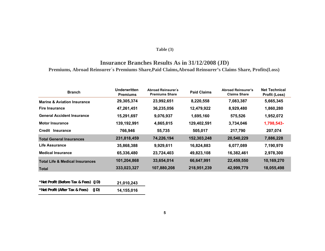### **Table (3)**

# **Insurance Branches Results As in 31/12/2008 (JD) Premiums, Abroad Reinsurer´s Premiums Share,Paid Claims,Abroad Reinsurer's Claims Share, Profits(Loss)**

| <b>Branch</b>                              | <b>Underwritten</b><br><b>Premiums</b> | <b>Abroad Reinsurer's</b><br><b>Premiums Share</b> | <b>Paid Claims</b> | <b>Abroad Reinsurer's</b><br><b>Claims Share</b> | <b>Net Technical</b><br>Profit (Loss) |
|--------------------------------------------|----------------------------------------|----------------------------------------------------|--------------------|--------------------------------------------------|---------------------------------------|
| <b>Marine &amp; Aviation Insurance</b>     | 29,305,374                             | 23,992,651                                         | 8,220,558          | 7,083,387                                        | 5,665,345                             |
| <b>Fire Insurance</b>                      | 47,261,451                             | 36,235,056                                         | 12,479,922         | 8,929,480                                        | 1,860,280                             |
| <b>General Accident Insurance</b>          | 15,291,697                             | 9,076,937                                          | 1,695,160          | 575,526                                          | 1,952,072                             |
| <b>Motor Insurance</b>                     | 139,192,991                            | 4,865,815                                          | 129,402,591        | 3,734,046                                        | 1,798,543-                            |
| Credit Insurance                           | 766,946                                | 55,735                                             | 505,017            | 217,790                                          | 207,074                               |
| <b>Total General Insurances</b>            | 231,818,459                            | 74,226,194                                         | 152,303,248        | 20,540,229                                       | 7,886,228                             |
| Life Assurance                             | 35,868,388                             | 9,929,611                                          | 16,824,883         | 6,077,089                                        | 7,190,970                             |
| <b>Medical Insurance</b>                   | 65,336,480                             | 23,724,403                                         | 49,823,108         | 16,382,461                                       | 2,978,300                             |
| <b>Total Life &amp; Medical Insurances</b> | 101,204,868                            | 33,654,014                                         | 66,647,991         | 22,459,550                                       | 10,169,270                            |
| <b>Total</b>                               | 333,023,327                            | 107,880,208                                        | 218,951,239        | 42,999,779                                       | 18,055,498                            |

| *Net Profit (Before Tax & Fees) (JD) |      | 21,010,243 |
|--------------------------------------|------|------------|
| *Net Profit (After Tax & Fees)       | (JD) | 14.155.016 |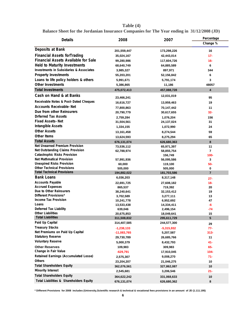| Table $(4)$                                                                                       |
|---------------------------------------------------------------------------------------------------|
| <b>Balance Sheet for the Jordanian Insurance Companies for The Year ending in 31/12/2008 (JD)</b> |

| <b>Details</b>                                                                            | 2008                      | 2007                      | Percentage     |
|-------------------------------------------------------------------------------------------|---------------------------|---------------------------|----------------|
|                                                                                           |                           |                           | Change %       |
| Deposits at Bank                                                                          |                           |                           |                |
| <b>Financial Assets forTrading</b>                                                        | 201,559,447               | 173,298,226               | 16             |
| <b>Financial Assets Available for Sale</b>                                                | 35,024,167                | 42,443,014                | $17 -$         |
|                                                                                           | 99,280,986                | 117,604,726               | $16 -$         |
| <b>Held to Maturity Investments</b><br><b>Investments in Subsidaries &amp; Associates</b> | 68,640,749                | 64,885,589                | 6              |
|                                                                                           | 3,985,327                 | 897,971                   | 344            |
| <b>Property Investments</b>                                                               | 55,203,201                | 52,156,842                | 6              |
| Loans to life policy holders & others                                                     | 5,991,671                 | 5,791,174                 | 3              |
| <b>Other Investments</b>                                                                  | 5,386,865                 | 11,186                    | 48057          |
| <b>Total Investments</b>                                                                  | 475,072,413               | 457,088,728               | 4              |
| Cash on Hand & at Banks                                                                   | 23,466,241                | 12,031,019                | 95             |
| Receivable Notes & Post-Dated Cheques                                                     | 16,616,727                | 13,959,463                | 19             |
| <b>Accounts Receivable-Net</b>                                                            | 77,800,863                | 70,147,442                | 11             |
| Due from other Reinsurers                                                                 | 20,790,779                | 30,617,655                | $32 -$         |
| <b>Drferred Tax Assets</b>                                                                | 2,759,284                 | 1,076,204                 | 156            |
| <b>Fixed Assets-Net</b>                                                                   | 31,504,561                | 24,137,024                | 31             |
| <b>Intangible Assets</b>                                                                  | 1,334,155                 | 1,072,990                 | 24             |
| <b>Other Assets</b>                                                                       | 13,161,458                | 8,274,544                 | 59             |
| Other Items                                                                               | 13,624,593                | 8,275,294                 | 65             |
| <b>Total Assets</b>                                                                       | 676,131,074               | 626,680,363               | 8              |
| <b>Net Unearned Premium Provision</b>                                                     | 73,536,112                | 65,971,397                | 11             |
| Net Outstanding Claims Provision                                                          | 62,788,974                | 58,855,754                | $\overline{7}$ |
| <b>Catastrophic Risks Provision</b>                                                       |                           | 156,749                   | $100 -$        |
| <b>Net Mathmatical Provision</b>                                                          | 57,991,936                | 56,095,586                | 3              |
| <b>Unexpired Risks Provision</b>                                                          | 60,000                    | 119,100                   | 50-            |
| <b>Other Technical Provisions</b>                                                         | 505,000                   | 505,000                   | 0              |
| <b>Total Technical Provisions</b>                                                         | 194,882,022               | 181,703,586               | $\overline{7}$ |
| <b>Bank Loans</b>                                                                         | 6,036,203                 | 8,317,148                 | $27 -$         |
| <b>Accounts Payable</b>                                                                   | 22,691,725                | 27,608,182                | $18 -$         |
| <b>Accrued Expenses</b>                                                                   | 865,537                   | 719,392                   | 20             |
| Due to Other Reinsurers                                                                   | 38,240,641                | 32,153,412                | 19             |
| Different Provisions*                                                                     | 3,702,589                 | 3,277,111                 | 13             |
| <b>Income Tax Provision</b>                                                               | 10,241,778                | 6,952,692                 | 47             |
| Loans<br><b>Deferred Tax Liability</b>                                                    | 13,533,438                | 14,334,411                | -6             |
| <b>Other Liabilities</b>                                                                  | 639,046                   | 2,496,154                 | -74<br>15      |
| <b>Total Liabilities</b>                                                                  | 20,675,853<br>311,508,832 | 18,049,641<br>295,611,729 | 5              |
| Paid Up Capital                                                                           | 314,407,585               | 244,577,300               |                |
| <b>Treasury Stocks</b>                                                                    | $-1,238,133$              | $-5,315,932$              | 29<br>$77-$    |
| Net Premiums on Paid Up Capital                                                           | -11,083,765               | 5,207,587                 | $313 -$        |
| <b>Statutory Reserve</b>                                                                  | 29,730,789                | 26,685,766                | 11             |
| <b>Voluntary Reserve</b>                                                                  | 5,000,379                 | 8,432,793                 | 41-            |
| <b>Other Reserves</b>                                                                     | 109,983                   | 309,983                   | $65-$          |
| Change in Fair Value                                                                      | $-629,791$                | 17,910,045                | $104 -$        |
| Retained Earnings (Accumulated Losse)                                                     | 2,575,307                 | 9,008,270                 | $71-$          |
| <b>Others</b>                                                                             | 23,204,207                | 21,046,275                | 10             |
| <b>Total Shareholders Equity</b>                                                          | 362,076,561               | 327,862,087               | 10             |
| <b>Minority Interest</b>                                                                  | 2,545,681                 | 3,206,546                 | $21 -$         |
| <b>Total Shareholders Equity</b>                                                          | 364,622,242               | 331,068,633               | 10             |
| Total Liabilities & Shareholders Equity                                                   | 676,131,074               | 626,680,362               | 8              |

**\* Different Provisions for 2008 includes (University,Scientific research & technical & vocational fees provisions in an amount of JD (1.111.195)**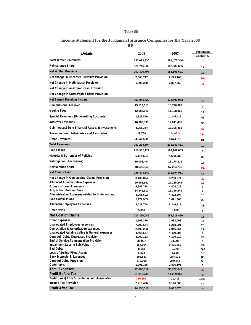### **Table (5)**

# **Income Statement for the Jordanian Insurance Companies for the Year 2008**

**(JD)**

| <b>Details</b>                                                                        | 2008                   | 2007                   | Percentage<br>Change % |
|---------------------------------------------------------------------------------------|------------------------|------------------------|------------------------|
| <b>Total Written Premiums</b>                                                         | 333,023,330            | 291,477,346            | 14                     |
| Reinsurance Share                                                                     | 125,716,533            | 107,880,655            | 17                     |
| <b>Net Written Premium</b>                                                            | 207,306,797            | 183,596,691            | 13                     |
| Net change in Unearned Premium Provision                                              | 7,564,717              | 9,229,168              | $18 -$                 |
| Net Change in Mathmatical Provision                                                   | 1,896,350              | 2,867,550              |                        |
| Net Change in unexpired risks Provision                                               |                        |                        | $34 -$                 |
| Net Change in Catastrophic Risks Provision                                            |                        |                        |                        |
| Net Earned Premium Income                                                             | 197,845,730            | 171,499,973            |                        |
| <b>Commissions Received</b>                                                           | 19,513,615             |                        | 15                     |
|                                                                                       |                        | 15,770,388             | 24                     |
| <b>Issuing Fees</b>                                                                   | 12,686,116             | 11,108,065             | 14                     |
| Special Revenues (Underwriting Accounts)                                              | 1,825,866              | 1,245,412              | 47                     |
| <b>Interests Revenues</b>                                                             | 16,369,595             | 12,011,439             | 36                     |
| Gain (losses) from Financial Assets & Investments                                     | 4,055,354              | 16,395,453             | $75 -$                 |
| Revenues from Subsidaries and Associates                                              | 29,768                 | 24,082-                | $224 -$                |
| <b>Other Revenues</b>                                                                 | 4,942,560              | 5,674,813              | $13 -$                 |
| <b>Total Revenues</b>                                                                 | 257,268,604            | 233,681,461            | 10                     |
| <b>Paid Claims</b>                                                                    | 210,932,127            | 199,969,055            | 5                      |
| Maturity & Surrender of Policies                                                      | 6,114,594              | 4,688,980              | 30                     |
| Subrogation (Recoveries)                                                              | 19,001,404             | 16,178,319             | 17                     |
| <b>Reinsurance Share</b>                                                              | 48,636,968             | 57,284,735             | $15 -$                 |
| <b>Net Claims Paid</b>                                                                | 149,408,349            | 131,194,981            | 14                     |
| Net Change in Outstanding Claims Provision                                            | 3,439,874              | 5,263,571              |                        |
| <b>Allocated Administrative Expenses</b>                                              | 25,966,552             | 22,235,246             | $35 -$<br>17           |
| <b>Excess of Loss Premiums</b>                                                        | 4,642,338              | 4,404,422              | 5                      |
| <b>Acquisition Policies Fees</b>                                                      | 14,543,517             | 13,326,249             | 9                      |
| Administrative Expenses related to Underwritting                                      | 4,965,692              | 4,322,304              | 15                     |
| <b>Paid Commissions</b>                                                               | 1,979,963              | 1,621,365              | 22                     |
| <b>Allocated Employees Expenses</b>                                                   | 8,438,764              | 6,346,312              | 33                     |
| Other Items                                                                           | 5,000                  | 5,000                  | 0                      |
| <b>Net Cost of Claims</b>                                                             | 213,390,049            | 188,719,450            | 13                     |
| <b>Other Expenses</b>                                                                 | 1,506,276              | 1,983,003              | $24 -$                 |
| <b>Unallocated Employees expenses</b>                                                 | 7,790,644              | 6,218,001              | 25                     |
| Depreciation & Amortization expenses<br>Unallocated Administrative & General expenses | 2,400,263<br>4,468,557 | 2,046,364<br>4,459,395 | 17                     |
| Doubtful Debts Decreases Provision                                                    | 3,209,153              | 4,130,210              | 0<br>$22 -$            |
| End of Service Compensation Provision                                                 | 38,097                 | 34,995                 | 9                      |
| Impairment Loss in Fair Value                                                         | 657,664                | 9,461,663              | $93 -$                 |
| <b>Bad Debts</b>                                                                      | 8,158                  | 2,379                  | 243                    |
| Loss of Selling Fixed Assets                                                          | 6,528                  | 5,650                  | 16                     |
| Bank Interests & Expenses                                                             | 508,587                | 274,032                | 86                     |
| <b>Doubtful Debts Provision</b><br>Other Items                                        | 373,000                | 240,245                | 55                     |
| <b>Total Expenses</b>                                                                 | 1,901,385              | 1,876,106              | 1                      |
|                                                                                       | 22,868,312             | 30,732,043             | $26 -$                 |
| <b>Profit Before Tax</b><br>Profit (Loss) from Subsidaries and Associates             | 21,010,243             | 14,229,968             | 48                     |
| <b>Income Tax Provision</b>                                                           | 360,199-<br>7,215,426  | 21,435                 | 1780-                  |
| <b>Profit After Tax</b>                                                               | 14,155,016             | 6,126,063<br>8,082,470 | 18                     |
|                                                                                       |                        |                        | 75                     |

**7**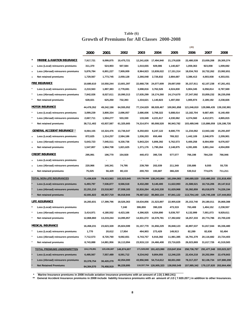|          |                                        |             |             |             |             |                         |             | (JD)        |                         |             |
|----------|----------------------------------------|-------------|-------------|-------------|-------------|-------------------------|-------------|-------------|-------------------------|-------------|
|          |                                        | 2000        | 2001        | 2002        | 2003        | 2004                    | 2005        | 2006        | 2007                    | 2008        |
| $\star$  | <b>MARINE &amp; AVIATION INSURANCE</b> | 7,917,721   | 9,099,875   | 10,475,721  | 12,241,626  | 17,494,940              | 21,176,828  | 22,480,539  | 23,659,208              | 29,305,374  |
| $\star$  | Less (Local) reinsurers premiums       | 311,370     | 524,903     | 507,584     | 1,010,655   | 929,086                 | 1,140,827   | 1,059,363   | 923,008                 | 1,009,692   |
| $\star$  | Less (Abroad) reinsurers premiums      | 5,876,784   | 6,801,227   | 7,909,009   | 8,964,923   | 13,839,022              | 17,151,314  | 18,034,763  | 18,732,262              | 23,992,651  |
| $\star$  | Net retained premiums                  | 1,729,567   | 1,773,745   | 2,059,128   | 2,266,048   | 2,726,832               | 2,884,687   | 3,386,413   | 4,003,938               | 4,303,031   |
|          | <b>FIRE INSURANCE</b>                  | 10,680,610  | 10,550,244  | 13,601,397  | 22,668,736  | 24,077,609              | 29,697,050  | 35,157,911  | 42,107,238              | 47,261,451  |
|          | Less (Local) reinsurers premiums       | 2,210,563   | 1,897,383   | 2,778,691   | 3,698,816   | 3,762,526               | 4,024,830   | 5,904,345   | 6,058,814               | 8,787,569   |
| $\star$  | Less (Abroad) reinsurers premiums      | 7,842,026   | 8,027,611   | 10,090,313  | 17,635,299  | 19,174,260              | 24,174,670  | 27,347,592  | 33,859,232              | 36,235,056  |
| $\star$  | Net retained premiums                  | 628,021     | 625,250     | 732,393     | 1,334,621   | 1,140,823               | 1,497,550   | 1,905,974   | 2,189,192               | 2,238,826   |
|          | <b>MOTOR INSURANCE</b>                 | 44,478,352  | 49,242,198  | 64,555,052  | 77,134,629  | 88,028,467              | 100,961,858 | 121,046,810 | 129,986,435             | 139,192,991 |
|          | Less (Local) reinsurers premiums       | 3,099,239   | 3,800,334   | 2,696,057   | 2,686,606   | 3,798,322               | 5,688,014   | 13,182,704  | 9,687,405               | 8,140,450   |
|          | Less (Abroad) reinsurers premiums      | 2,667,711   | 1,504,277   | 533,330     | 133,049     | 4,221,617               | 4,330,062   | 4,374,560   | 4,412,971               | 4,865,815   |
|          | Net retained premiums                  | 38,711,402  | 43,937,587  | 61,325,665  | 74,314,974  | 80,008,528              | 90,943,782  | 103,489,546 | 115,886,059             | 126,186,726 |
|          | <b>GENERAL ACCIDENT INSURANCE**</b>    | 8,064,155   | 10,324,476  | 13,736,547  | 8,250,603   | 8,247,122               | 8,680,770   | 11,234,062  | 13,943,182              | 15,291,697  |
| $\star$  | Less (Local) reinsurers premiums       | 872,625     | 1,314,257   | 2,584,186   | 1,036,203   | 650,466                 | 769,322     | 1,442,109   | 2,046,979               | 2,209,901   |
| $\star$  | Less (Abroad) reinsurers premiums      | 5,643,723   | 7,045,511   | 9,330,736   | 5,843,224   | 5,806,392               | 5,762,573   | 5,400,258   | 8,004,959               | 9,076,937   |
| $\star$  | Net retained premiums                  | 1,547,807   | 1,964,708   | 1,821,625   | 1,371,176   | 1,790,264               | 2,148,875   | 4,391,695   | 3,891,244               | 4,004,859   |
|          | <b>CREDIT INSURANCE</b>                | 295,991     | 196,770     | 154,928     | 440,472     | 395,726                 | 577,577     | 766,198     | 784,230                 | 766,946     |
| $\star$  | Less (Local) reinsurers premiums       |             |             |             |             |                         |             |             |                         |             |
| $\star$  | Less (Abroad) reinsurers premiums      | 220,966     | 140,341     | 74,795      | 239,769     | 202,039                 | 211,349     | 235,686     | 9,555                   | 55,735      |
| $\star$  | Net retained premiums                  | 75,025      | 56,429      | 80,133      | 200,703     | 193,687                 | 366,228     | 530,512     | 774,675                 | 711,211     |
|          | <b>TOTAL NON-LIFE INSURANCES</b>       | 71,436,829  | 79,413,563  | 102,523,645 | 120,736,066 | 138,243,864             | 161,094,083 | 190,685,520 | 210,480,293             | 231,818,459 |
|          | Less (Local) reinsurers premiums       | 6,493,797   | 7,536,877   | 8,566,518   | 8,432,280   | 9,140,400               | 11,622,993  | 21,588,521  | 18,716,206              | 20,147,612  |
|          | Less (Abroad) reinsurers premiums      | 22,251,210  | 23,518,967  | 27,938,183  | 32,816,264  | 43,243,330              | 51,629,968  | 55,392,859  | 65,018,979              | 74,226,194  |
|          | <b>Net retained premiums</b>           | 42,691,822  | 48,357,719  | 66,018,944  | 79,487,522  | 85,860,134              | 97,841,122  | 113,704,140 | 126,745,108             | 137,444,653 |
|          | <b>LIFE ASSURANCE</b>                  | 16,283,831  | 17,399,796  | 18,526,363  | 19,634,856  | 21,523,897              | 22,905,628  | 25,153,740  | 29,180,011              | 35,868,388  |
|          | Less (Local) reinsurers premiums       |             |             | 7,240       | 306,859     | 390,226                 | 473,319     | 763,408     | 1,404,152               | 2,238,557   |
| $^\star$ | Less (Abroad) reinsurers premiums      | 3,414,971   | 4,180,552   | 4,423,166   | 4,396,925   | 4,554,890               | 5,039,707   | 6,132,999   | 7,001,073               | 9,929,611   |
| $\star$  | Net retained premiums                  | 12,868,860  | 13,219,244  | 14,095,957  | 14,931,072  | 16,578,781              | 17,392,602  | 18,257,333  | 20,774,786              | 23,700,220  |
|          | <b>MEDICAL INSURANCE</b>               | 16,458,231  | 23,623,328  | 25,824,599  | 31,157,770  | 31,656,229              | 35,848,123  | 42,897,537  | 51,817,044              | 65,336,480  |
|          | Less (Local) reinsurers premiums       | 1,770       | 20,612      | 17,954      | 494,903     | 273,429                 | 149,913     | 82,289      | 82,636                  | 92,494      |
| $\star$  | Less (Abroad) reinsurers premiums      | 7,712,573   | 8,720,760   | 9,692,651   | 6,743,757   | 6,916,392               | 11,981,385  | 16,791,379  | 20,116,682              | 23,724,403  |
| $^\star$ | Net retained premiums                  | 8,743,888   | 14,881,956  | 16,113,994  | 23,919,110  | 24,466,408              | 23,716,825  | 26,023,869  | 31,617,726              | 41,519,583  |
|          | <b>TOTAL PREMIUMS UNDERWRITTEN</b>     | 104,178,891 | 120,436,687 | 146,874,607 |             | 171,528,692 191,423,990 | 219,847,834 | 258,736,797 | 291,477,348             | 333,023,327 |
|          | Less (Local) reinsurers premiums       | 6,495,567   | 7,557,489   | 8,591,712   | 9,234,042   | 9,804,055               | 12,246,225  | 22,434,218  | 20,202,994              | 22,478,663  |
|          | Less (Abroad) reinsurers premiums      | 33,378,754  | 36,420,279  | 42,054,000  | 43,956,946  | 54,714,612              | 68,651,060  | 78,317,237  | 92,136,734              | 107,880,208 |
|          | <b>Net Retained Premiums</b>           | 64,304,570  | 76,458,919  | 96,228,895  |             | 118,337,704 126,905,323 | 138,950,549 | 157,985,342 | 179,137,620 202,664,456 |             |

### **Table (6) Growth of Premiums for All Classes 2000-2008**

**\* Marine Insurance premiums in 2008 include aviation insurance premiums with an amount of J.D( 2.960.241)**

**\*\* General Accident Insurance premiums in 2008 include liability Insurance premiums with an amount of J.D ( 7.820.207 ) in addition to other Insurances.**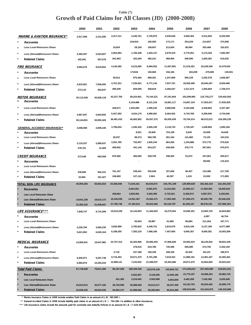# **Table (7) Growth of Paid Claims for All Classes (JD) (2000-2008)**

|                                                         | 2000       | 2001       | 2002       | 2003        | 2004        | 2005        | 2006         | 2007        | 2008        |
|---------------------------------------------------------|------------|------------|------------|-------------|-------------|-------------|--------------|-------------|-------------|
| <b>MARINE &amp; AVIATION INSURANCE*</b>                 | 2,917,398  | 2,312,285  | 2,417,211  | 2,445,701   | 2,720,875   | 3,535,048   | 3,560,454    | 5,512,832   | 8,220,558   |
| Recoveries                                              |            |            |            | 218,910     | 185,650     | 173,171     | 204,229      | 214,657     | 374,508     |
| <b>Less Local Reinsurers Share</b><br>$\star$           |            |            | 10,824     | 28,169      | 109,847     | 213,654     | 80,084       | 293,468     | 152,631     |
| $\ast$<br>Less (Abroad)Reinsurers Share                 | 2,494,457  | 2,024,607  | 2,064,583  | 1,766,338   | 1,943,137   | 2,679,319   | 2,770,051    | 3,174,326   | 7,083,387   |
| $\ast$<br><b>Retained Claims</b>                        | 422,941    | 287,678    | 341,804    | 432,284     | 482,241     | 468,904     | 506,090      | 1,830,381   | 610,032     |
|                                                         |            |            |            |             |             |             |              |             |             |
| <b>FIRE INSURANCE</b>                                   | 4,092,676  | 8,019,652  | 4,146,282  | 9,215,695   | 8,084,922   | 11,607,891  | 21,218,351   | 25,228,349  | 12,479,922  |
| Recoveries                                              |            |            |            | 171634      | 165,660     | 156,184     | 183,209      | 479,600     | 135,501     |
| <b>Less Local Reinsurers Share</b><br>$\star$           |            |            | 49,912     | 975,465     | 689,301     | 1,247,869   | 965,159      | 2,252,578   | 1,656,567   |
| $\ast$<br>Less (Abroad)Reinsurers Share                 | 3,819,561  | 7,556,005  | 3,701,321  | 7,239,501   | 6,771,143   | 7,937,791   | 18,558,309   | 20,945,367  | 8,929,480   |
| $\ast$<br><b>Retained Claims</b>                        | 273,115    | 463,647    | 395,049    | 829,095     | 458,818     | 2,266,047   | 1,511,674    | 1,550,804   | 1,758,374   |
|                                                         |            |            | 42,237,755 | 58,224,901  | 70,144,221  | 87,241,664  | 103,299,965  | 122,735,277 | 129,402,593 |
| <b>MOTOR INSURANCE</b><br>*<br>Recoveries               | 35,112,548 | 36,838,118 |            |             |             |             |              |             |             |
| $\ast$                                                  |            |            |            | 6,154,886   | 8,121,316   | 10,861,117  | 14,687,134   | 17,003,017  | 17,935,925  |
| <b>Less Local Reinsurers Share</b>                      |            |            | 328,671    | 1,932,893   | 1,995,532   | 3,980,656   | 5,163,848    | 4,348,802   | 3,337,387   |
| $\ast$<br>Less (Abroad)Reinsurers Share                 | 4,967,947  | 5,844,692  | 5,427,652  | 4,534,170   | 4,990,001   | 6,464,452   | 4,744,769    | 5,369,946   | 3,734,046   |
| <b>Retained Claims</b>                                  | 30,144,601 | 30,993,426 | 36,481,432 | 45,602,952  | 55,037,372  | 65,935,439  | 78,704,214   | 96,013,512  | 104,395,235 |
| <b>GENERAL ACCIDENT INSURANCE**</b>                     | 3,598,098  | 2,699,106  | 3,789,634  | 1,292,442   | 2,826,105   | 2,118,734   | 1,729,187    | 1,638,804   | 1,695,160   |
| $\star$<br>Recoveries                                   |            |            |            | 8,921       | 20,849      | 724,109     | 5,645        | 25,008      | 44,648      |
| $\star$<br><b>Less Local Reinsurers Share</b>           |            |            | 39,257     | 89,374      | 568,785     | 291,342     | 141,882      | 73,125      | 104,316     |
| $\ast$<br>Less (Abroad)Reinsurers Share                 | 3,119,337  | 2,686,637  | 3,291,785  | 753,007     | 1,602,244   | 664,283     | 1,104,886    | 972,770     | 575,526     |
| $\ast$<br><b>Retained Claims</b>                        | 478,761    | 12,469     | 458,592    | 441,140     | 634,227     | 439,000     | 476,774      | 567,901     | 970,670     |
|                                                         |            |            |            |             |             |             |              |             |             |
| <b>CREDIT INSURANCE</b>                                 | 273,540    | 683,658    | 870,066    | 365,582     | 258,750     | 198,002     | 91,872       | 247,061     | 505,017     |
| Recoveries                                              |            |            |            |             |             |             |              | 98,082      | 115,234     |
| <b>Less Local Reinsurers Share</b><br>$\star$<br>$\ast$ |            |            | 761,197    | 238,441     | 255,946     | 157,605     | 90,457       | 133,386     | 217,790     |
| Less (Abroad)Reinsurers Share                           | 239,856    | 502,231    | 108,869    | 127,141     | 2.804       | 40,397      | 1,415        | 15,593      | 171,993     |
| <b>Retained Claims</b>                                  | 33,684     | 181,427    |            |             |             |             |              |             |             |
| <b>TOTAL NON-LIFE INSURANCE</b>                         | 45,994,260 | 50,552,819 | 53,460,948 | 71,544,321  | 84,034,873  | 104,701,339 | 129,899,829  | 155,362,323 | 152,303,250 |
| <b>Recoveries</b>                                       |            |            |            | 6,554,351   | 8,493,475   | 11,914,581  | 15,080,217   | 17,820,364  | 18,605,816  |
| Less Local Reinsurers Share                             |            |            | 428,664    | 3,025,901   | 3,363,465   | 5,733,521   | 6,350,973    | 6,967,973   | 5,250,901   |
| Less (Abroad) Reinsurers Share                          | 14,641,158 | 18,614,172 | 15,246,538 | 14,531,457  | 15,562,471  | 17,903,450  | 27,268,472   | 30,595,795  | 20,540,229  |
| <b>Retained Claims</b>                                  | 31,353,102 | 31,938,647 | 37,785,746 | 47,432,612  | 56,615,462  | 69,149,787  | 81,200,167   | 99,978,191  | 107,906,304 |
| <b>LIFE ASSURANCE***</b>                                | 7,848,747  | 9,710,399  | 10,019,249 | 10,144,003  | 11,445,823  | 10,275,554  | 10,946,351   | 13,994,725  | 16,824,883  |
| $\ast$<br>Recoveries                                    |            |            |            |             |             |             |              | 4,097       | 46,754      |
| Less Local Reinsurers Share<br>$\ast$                   |            |            |            | 55,953      | 28,887      | 51,983      | 85,894       | 211,264     | 197,771     |
| $\ast$<br>Less (Abroad)Reinsurers Share                 | 2,226,784  | 3,065,235  | 3,830,999  | 2,785,832   | 4,348,751   | 2,815,678   | 3,915,100    | 5,127,180   | 6,077,089   |
| $\ast$<br><b>Retained Claims</b>                        | 5,621,963  | 6,645,164  | 6,188,250  | 7,302,218   | 7,068,185   | 7,407,893   | 6,945,357    | 8,656,281   | 10,503,269  |
|                                                         |            |            |            |             |             |             |              |             |             |
| <u>MEDICAL INSURANCE</u>                                | 13,906,941 | 19,547,982 | 22,707,312 | 26,420,906  | 28,095,453  | 27,866,828  | 33,592,633   | 38,126,942  | 49,823,108  |
| Recoveries                                              |            |            |            | 378,516     | 634,785     | 725,585     | 695,980      | 674,792     | 2,330,150   |
| <b>Less Local Reinsurers Share</b><br>$\star$           |            |            | 2,718      | 237,188     | 160,336     | 168,335     | 45,402       | 66,123      | 186,974     |
| $\ast$<br>Less (Abroad)Reinsurers Share                 | 6,945,971  | 9,297,748  | 9,716,453  | 18,571,370  | 5,701,295   | 7,618,322   | 11,980,181   | 14,481,427  | 16,382,461  |
| $\ast$<br><b>Retained Claims</b>                        | 6,960,970  | 10,250,234 | 12,988,141 | 7,233,832   | 21,599,037  | 19,354,586  | 20,871,070   | 22,904,600  | 30,923,523  |
| <b>Total Paid Claims</b>                                | 67,749,948 | 79,811,200 | 86,187,509 | 108,109,230 | 123,576,149 | 142,843,721 | 174,438,813  | 207,483,990 | 218,951,241 |
| <b>Recoveries</b>                                       |            |            |            | 6,932,867   | 9,128,260   | 12,640,166  | 15,776,197   | 18,499,253  | 20,982,720  |
| Less Local Reinsurers Share                             |            |            | 431,382    | 3,319,042   | 3,552,688   | 5,953,839   | 6,482,269    | 7,245,360   | 5,635,646   |
| Less (Abroad) Reinsurers Share                          | 23,813,913 | 30,977,155 | 28,793,990 | 35,888,659  | 25,612,517  | 28,337,450  | 43, 163, 753 | 50,204,402  | 42,999,779  |
| <b>Retained Claims</b>                                  | 43,936,035 | 48,834,045 | 56,962,137 | 61,968,662  | 85,282,684  | 95,912,266  | 109,016,594  | 131,534,975 | 149,333,096 |

**\* Marine insurance Claims in 2008 include aviation Paid Claims in an amount of J.D( 285.000 ) .**

**\*\* General Accident Claims in 2008 include liability paid claims in an amount of J.D ( 704.386 ) in addition to other insurances.**

**\*\*\* Life Assurance claims include the amounts paid for surrender and maturity Policies in an amount of J.D ( 7.626.983)**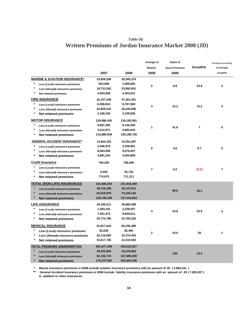# **Written Premiums of Jordan Insurance Market 2008 (JD) Table (8)**

|                                              |                          |                           | Arrange of     | Share of              |                         | Arrange according |
|----------------------------------------------|--------------------------|---------------------------|----------------|-----------------------|-------------------------|-------------------|
|                                              |                          |                           | <b>Branch</b>  | <b>Gross Premiums</b> | Growth%                 | to Average        |
|                                              | 2007                     | 2008                      | 2008           | 2008                  |                         | Growth%           |
| <b>MARINE &amp; AVIATION INSURANCE*</b>      | 23,659,208               | 29,305,374                |                |                       |                         |                   |
| *<br>Less (Local) reinsurers premiums        | 923,008                  | 1,009,692                 | 5              |                       |                         |                   |
| $\star$<br>Less (Abroad) reinsurers premiums | 18,732,262               | 23,992,651                |                | 8.8                   | 23.9                    | $\mathbf{2}$      |
| $\star$<br>Net retained premiums             | 4,003,938                | 4,303,031                 |                |                       |                         |                   |
| <b>FIRE INSURANCE</b>                        | 42,107,238               | 47,261,451                |                |                       |                         |                   |
| Less (Local) reinsurers premiums             | 6,058,814                | 8,787,569                 |                |                       |                         |                   |
| $\star$<br>Less (Abroad) reinsurers premiums | 33,859,232               | 36,235,056                | 3              | 14.2                  | 12.2                    | 4                 |
| $^{\ast}$<br>Net retained premiums           | 2,189,192                | 2,238,826                 |                |                       |                         |                   |
| <b>MOTOR INSURANCE</b>                       | 129,986,435              | 139,192,991               |                |                       |                         |                   |
| Less (Local) reinsurers premiums             | 9,687,405                | 8,140,450                 |                |                       |                         |                   |
| $\star$<br>Less (Abroad) reinsurers premiums | 4,412,971                | 4,865,815                 | 1              | 41.8                  | $\overline{\mathbf{r}}$ | 6                 |
| $\ast$<br>Net retained premiums              | 115,886,059              | 126,186,726               |                |                       |                         |                   |
| <b>GENERAL ACCIDENT INSURANCE**</b>          | 13,943,182               | 15,291,697                |                |                       |                         |                   |
| $\pmb{\ast}$                                 | 2,046,979                | 2,209,901                 |                |                       |                         |                   |
| Less (Local) reinsurers premiums<br>$\star$  |                          | 9,076,937                 | 6              | 4.6                   | 9.7                     | 5                 |
| Less (Abroad) reinsurers premiums<br>$\ast$  | 8,004,959                |                           |                |                       |                         |                   |
| Net retained premiums                        | 3,891,244                | 4,004,859                 |                |                       |                         |                   |
| <b>Credit Insurance</b>                      | 784,230                  | 766,946                   |                |                       |                         |                   |
| $\ast$<br>Less (Local) reinsurers premiums   |                          |                           | $\overline{7}$ | 0.2                   | (2.2)                   | $\overline{7}$    |
| $\star$<br>Less (Abroad) reinsurers premiums | 9,555                    | 55,735                    |                |                       |                         |                   |
| $\star$<br>Net retained premiums             | 774,675                  | 711,211                   |                |                       |                         |                   |
| <b>TOTAL (NON-LIFE) INSURANCES</b>           | 210,480,293              | 231,818,459               |                |                       |                         |                   |
| Less (Local) reinsurers premiums             | 18,716,206               | 20,147,612                |                |                       |                         |                   |
| Less (Abroad) reinsurers premiums            | 65,018,979               | 74,226,194                |                | 69.6                  | 10.1                    |                   |
| <b>Net retained premiums</b>                 | 126,745,108              | 137,444,653               |                |                       |                         |                   |
| <b>LIFE ASSURANCE</b>                        | 29,180,011               | 35,868,388                |                |                       |                         |                   |
| Less (Local) reinsurers premiums             | 1,404,152                | 2,238,557                 |                |                       |                         |                   |
| $\star$<br>Less (Abroad) reinsurers premiums | 7,001,073                | 9,929,611                 | 4              | 10.8                  | 22.9                    | 3                 |
| *<br><b>Net retained premiums</b>            | 20,774,786               | 23,700,220                |                |                       |                         |                   |
| <b>MEDICAL INSURANCE</b>                     | 51,817,044               | 65,336,480                |                |                       |                         |                   |
| Less (Local) reinsurers premiums             | 82,636                   | 92,494                    |                |                       |                         |                   |
| *<br>Less (Abroad) reinsurers premiums       | 20,116,682               | 23,724,403                | $\mathbf 2$    | 19.6                  | 26                      | 1                 |
| $\star$<br>Net retained premiums             | 31,617,726               | 41,519,583                |                |                       |                         |                   |
| <b>TOTAL PREMIUMS UNDERWRITTEN</b>           | 291,477,348              | 333,023,327               |                |                       |                         |                   |
|                                              |                          |                           |                |                       |                         |                   |
| Less (Local) reinsurers premiums             | 20,202,994<br>92,136,734 | 22,478,663<br>107,880,208 |                | 100                   | 14.3                    |                   |
| Less (Abroad) reinsurers premiums            |                          | 202,664,456               |                |                       |                         |                   |
| <b>Net retained premiums</b>                 | 179,137,620              |                           |                |                       |                         |                   |

**\* Marine Insurance premiums in 2008 include aviation insurance premiums with an amount of JD ( 2.960.241 )**

**\*\* General Accident Insurance premiums in 2008 include liability insurance premiums with an amount of JD ( 7.820.207 ) in addition to other insurances.**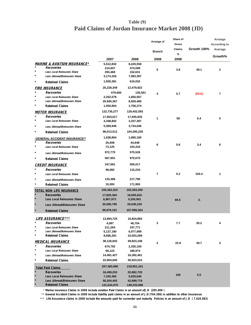# **Paid Claims of Jordan Insurance Market 2008 (JD) Table (9)**

|                  |                                                   |             |             | Arrange of     | Share of      |             | Arrange      |
|------------------|---------------------------------------------------|-------------|-------------|----------------|---------------|-------------|--------------|
|                  |                                                   |             |             |                | Gross         |             | According to |
|                  |                                                   |             |             |                | <b>Claims</b> | Growth 100% | Average      |
|                  |                                                   |             |             | <b>Branch</b>  | %             |             |              |
|                  |                                                   | 2007        | 2008        | 2008           | 2008          |             | Growth%      |
|                  | <b>MARINE &amp; AVIATION INSURANCE*</b>           | 5,512,832   | 8,220,558   |                |               |             |              |
|                  | Recoveries                                        | 214,657     | 374,508     | 5              | 3.8           | 49.1        | $\mathbf{2}$ |
|                  | Less Local Reinsurers Share                       | 293,468     | 152,631     |                |               |             |              |
|                  | Less (Abroad)Reinsurers Share                     | 3,174,326   | 7,083,387   |                |               |             |              |
|                  | <b>Retained Claims</b>                            | 1,830,381   | 610,032     |                |               |             |              |
|                  | <b>FIRE INSURANCE</b>                             | 25,228,349  | 12,479,922  |                |               |             |              |
|                  | Recoveries                                        | 479,600     | 135,501     | 4              | 5.7           | (50.5)      | 7            |
| $\ast$           | <b>Less Local Reinsurers Share</b>                | 2,252,578   | 1,656,567   |                |               |             |              |
| $\star$          | Less (Abroad)Reinsurers Share                     | 20,945,367  | 8,929,480   |                |               |             |              |
| $\star$          | <b>Retained Claims</b>                            | 1,550,804   | 1,758,374   |                |               |             |              |
|                  | <b>MOTOR INSURANCE</b>                            | 122,735,277 | 129,402,593 |                |               |             |              |
|                  | Recoveries                                        | 17,003,017  | 17,935,925  | 1              | 59            | 5.4         | 5            |
| $\ast$           | <b>Less Local Reinsurers Share</b>                | 4,348,802   | 3,337,387   |                |               |             |              |
| $\ast$           | Less (Abroad)Reinsurers Share                     | 5,369,946   | 3,734,046   |                |               |             |              |
| $\star$          | <b>Retained Claims</b>                            | 96,013,512  | 104,395,235 |                |               |             |              |
|                  |                                                   | 1,638,804   | 1,695,160   |                |               |             |              |
| $\ast$           | <b>GENERAL ACCIDENT INSURANCE**</b><br>Recoveries | 25,008      | 44,648      |                |               |             |              |
| *                | Less Local Reinsurers Share                       | 73,125      | 104,316     | 6              | 0.8           | 3.4         | 6            |
| *                | Less (Abroad)Reinsurers Share                     | 972,770     | 575,526     |                |               |             |              |
| *                |                                                   | 567,901     | 970,670     |                |               |             |              |
|                  | <b>Retained Claims</b>                            |             |             |                |               |             |              |
|                  | <b>CREDIT INSURANCE</b>                           | 247,061     | 505,017     |                |               |             |              |
|                  | Recoveries                                        | 98,082      | 115,234     |                |               |             |              |
|                  | Less Local Reinsurers Share                       |             |             | $\overline{7}$ | 0.2           | 104.4       | 1            |
|                  | Less (Abroad)Reinsurers Share                     | 133,386     | 217,790     |                |               |             |              |
|                  | <b>Retained Claims</b>                            | 15,593      | 171,993     |                |               |             |              |
|                  | <b>TOTAL NON-LIFE INSURANCE</b>                   | 155,362,323 | 152,303,250 |                |               |             |              |
| $\star$          | <b>Recoveries</b>                                 | 17,820,364  | 18,605,816  |                |               |             |              |
|                  | <b>Less Local Reinsurers Share</b>                | 6,967,973   | 5,250,901   |                | 69.5          | $2 -$       |              |
|                  | Less (Abroad) Reinsurers Share                    | 30,595,795  | 20,540,229  |                |               |             |              |
|                  | <b>Retained Claims</b>                            | 99,978,191  | 107,906,304 |                |               |             |              |
|                  |                                                   |             |             |                |               |             |              |
|                  | <b>LIFE ASSURANCE***</b>                          | 13,994,725  | 16,824,883  |                |               |             |              |
|                  | Recoveries                                        | 4,097       | 46,754      | З              | 7.7           | 20.2        | 4            |
| $\ast$<br>$\ast$ | Less Local Reinsurers Share                       | 211,264     | 197,771     |                |               |             |              |
| $\ast$           | Less (Abroad)Reinsurers Share                     | 5,127,180   | 6,077,089   |                |               |             |              |
|                  | <b>Retained Claims</b>                            | 8,656,281   | 10,503,269  |                |               |             |              |
|                  | <b>MEDICAL INSURANCE</b>                          | 38,126,942  | 49,823,108  | 2              | 22.8          | 30.7        | 3            |
| $\ast$           | Recoveries                                        | 674,792     | 2,330,150   |                |               |             |              |
|                  | Less Local Reinsurers Share                       | 66,123      | 186,974     |                |               |             |              |
| *                | Less (Abroad)Reinsurers Share                     | 14,481,427  | 16,382,461  |                |               |             |              |
| *                | <b>Retained Claims</b>                            | 22,904,600  | 30,923,523  |                |               |             |              |
|                  | <b>Total Paid Claims</b>                          | 207,483,990 | 218,951,241 |                |               |             |              |
| $\star$          | <b>Recoveries</b>                                 | 18,499,253  | 20,982,720  |                |               |             |              |
| $\star$          | Less Local Reinsurers Share                       | 7,245,360   | 5,635,646   |                | 100           | 5.5         |              |
|                  | Less (Abroad) Reinsurers Share                    | 50,204,402  | 42,999,779  |                |               |             |              |
|                  | <b>Retained Claims</b>                            | 131,534,975 | 149,333,096 |                |               |             |              |

\* **Marine insurance Claims in 2008 include aviation Paid Claims in an amount ofJ.D (285.000 )** 

\*\* **General Accident Claims in 2008 include liability paid claims in an amount of J.D (704.386) in addition to other insurances** 

\*\*\*  **Life Assurance claims in 2008 include the amounts paid for surrender and maturity Policies in an amount of J.D ( 7.626.983)**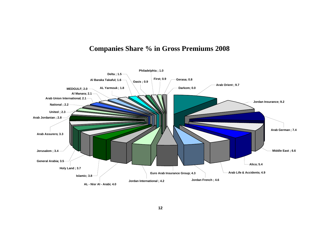# **Companies Share % in Gross Premiums 2008**

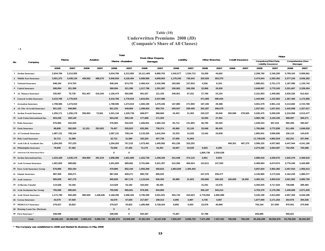### **Table (10) Underwritten Premiums 2008 (JD) (Companie's Share of All Classes)**

**-1**

|    |                                   |            |            |            |           |              | Total             | <b>Fire&amp; Other Property</b> |            |           |           |                       |           |         |                         |            | Motor                                          |            |                                |
|----|-----------------------------------|------------|------------|------------|-----------|--------------|-------------------|---------------------------------|------------|-----------|-----------|-----------------------|-----------|---------|-------------------------|------------|------------------------------------------------|------------|--------------------------------|
| No | Company                           |            | Marine     |            | Aviation  |              | Marine +Avaiation |                                 | Damages    | Liability |           | <b>Other Branches</b> |           |         | <b>Credit Insurance</b> |            | Compulsory(Third Party<br>Liability Insurance) |            | Comprehensive (Own<br>(Damages |
|    |                                   | 2008       | 2007       | 2008       | 2007      | 2008         | 2007              | 2008                            | 2007       | 2008      | 2007      | 2008                  | 2007      | 2008    | 2007                    | 2008       | 2007                                           | 2008       | 2007                           |
|    | 1 Jordan Insurance                | 2,634,706  | 2,212,055  |            |           | 2,634,706    | 2,212,055         | 10,111,465                      | 6,880,703  | 1,542,677 | 1,534,712 | 53,209                | 44,602    |         |                         | 2,208,760  | 2,106,200                                      | 5,799,163  | 5,599,661                      |
|    | 2 Middle East Insurance           | 3,501,372  | 3,438,134  | 439,562    | 688,270   | 3,940,934    | 4,126,404         | 5,589,006                       | 4,859,953  | 1,178,245 | 730,943   | 320,929               | 303,375   |         |                         | 2,473,644  | 2,293,452                                      | 3,377,243  | 3,046,282                      |
|    | 3 National Insurance              | 848,184    | 674,703    |            |           | 848,184      | 674,703           | 2,460,414                       | 2,432,399  | 183,062   | 157,833   | 4,336                 | 8,193     |         |                         | 1,880,651  | 2,751,172                                      | 1,187,086  | 1,135,743                      |
|    | 4 United Insurance                | 590,094    | 321,399    |            |           | 590,094      | 321,399           | 1,217,796                       | 1,291,597  | 190,903   | 206,358   | 22,866                | 30,930    |         |                         | 2,648,897  | 2,770,343                                      | 2,201,667  | 2,338,454                      |
|    | 5 AL Manara Insurance             | 235,067    | 75,736     | 921,407    | 516,344   | 1,156,474    | 592,080           | 501,527                         | 121,155    | 340,051   | 87,331    | 27,760                | 24,154    |         |                         | 2,101,953  | 1,440,682                                      | 2,635,226  | 612,810                        |
|    | 6 General Arabia Insurance        | 3,210,766  | 1,776,910  |            |           | 3,210,766    | 1,776,910         | 1,815,601                       | 2,037,986  |           |           | 471,069               | 596,035   |         |                         | 1,444,906  | 1,315,902                                      | 1,367,465  | 1,172,856                      |
|    | 7 Jerusalem Insurance             | 1,798,596  | 1,274,910  |            |           | 1,798,596    | 1,274,910         | 1,565,195                       | 1,470,436  | 167,885   | 271,950   | 187,436               | 29,388    |         |                         | 3,051,579  | 2,961,116                                      | 3,113,682  | 2,723,768                      |
|    | 8 AL-Nisr Al-Arabi Insurance      | 821,233    | 549,969    |            |           | 821,233      | 549,969           | 1,298,924                       | 859,753    | 260,947   | 299,409   | 352,287               | 308,079   |         |                         | 1,537,551  | 1,637,631                                      | 1,442,698  | 1,327,617                      |
|    | 9 Jordan French Insurance         | 1,250,171  | 1,256,178  | 250,963    | 73,561    | 1,501,134    | 1,329,739         | 608,977                         | 968,669    | 19,453    | 21,302    | 235,237               | 29,945    | 250,990 | 278,505                 | 5,035,475  | 5,280,030                                      | 2,216,958  | 2,513,477                      |
|    | 10 Arab Union International Ins.  | 824,249    | 200,149    |            |           | 824,249      | 200,149           | 177,689                         | 171,325    |           |           | 32,094                | 27,301    |         |                         | 4,965,786  | 3, 155, 435                                    | 688,997    | 509,271                        |
|    | 11 Delta Insurance                | 576,984    | 532,525    |            |           | 576,984      | 532,525           | 1,456,831                       | 1,982,154  | 93,712    | 121,803   | 56,795                | 60,303    |         |                         | 1,549,323  | 947,224                                        | 560,306    | 390,947                        |
|    | 12 Oasis Insurance                | 88,608     | 282,920    | $12,151 -$ | 253,003   | 76,457       | 535,923           | 633,266                         | 738,374    | 45,960    | 32,126    | 25,948                | 86,420    |         |                         | 1,765,868  | 3,772,836                                      | 511,456    | 1,848,028                      |
|    | <b>13 Al Yarmouk Insurance</b>    | 1,087,131  | 758,144    |            |           | 1,087,131    | 758,144           | 2,133,325                       | 1,641,554  | 10,333    | 14,333    | 13,442                | 24,838    |         |                         | 1,855,941  | 3,066,606                                      | 156,110    | 143,678                        |
|    | <b>14 Holy Land Insurance</b>     | 32,712     | 31,580     |            |           | 32,712       | 31,580            | 333,220                         | 407,738    | 27,056    | 41,663    |                       |           |         |                         | 11,749,635 | 4,802,819                                      | 162,251    | 257,946                        |
|    | 15 Arab Life & Accidents Ins.     | 1,294,263  | 767,233    |            |           | 1,294,263    | 767,233           | 1,473,461                       | 1,405,582  | 451,236   | 323,252   |                       |           | 409,351 | 487,275                 | 3,596,325  | 4,037,862                                      | 4,447,944  | 4,241,180                      |
|    | 16 Philadelphia Insurance         | 76,939     | 67,462     |            |           | 76,939       | 67,462            | 74,179                          | 64,451     | 18,697    | 43,535    | 6,603                 | 6,200     |         |                         | 2,274,282  | 2,654,097                                      | 732,258    | 755.088                        |
|    | 17 American Life Insurance(Alico) |            |            |            |           | $\mathbf{0}$ | 0                 |                                 |            |           |           | 1,806,738             | 2,034,638 |         |                         |            |                                                |            |                                |
|    | 18 Jordan International Ins.      | 1,533,428  | 1,630,170  | 364,960    | 291,519   | 1,898,388    | 1,921,689         | 1,422,730                       | 1,258,345  | 241,048   | 374,110   | 5,951                 | 8,833     |         |                         | 2,986,618  | 4,258,072                                      | 1,932,278  | 2,469,618                      |
|    | 19 Arab German Insurance          | 1,001,820  | 689,682    |            |           | 1,001,820    | 689,682           | 3,751,684                       | 3,321,357  | 512,056   | 465,924   | 123,611               | 147,593   |         |                         | 5,409,694  | 6,074,974                                      | 3,776,349  | 3,445,885                      |
|    | 20 Euro Arab Insurance Group      | 570,896    | 852,194    |            |           | 570,896      | 852.194           | 1,055,309                       | 459,816    | 1,863,836 | 1,305,402 |                       |           |         |                         | 3,657,834  | 2,902,482                                      | 2,457,910  | 1,956,013                      |
|    | 21 Islamic Insurance              | 887,459    | 849,271    |            |           | 887,459      | 849,271           | 895,728                         | 856,525    |           |           | 247,579               | 238,477   |         |                         | 4,145,965  | 3,173,544                                      | 2,162,230  | 1,986,377                      |
|    | 22 Arab Assurers                  | 905,839    | 667,176    |            |           | 905,839      | 667,176           | 1,115,541                       | 936,393    | 30,989    | 21,823    | 195,866               | 168,422   | 106,605 | 18,450                  | 4,483,161  | 4,950,510                                      | 3,001,902  | 2,885,750                      |
|    | 23 Al Baraka Takaful              | 114,528    | 53,182     |            |           | 114,528      | 53,182            | 163,044                         | 66,455     |           |           | 31,041                | 15,576    |         |                         | 3,355,925  | 3,717,634                                      | 738,688    | 289,483                        |
|    | 24 Arab Jordanian Ins. Group      | 755,596    | 685,661    |            |           | 755,596      | 685,661           | 979,206                         | 944,850    |           |           | 356,187               | 343,214   |         |                         | 4,703,378  | 5,179,395                                      | 1.448.908  | 2,071,635                      |
|    | 25 Arab Orient Insurance          | 1,172,790  | 650.280    | 995,500    | 1,446,046 | 2,168,290    | 2,096,326         | 3,790,390                       | 3.001.931  | 555,743   | 443.023   | 2,778,094             | 2,855,999 |         |                         | 3,226,189  | 2,813,855                                      | 5.907.359  | 5,046,396                      |
|    | 26 Gerasa Insurance               | 43,579     | 67.020     |            |           | 43.579       | 67,020            | 217.607                         | 199.313    | 4,095     | 3.897     | 4,746                 | 4,067     |         |                         | 1,877,909  | 2,171,253                                      | 254.976    | 394,546                        |
|    | 27 MEDGULF Insurance              | 279,527    | 25,822     |            |           | 279,527      | 25,822            | 1,485,969                       | 3,728,424  | 8,856     | 5,003     | 23,878                | 40,869    |         |                         | 793,164    | 317,850                                        | 970,561    | 270,948                        |
|    | 28 Housing Loans Ins. (Darkom)    |            |            |            |           | $\bf{0}$     | $\mathbf{0}$      |                                 |            |           |           |                       |           |         |                         |            |                                                |            |                                |
|    | 29 First Insurance *              | 208.596    |            |            |           | 208.596      | 0                 | 933,367                         |            | 73,367    |           | 87.788                |           |         |                         | 655,885    |                                                | 505.021    |                                |
|    | <b>Total</b>                      | 26.345.133 | 20.390.465 | 2,960,241  | 3,268,743 | 29,305,374   | 23.659.208        | 47.261.451                      | 42.107.238 | 7,820,207 | 6,505,732 | 7,471,490             | 7.437.451 | 766.946 | 784.230                 | 85,436,298 | 80.552.976                                     | 53.756.692 | 49.433.457                     |

 **\* The Company was established in 2008 and Started its Business in May 2008**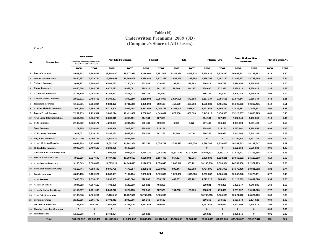# **Table (10) Underwritten Premiums 2008 (JD) (Companie's Share of All Classes)**

Cont.-2

|     |                                   |                                          | <b>Total Motor</b>          | Non Life Insurances |             |            | Medical    |            | Life       | Medical+Life |              | <b>Gross Underwritten</b> |              | Market s Share % |      |
|-----|-----------------------------------|------------------------------------------|-----------------------------|---------------------|-------------|------------|------------|------------|------------|--------------|--------------|---------------------------|--------------|------------------|------|
| No. | Companies                         | Compulsory (Third Party Liability Ins.)& | Comprehensive (Own Damages) |                     |             |            |            |            |            |              |              | Premiums                  |              |                  |      |
|     |                                   | 2008                                     | 2007                        | 2008                | 2007        | 2008       | 2007       | 2008       | 2007       | 2008         | 2007         | 2008                      | 2007         | 2008             | 2007 |
|     | 1 Jordan Insurance                | 8,007,923                                | 7,705,861                   | 22,349,980          | 18,377,933  | 3,116,603  | 2,391,512  | 5,142,228  | 3,419,318  | 8,258,831    | 5,810,830    | 30,608,811                | 24, 188, 763 | 9.19             | 8.30 |
|     | 2 Middle East Insurance           | 5,850,887                                | 5,339,734                   | 16,880,001          | 15,360,409  | 2,828,488  | 2,117,352  | 2,098,268  | 1,289,808  | 4,926,756    | 3,407,160    | 21,806,757                | 18,767,569   | 6.55             | 6.44 |
|     | 3 National Insurance              | 3,067,737                                | 3,886,915                   | 6,563,733           | 7,160,043   | 652,084    | 479,896    | 198,833    | 228,903    | 850,917      | 708,799      | 7,414,650                 | 7,868,842    | 2.23             | 2.70 |
|     | 4 United Insurance                | 4,850,564                                | 5,108,797                   | 6,872,223           | 6,959,081   | 879,921    | 781,195    | 78,769     | 90,145     | 958,690      | 871,340      | 7,830,913                 | 7,830,421    | 2.35             | 2.69 |
|     | 5 AL Manara Insurance             | 4,737,179                                | 2,053,492                   | 6,762,991           | 2,878,212   | 186,249    | 32,616     |            |            | 186,249      | 32,616       | 6,949,240                 | 2,910,828    | 2.09             | 1.00 |
|     | 6 General Arabia Insurance        | 2,812,371                                | 2,488,758                   | 8,309,807           | 6,899,689   | 2,239,808  | 2,084,067  | 1,027,529  | 672,588    | 3,267,337    | 2,756,655    | 11,577,144                | 9,656,344    | 3.48             | 3.31 |
|     | 7 Jerusalem Insurance             | 6,165,261                                | 5,684,884                   | 9,884,373           | 8,731,568   | 1,055,890  | 992,599    | 452,690    | 493,268    | 1,508,580    | 1,485,867    | 11,392,953                | 10,217,435   | 3.42             | 3.51 |
|     | 8 AL-Nisr Al-Arabi Insurance      | 2.980.249                                | 2,965,248                   | 5,713,640           | 4,982,458   | 3,413,599  | 3,046,757  | 4,309,044  | 3,548,617  | 7,722,643    | 6,595,374    | 13,436,283                | 11.577.832   | 4.03             | 3.97 |
|     | 9 Jordan French Insurance         | 7,252,433                                | 7,793,507                   | 9,868,224           | 10,421,667  | 4,768,007  | 4,649,032  | 677,006    | 809,526    | 5,445,013    | 5,458,558    | 15,313,237                | 15,880,225   | 4.60             | 5.45 |
|     | 10 Arab Union International Ins.  | 5,654,783                                | 3,664,706                   | 6,688,815           | 4,063,481   | 314,134    | 127,328    |            |            | 314,134      | 127,328      | 7,002,949                 | 4,190,809    | 2.10             | 1.44 |
|     | 11 Delta Insurance                | 2,109,629                                | 1,338,171                   | 4,293,951           | 4,034,956   | 600,489    | 499,280    | 6,954      | 7,173      | 607,443      | 506,453      | 4,901,394                 | 4,541,409    | 1.47             | 1.56 |
|     | 12 Oasis Insurance                | 2,277,325                                | 5,620,864                   | 3,058,956           | 7,013,707   | 238,945    | 715,151    |            |            | 238,945      | 715,151      | 3,297,901                 | 7,728,858    | 0.99             | 2.65 |
|     | <b>13 Al Yarmouk Insurance</b>    | 2,012,051                                | 3,210,284                   | 5,256,282           | 5,649,153   | 764,283    | 681,266    | 22,503     | 18,764     | 786,786      | 700,030      | 6,043,068                 | 6,349,183    | 1.81             | 2.18 |
|     | <b>14 Holy Land Insurance</b>     | 11,911,886                               | 5,060,765                   | 12,304,874          | 5,541,746   |            |            |            |            | $\mathbf{0}$ | $\mathbf{0}$ | 12,304,874                | 5,541,746    | 3.69             | 1.90 |
|     | 15 Arab Life & Accidents Ins.     | 8,044,269                                | 8,279,042                   | 11,672,580          | 11,262,384  | 775,358    | 1,058,787  | 3,753,425  | 1,871,676  | 4,528,783    | 2,930,463    | 16,201,363                | 14,192,847   | 4.86             | 4.87 |
|     | 16 Philadelphia Insurance         | 3,006,540                                | 3,409,185                   | 3,182,958           | 3,590,833   |            |            |            |            | $\bf{0}$     | 0            | 3,182,958                 | 3,590,833    | 0.96             | 1.23 |
|     | 17 American Life Insurance(Alico) | 0                                        | 0                           | 1,806,738           | 2,034,638   | 2,754,331  | 2,263,443  | 13,317,402 | 13,070,274 | 16,071,733   | 15,333,717   | 17,878,471                | 17,368,355   | 5.37             | 5.96 |
|     | 18 Jordan International Ins.      | 4,918,896                                | 6,727,690                   | 8,487,013           | 10,290,667  | 4,620,692  | 5,107,496  | 857,897    | 715,735    | 5,478,589    | 5,823,231    | 13,965,602                | 16,113,898   | 4.19             | 5.53 |
|     | 19 Arab German Insurance          | 9,186,043                                | 9,520,859                   | 14,575,214          | 14,145,415  | 9,126,270  | 7,870,643  | 1,067,646  | 955,721    | 10,193,916   | 8,826,364    | 24,769,130                | 22,971,779   | 7.44             | 7.88 |
|     | 20 Euro Arab Insurance Group      | 6,115,744                                | 4,858,495                   | 9,605,785           | 7,475,907   | 3,869,248  | 3,033,067  | 895,447    | 382,888    | 4,764,695    | 3,415,955    | 14,370,480                | 10,891,862   | 4.32             | 3.74 |
|     | 21 Islamic Insurance              | 6,308,195                                | 5,159,921                   | 8,338,961           | 7,104,194   | 2,889,024  | 1,879,382  | 1,320,363  | 1,086,535  | 4,209,387    | 2,965,917    | 12,548,348                | 10,070,111   | 3.77             | 3.45 |
|     | 22 Arab Assurers                  | 7,485,063                                | 7,836,260                   | 9,839,903           | 9,648,524   | 826,285    | 653,222    | 447,631    | 329,782    | 1,273,916    | 983,004      | 11,113,819                | 10,631,528   | 3.34             | 3.65 |
|     | 23 Al Baraka Takaful              | 4,094,613                                | 4,007,117                   | 4,403,226           | 4,142,330   | 929,921    | 404,255    |            |            | 929,921      | 404,255      | 5,333,147                 | 4,546,585    | 1.60             | 1.56 |
|     | 24 Arab Jordanian Ins. Group      | 6,152,287                                | 7,251,030                   | 8,243,276           | 9,224,755   | 793,568    | 587,575    | 194,753    | 189,290    | 988,321      | 776,865      | 9,231,597                 | 10,001,620   | 2.77             | 3.43 |
|     | 25 Arab Orient Insurance          | 9,133,548                                | 7,860,251                   | 18,426,065          | 16,257,530  | 13,795,055 | 9,566,930  |            |            | 13,795,055   | 9,566,930    | 32,221,120                | 25,824,460   | 9.68             | 8.86 |
|     | 26 Gerasa Insurance               | 2,132,885                                | 2,565,799                   | 2,402,912           | 2,840,096   | 250,162    | 334,532    |            |            | 250,162      | 334,532      | 2,653,074                 | 3,174,628    | 0.80             | 1.09 |
|     | 27 MEDGULF Insurance              | 1,763,725                                | 588,798                     | 3,561,955           | 4,388,916   | 3,081,544  | 459,661    |            |            | 3,081,544    | 459,661      | 6,643,499                 | 4,848,577    | 1.99             | 1.66 |
|     | 28 Housing Loans Ins. (Darkom)    | $\mathbf 0$                              | $\mathbf{0}$                | $\mathbf 0$         | $\mathbf 0$ |            |            |            |            | $\bf{0}$     | 0            | $\mathbf 0$               | $\mathbf 0$  | 0.00             | 0.00 |
|     | 29 First Insurance *              | 1.160.906                                | 0                           | 2,464,024           | 0           | 566,522    |            |            |            | 566.522      | 0            | 3,030,546                 | 0            | 0.91             | 0.00 |
|     | <b>Total</b>                      |                                          | 139,192,992 129,986,433     | 231,818,460         | 210.480.292 | 65,336,480 | 51,817,044 | 35,868,388 | 29,180,011 | 101,204,868  | 80.997.055   | 333.023.328               | 291.477.347  | 100              | 100  |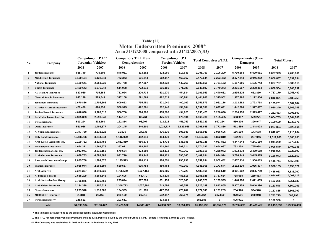### **Motor Underwritten Premiums 2008\* As in 31/12/2008 compared with 31/12/2007(JD) Table (11)**

| No.                     | Company                              |            | Compulsory T.P.L**<br>Jordanian Vehicles/ |            | Compulsory T.P.L from<br>Comprehensive | Compulsory T.P.L<br><b>Foreign Vehicles</b> |            |            | <b>Total Compulsory/T.P.L</b> |            | <b>Comprehensive (Own</b><br>Damages) | <b>Total Motors</b> |             |
|-------------------------|--------------------------------------|------------|-------------------------------------------|------------|----------------------------------------|---------------------------------------------|------------|------------|-------------------------------|------------|---------------------------------------|---------------------|-------------|
|                         |                                      | 2008       | 2007                                      | 2008       | 2007                                   | 2008                                        | 2007       | 2008       | 2007                          | 2008       | 2007                                  | 2008                | 2007        |
| 1                       | <b>Jordan Insurance</b>              | 835,749    | 775,305                                   | 848,951    | 813,262                                | 524,060                                     | 517,633    | 2,208,760  | 2,106,200                     | 5,799,163  | 5,599,661                             | 8,007,923           | 7,705,861   |
| $\overline{2}$          | <b>Middle East Insurance</b>         | 1,199,154  | 1,132,841                                 | 772,343    | 691,244                                | 502,147                                     | 469,367    | 2,473,644  | 2,293,452                     | 3,377,243  | 3,046,282                             | 5,850,887           | 5,339,734   |
| 3                       | <b>National Insurance</b>            | 1,120,641  | 2,061,039                                 | 277,778    | 247,867                                | 482,232                                     | 442,266    | 1,880,651  | 2,751,172                     | 1,187,086  | 1,135,743                             | 3,067,737           | 3,886,915   |
| $\overline{\mathbf{4}}$ | <b>United Insurance</b>              | 1,469,643  | 1,076,944                                 | 614,088    | 722,011                                | 565,166                                     | 971,388    | 2,648,897  | 2,770,343                     | 2,201,667  | 2,338,454                             | 4,850,564           | 5,108,797   |
| 5                       | <b>AL Manara Insurance</b>           | 887,059    | 715,264                                   | 712,924    | 270,734                                | 501,970                                     | 454,684    | 2,101,953  | 1,440,682                     | 2,635,226  | 612,810                               | 4,737,179           | 2,053,492   |
| 6                       | <b>General Arabia Insurance</b>      | 645,129    | 529,549                                   | 317,158    | 291,069                                | 482,619                                     | 495,284    | 1,444,906  | 1,315,902                     | 1,367,465  | 1,172,856                             | 2,812,371           | 2,488,758   |
| $\overline{7}$          | <b>Jerusalem Insurance</b>           | 1,670,886  | 1,705,503                                 | 909,653    | 795,451                                | 471,040                                     | 460,162    | 3,051,579  | 2,961,116                     | 3,113,682  | 2,723,768                             | 6,165,261           | 5,684,884   |
| 8                       | AL-Nisr Al-Arabi Insurance           | 476,480    | 690,856                                   | 558,925    | 492,091                                | 502,146                                     | 454,684    | 1,537,551  | 1,637,631                     | 1,442,698  | 1,327,617                             | 2,980,249           | 2,965,248   |
| 9                       | <b>Jordan French Insurance</b>       | 4,018,830  | 3,988,515                                 | 560,750    | 796,895                                | 455,895                                     | 494,620    | 5,035,475  | 5,280,030                     | 2,216,958  | 2,513,477                             | 7,252,433           | 7,793,507   |
| 10                      | <b>Arab Union International Ins.</b> | 4,375,883  | 2,590,540                                 | 114,127    | 88,761                                 | 475,776                                     | 476,134    | 4,965,786  | 3,155,435                     | 688,997    | 509,271                               | 5,654,783           | 3,664,706   |
| 11                      | <b>Delta Insurance</b>               | 513,294    | 402,260                                   | 122,814    | 93,207                                 | 913,215                                     | 451,757    | 1,549,323  | 947,224                       | 560,306    | 390,947                               | 2,109,629           | 1,338,171   |
| 12                      | <b>Oasis Insurance</b>               | 531,986    | 1,408,577                                 | 204,145    | 540,301                                | 1,029,737                                   | 1,823,958  | 1,765,868  | 3,772,836                     | 511,456    | 1,848,028                             | 2,277,324           | 5,620,864   |
| 13                      | <b>Al Yarmouk Insurance</b>          | 1,347,780  | 2,532,823                                 | 31,925     | 24,835                                 | 476,236                                     | 508,948    | 1,855,941  | 3,066,606                     | 156,110    | 143,678                               | 2,012,051           | 3,210,284   |
| 14                      | <b>Holy Land Insurance</b>           | 10,180,133 | 3,844,344                                 | 1,115,029  | 482,341                                | 454,473                                     | 476,134    | 11,749,635 | 4,802,819                     | 162,251    | 257,946                               | 11,911,886          | 5,060,765   |
| 15                      | Arab Life & Accidents Ins.           | 1,109,782  | 2,516,453                                 | 1,511,810  | 986,378                                | 974,733                                     | 535,031    | 3,596,325  | 4,037,862                     | 4,447,944  | 4,241,180                             | 8,044,269           | 8,279,042   |
| 16                      | Philadelphia Insurance               | 1,674,311  | 1,668,676                                 | 397,011    | 388,207                                | 202,960                                     | 597,214    | 2,274,282  | 2,654,097                     | 732,258    | 755,088                               | 3,006,540           | 3,409,185   |
| 17                      | Jordan International Ins.            | 1,913,941  | 2,815,155                                 | 570,564    | 973,550                                | 502,113                                     | 469,367    | 2,986,618  | 4,258,072                     | 1,932,278  | 2,469,618                             | 4,918,896           | 6,727,690   |
| 18                      | <b>Arab German Insurance</b>         | 4,079,783  | 4,688,884                                 | 931,790    | 989,945                                | 398,121                                     | 396,145    | 5,409,694  | 6,074,974                     | 3,776,349  | 3,445,885                             | 9,186,043           | 9,520,859   |
| 19                      | <b>Euro Arab Insurance Group</b>     | 2,085,760  | 1,784,076                                 | 1,195,523  | 828,113                                | 376,551                                     | 290,293    | 3,657,834  | 2,902,482                     | 2,457,910  | 1,956,013                             | 6,115,744           | 4,858,495   |
| 20                      | <b>Islamic Insurance</b>             | 3,035,944  | 2,068,394                                 | 629,557    | 635,783                                | 480,464                                     | 469,367    | 4,145,965  | 3,173,544                     | 2,162,230  | 1,986,377                             | 6,308,195           | 5,159,921   |
| 21                      | <b>Arab Assurers</b>                 | 2,371,397  | 3,049,639                                 | 1,705,559  | 1,527,151                              | 406,205                                     | 373,720    | 4,483,161  | 4,950,510                     | 3,001,902  | 2,885,750                             | 7,485,063           | 7,836,260   |
| 22                      | Al Baraka Takaful                    | 2,638,209  | 3,168,346                                 | 194,606    | 65,470                                 | 523,110                                     | 483,818    | 3,355,925  | 3,717,634                     | 738,688    | 289,483                               | 4,094,613           | 4,007,117   |
| 23                      | Arab Jordanian Ins. Group            | 3,796,875  | 4,135,760                                 | 275,044    | 517,769                                | 631,459                                     | 525,866    | 4,703,378  | 5,179,395                     | 1,448,908  | 2,071,635                             | 6,152,286           | 7,251,030   |
| 24                      | <b>Arab Orient Insurance</b>         | 1,134,390  | 1,307,513                                 | 1,348,713  | 1,037,991                              | 743,086                                     | 468,351    | 3,226,189  | 2,813,855                     | 5,907,359  | 5,046,396                             | 9,133,548           | 7,860,251   |
| 25                      | <b>Gerasa Insurance</b>              | 1,275,516  | 1,510,006                                 | 124,995    | 181,985                                | 477,398                                     | 479,262    | 1,877,909  | 2,171,253                     | 254,976    | 394,546                               | 2,132,885           | 2,565,799   |
| 26                      | <b>MEDGULF Insurance</b>             | 61,818     | 23,160                                    | 229,199    | 29,016                                 | 502,147                                     | 265,674    | 793,164    | 317,850                       | 970,561    | 270,948                               | 1,763,725           | 588,798     |
| 27                      | First Insurance***                   | 148,611    |                                           | 203,611    |                                        | 303,663                                     |            | 655,885    | 0                             | 505,021    |                                       | 1,160,906           | 0           |
|                         | <b>Total</b>                         | 54,598,984 | 52,190,422                                | 16,478,592 | 14,511,427                             | 14,358,722                                  | 13,851,127 | 85,436,298 | 80,552,976                    | 53,756,692 | 49,433,457                            | 139,192,990         | 129,986,433 |

**\* The Numbers are according to the tables issued by Insurance Companies**

**\*\*The T.P.L for Jordanian Vehicles Premiums include T.P.L Policies issued by the Unified Office & T.P.L Tenders Premiums & Orange Card Policies.**

**\*\*\* 15The Company was established in 2008 and started its business in May 2008**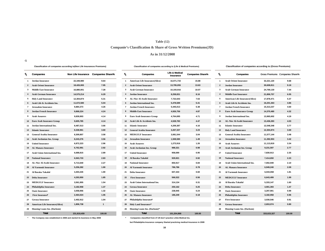#### **Table (12)**

### **Companie's Classification & Share of Gross Written Premiums(JD)**

#### **As in 31/12/2008**

**-1**

| Classification of companies according to(Non Life Insurances Premiums) |  |  |  |
|------------------------------------------------------------------------|--|--|--|
|------------------------------------------------------------------------|--|--|--|

**Classification of companies according to (Life & Medical Premiums) Classification of companies according to (Gross Premiums)**

**Non Life Insurance Companies Share% Companies Share%** Companies Share%

|              | <b>Companies</b>                       |             | Non Life Insurance Companies Share% | ъ              | <b>Companies</b>                     | Life & Medical<br>Insurance | <b>Companies Share%</b> | r.              | <b>Companies</b>                   | Gross Premiums Companies |       |
|--------------|----------------------------------------|-------------|-------------------------------------|----------------|--------------------------------------|-----------------------------|-------------------------|-----------------|------------------------------------|--------------------------|-------|
|              | 1 Jordan Insurance                     | 22.349.980  | 9.64                                |                | 1 American Life Insurance(Alico)     | 16,071,733                  | 15.88                   | $\mathbf{1}$    | <b>Arab Orient Insurance</b>       | 32,221,120               | 9.68  |
|              | 2 Arab Orient Insurance                | 18,426,065  | 7.95                                | $\overline{2}$ | <b>Arab Orient Insurance</b>         | 13,795,055                  | 13.63                   | $\overline{2}$  | <b>Jordan Insurance</b>            | 30,608,811               | 9.19  |
|              | 3 Middle East Insurance                | 16,880,001  | 7.28                                | 3              | <b>Arab German Insurance</b>         | 10,193,916                  | 10.07                   | 3               | <b>Arab German Insurance</b>       | 24,769,130               | 7.44  |
|              | 4 Arab German Insurance                | 14,575,214  | 6.29                                |                | 4 Jordan Insurance                   | 8,258,831                   | 8.16                    |                 | <b>Middle East Insurance</b>       | 21,806,757               | 6.55  |
|              | <b>5</b> Holy Land Insurance           | 12,304,874  | 5.31                                | 5              | <b>AL-Nisr Al-Arabi Insurance</b>    | 7,722,643                   | 7.63                    | 5               | American Life Insurance(Alico)     | 17,878,471               | 5.37  |
|              | Arab Life & Accidents Ins.             | 11,672,580  | 5.04                                | 6              | Jordan International Ins.            | 5,478,589                   | 5.41                    | 6               | Arab Life & Accidents Ins.         | 16,201,363               | 4.86  |
| $\mathbf{7}$ | <b>Jerusalem Insurance</b>             | 9,884,373   | 4.26                                | 7              | <b>Jordan French Insurance</b>       | 5,445,013                   | 5.38                    | $\overline{7}$  | <b>Jordan French Insurance</b>     | 15,313,237               | 4.60  |
|              | 8 Jordan French Insurance              | 9,868,224   | 4.24                                | 8              | <b>Middle East Insurance</b>         | 4,926,756                   | 4.87                    |                 | <b>Euro Arab Insurance Group</b>   | 14,370,480               | 4.32  |
| 9            | <b>Arab Assurers</b>                   | 9,839,903   | 4.14                                | 9              | <b>Euro Arab Insurance Group</b>     | 4,764,695                   | 4.71                    | 9               | Jordan International Ins.          | 13,965,602               | 4.19  |
|              | 10 Euro Arab Insurance Group           | 9,605,785   | 4.14                                |                | 10 Arab Life & Accidents Ins.        | 4,528,783                   | 4.47                    | 10 <sup>1</sup> | AL-Nisr Al-Arabi Insurance         | 13,436,283               | 4.03  |
|              | 11 Jordan International Ins.           | 8,487,013   | 3.66                                |                | 11 Islamic Insurance                 | 4,209,387                   | 4.16                    | 11              | <b>Islamic Insurance</b>           | 12,548,348               | 3.77  |
|              | 12 Islamic Insurance                   | 8,338,961   | 3.60                                | 12             | <b>General Arabia Insurance</b>      | 3,267,337                   | 3.23                    | 12              | <b>Holy Land Insurance</b>         | 12,304,874               | 3.69  |
| 13           | <b>General Arabia Insurance</b>        | 8,309,807   | 3.58                                | 13             | <b>MEDGULF Insurance</b>             | 3,081,544                   | 3.04                    | 13              | <b>General Arabia Insurance</b>    | 11,577,144               | 3.48  |
|              | 14 Arab Jordanian Ins. Group           | 8,243,276   | 3.56                                |                | 14 Jerusalem Insurance               | 1,508,580                   | 1.49                    | 14              | <b>Jerusalem Insurance</b>         | 11,392,953               | 3.42  |
|              | <b>15</b> United Insurance             | 6,872,223   | 2.96                                | 15             | <b>Arab Assurers</b>                 | 1,273,916                   | 1.26                    | 15              | <b>Arab Assurers</b>               | 11,113,819               | 3.34  |
|              | 16 AL Manara Insurance                 | 6,762,991   | 2.92                                |                | 16 Arab Jordanian Ins. Group         | 988,321                     | 0.98                    | 16              | Arab Jordanian Ins. Group          | 9,231,597                | 2.77  |
|              | 17 Arab Union International Ins.       | 6,688,815   | 2.89                                | 17             | <b>United Insurance</b>              | 958,690                     | 0.95                    | 17              | <b>United Insurance</b>            | 7,830,913                | 2.35  |
|              | 18 National Insurance                  | 6,563,733   | 2.83                                |                | 18 Al Baraka Takaful                 | 929,921                     | 0.92                    | 18              | <b>National Insurance</b>          | 7,414,650                | 2.23  |
| 19           | <b>AL-Nisr Al-Arabi Insurance</b>      | 5,713,640   | 2.27                                | 19             | <b>National Insurance</b>            | 850,917                     | 0.84                    | 19              | Arab Union International Ins.      | 7,002,949                | 2.10  |
|              | 20 Al Yarmouk Insurance                | 5,256,282   | 1.90                                | 20             | <b>Al Yarmouk Insurance</b>          | 786,786                     | 0.78                    | 20              | <b>AL Manara Insurance</b>         | 6,949,240                | 2.09  |
|              | 21 Al Baraka Takaful                   | 4,403,226   | 1.90                                | 21             | <b>Delta Insurance</b>               | 607,443                     | 0.60                    | 21              | <b>Al Yarmouk Insurance</b>        | 6,043,068                | 1.81  |
|              | 22 Delta Insurance                     | 4,293,950   | 1.85                                | 22             | <b>First Insurance</b>               | 566,522                     | 0.56                    | 22              | <b>MEDGULF Insurance</b>           | 6,643,499                | 1.99  |
| 23           | <b>MEDGULF Insurance</b>               | 3,561,955   | 1.54                                | 23             | <b>Arab Union International Ins.</b> | 314,134                     | 0.31                    | 23              | Al Baraka Takaful                  | 5,333,147                | 1.60  |
|              | 24 Philadelphia Insurance              | 3,182,958   | 1.37                                | 24             | <b>Gerasa Insurance</b>              | 250,162                     | 0.25                    | 24              | <b>Delta Insurance</b>             | 4,901,393                | 1.47  |
| 25           | <b>Oasis Insurance</b>                 | 3,058,956   | 1.32                                | 25             | <b>Oasis Insurance</b>               | 238,945                     | 0.24                    | 25              | <b>Oasis Insurance</b>             | 3,297,901                | 0.99  |
|              | 26 First Insurance*                    | 2,464,024   | 1.06                                |                | 26 AL Manara Insurance               | 186,249                     | 0.18                    | 26              | Philadelphia Insurance             | 3,182,958                | 0.96  |
|              | 27 Gerasa Insurance                    | 2,402,912   | 1.04                                | 27             | Philadelphia Insurancë               |                             |                         | 27              | <b>First Insurance</b>             | 3,030,546                | 0.91  |
|              | <b>American Life Insurance (Alico)</b> | 1,806,738   | $\overline{1}$                      | 28             | <b>Holy Land Insurance*</b>          |                             |                         |                 | <b>Gerasa Insurance</b>            | 2,653,074                | 0.80  |
|              | 29 Housing Loans Ins. (Darkom)         |             |                                     | 29             | Housing Loans Ins. (Darkom)*         |                             |                         | 29              | <b>Housing Loans Ins. (Darkom)</b> |                          |       |
|              | Total                                  | 231,818,459 | 100.00                              |                | Total                                | 101,204,868                 | 100.00                  |                 | Total                              | 333,023,327              | 100.0 |

|          | Non Life Insurance                                | <b>Companies Share%</b> | %                | <b>Companies</b>                                                  | <b>Life &amp; Medical</b><br>Insurance | <b>Companies Share%</b> | r              | <b>Companies</b>                   | Gross Premiums Companies & |        |
|----------|---------------------------------------------------|-------------------------|------------------|-------------------------------------------------------------------|----------------------------------------|-------------------------|----------------|------------------------------------|----------------------------|--------|
|          | 22,349,980                                        | 9.64                    | 1                | <b>American Life Insurance(Alico)</b>                             | 16,071,733                             | 15.88                   | -1             | <b>Arab Orient Insurance</b>       | 32,221,120                 | 9.68   |
|          | 18,426,065                                        | 7.95                    | $\mathbf{2}$     | <b>Arab Orient Insurance</b>                                      | 13,795,055                             | 13.63                   | $\overline{2}$ | <b>Jordan Insurance</b>            | 30,608,811                 | 9.19   |
|          | 16,880,001                                        | 7.28                    | 3                | <b>Arab German Insurance</b>                                      | 10,193,916                             | 10.07                   | 3              | <b>Arab German Insurance</b>       | 24,769,130                 | 7.44   |
|          | 14,575,214                                        | 6.29                    | 4                | <b>Jordan Insurance</b>                                           | 8,258,831                              | 8.16                    | 4              | <b>Middle East Insurance</b>       | 21,806,757                 | 6.55   |
|          | 12,304,874                                        | 5.31                    | 5                | <b>AL-Nisr Al-Arabi Insurance</b>                                 | 7,722,643                              | 7.63                    | 5              | American Life Insurance(Alico)     | 17,878,471                 | 5.37   |
| ns.      | 11,672,580                                        | 5.04                    | 6                | Jordan International Ins.                                         | 5,478,589                              | 5.41                    | 6              | Arab Life & Accidents Ins.         | 16,201,363                 | 4.86   |
|          | 9,884,373                                         | 4.26                    | $\overline{7}$   | <b>Jordan French Insurance</b>                                    | 5,445,013                              | 5.38                    | $\overline{7}$ | <b>Jordan French Insurance</b>     | 15,313,237                 | 4.60   |
|          | 9,868,224                                         | 4.24                    | 8                | <b>Middle East Insurance</b>                                      | 4,926,756                              | 4.87                    | 8              | <b>Euro Arab Insurance Group</b>   | 14,370,480                 | 4.32   |
|          | 9,839,903                                         | 4.14                    | 9                | <b>Euro Arab Insurance Group</b>                                  | 4,764,695                              | 4.71                    | 9              | Jordan International Ins.          | 13,965,602                 | 4.19   |
| oup:     | 9,605,785                                         | 4.14                    | 10               | Arab Life & Accidents Ins.                                        | 4,528,783                              | 4.47                    | 10             | <b>AL-Nisr Al-Arabi Insurance</b>  | 13,436,283                 | 4.03   |
|          | 8,487,013                                         | 3.66                    | 11               | <b>Islamic Insurance</b>                                          | 4,209,387                              | 4.16                    | 11             | <b>Islamic Insurance</b>           | 12,548,348                 | 3.77   |
|          | 8,338,961                                         | 3.60                    | 12 <sup>12</sup> | <b>General Arabia Insurance</b>                                   | 3,267,337                              | 3.23                    | 12             | <b>Holy Land Insurance</b>         | 12,304,874                 | 3.69   |
| ce       | 8,309,807                                         | 3.58                    | 13               | <b>MEDGULF Insurance</b>                                          | 3,081,544                              | 3.04                    | 13             | <b>General Arabia Insurance</b>    | 11,577,144                 | 3.48   |
| эuр      | 8,243,276                                         | 3.56                    | 14               | <b>Jerusalem Insurance</b>                                        | 1,508,580                              | 1.49                    | 14             | <b>Jerusalem Insurance</b>         | 11,392,953                 | 3.42   |
|          | 6,872,223                                         | 2.96                    | 15               | <b>Arab Assurers</b>                                              | 1,273,916                              | 1.26                    | 15             | <b>Arab Assurers</b>               | 11,113,819                 | 3.34   |
|          | 6,762,991                                         | 2.92                    |                  | 16 Arab Jordanian Ins. Group                                      | 988,321                                | 0.98                    | 16             | Arab Jordanian Ins. Group          | 9,231,597                  | 2.77   |
| al Ins.  | 6,688,815                                         | 2.89                    | 17               | <b>United Insurance</b>                                           | 958,690                                | 0.95                    | 17             | <b>United Insurance</b>            | 7,830,913                  | 2.35   |
|          | 6,563,733                                         | 2.83                    |                  | 18 Al Baraka Takaful                                              | 929,921                                | 0.92                    | 18             | <b>National Insurance</b>          | 7,414,650                  | 2.23   |
| ance     | 5,713,640                                         | 2.27                    | 19               | <b>National Insurance</b>                                         | 850,917                                | 0.84                    | 19             | Arab Union International Ins.      | 7,002,949                  | 2.10   |
|          | 5,256,282                                         | 1.90                    | 20               | <b>Al Yarmouk Insurance</b>                                       | 786,786                                | 0.78                    | 20             | <b>AL Manara Insurance</b>         | 6,949,240                  | 2.09   |
|          | 4,403,226                                         | 1.90                    | 21               | <b>Delta Insurance</b>                                            | 607,443                                | 0.60                    | 21             | <b>Al Yarmouk Insurance</b>        | 6,043,068                  | 1.81   |
|          | 4,293,950                                         | 1.85                    | 22               | <b>First Insurance</b>                                            | 566,522                                | 0.56                    | 22             | <b>MEDGULF Insurance</b>           | 6,643,499                  | 1.99   |
|          | 3,561,955                                         | 1.54                    | 23               | Arab Union International Ins.                                     | 314,134                                | 0.31                    | 23             | Al Baraka Takaful                  | 5,333,147                  | 1.60   |
|          | 3,182,958                                         | 1.37                    | 24               | <b>Gerasa Insurance</b>                                           | 250,162                                | 0.25                    | 24             | <b>Delta Insurance</b>             | 4,901,393                  | 1.47   |
|          | 3,058,956                                         | 1.32                    | 25               | <b>Oasis Insurance</b>                                            | 238,945                                | 0.24                    | 25             | <b>Oasis Insurance</b>             | 3,297,901                  | 0.99   |
|          | 2,464,024                                         | 1.06                    | 26               | <b>AL Manara Insurance</b>                                        | 186,249                                | 0.18                    | 26             | Philadelphia Insurance             | 3,182,958                  | 0.96   |
|          | 2,402,912                                         | 1.04                    |                  | 27 Philadelphia Insurancë                                         |                                        |                         | 27             | <b>First Insurance</b>             | 3,030,546                  | 0.91   |
| e(Alico) | 1,806,738                                         | $\mathbf{1}$            | 28               | <b>Holy Land Insurance*</b>                                       |                                        |                         | 28             | <b>Gerasa Insurance</b>            | 2,653,074                  | 0.80   |
| kom)     |                                                   |                         | 29               | Housing Loans Ins. (Darkom)*                                      |                                        |                         | 29             | <b>Housing Loans Ins. (Darkom)</b> |                            |        |
|          | 231.818.459                                       | 100.00                  |                  | Total                                                             | 101,204,868                            | 100.00                  |                | Total                              | 333.023.327                | 100.00 |
|          | shed in 2008 and started its business in May 2008 |                         |                  | Companies classified from 27-29 don't practice Life& Medical Ins. |                                        |                         |                |                                    |                            |        |

| 1  | <b>Arab Orient Insurance</b>          | 32.221.120  | 9.68   |  |
|----|---------------------------------------|-------------|--------|--|
| 2  | <b>Jordan Insurance</b>               | 30,608,811  | 9.19   |  |
| 3  | <b>Arab German Insurance</b>          | 24,769,130  | 7.44   |  |
| 4  | <b>Middle East Insurance</b>          | 21,806,757  | 6.55   |  |
| 5  | <b>American Life Insurance(Alico)</b> | 17,878,471  | 5.37   |  |
| 6  | Arab Life & Accidents Ins.            | 16,201,363  | 4.86   |  |
| 7  | <b>Jordan French Insurance</b>        | 15,313,237  | 4.60   |  |
| 8  | <b>Euro Arab Insurance Group</b>      | 14,370,480  | 4.32   |  |
| 9  | <b>Jordan International Ins.</b>      | 13,965,602  | 4.19   |  |
| 10 | <b>AL-Nisr Al-Arabi Insurance</b>     | 13,436,283  | 4.03   |  |
| 11 | <b>Islamic Insurance</b>              | 12.548.348  | 3.77   |  |
| 12 | <b>Holy Land Insurance</b>            | 12,304,874  | 3.69   |  |
| 13 | <b>General Arabia Insurance</b>       | 11,577,144  | 3.48   |  |
| 14 | <b>Jerusalem Insurance</b>            | 11,392,953  | 3.42   |  |
| 15 | <b>Arab Assurers</b>                  | 11,113,819  | 3.34   |  |
| 16 | Arab Jordanian Ins. Group             | 9,231,597   | 2.77   |  |
| 17 | <b>United Insurance</b>               | 7,830,913   | 2.35   |  |
| 18 | <b>National Insurance</b>             | 7,414,650   | 2.23   |  |
| 19 | <b>Arab Union International Ins.</b>  | 7,002,949   | 2.10   |  |
| 20 | <b>AL Manara Insurance</b>            | 6,949,240   | 2.09   |  |
| 21 | <b>Al Yarmouk Insurance</b>           | 6,043,068   | 1.81   |  |
| 22 | <b>MEDGULF Insurance</b>              | 6,643,499   | 1.99   |  |
| 23 | Al Baraka Takaful                     | 5,333,147   | 1.60   |  |
| 24 | <b>Delta Insurance</b>                | 4,901,393   | 1.47   |  |
| 25 | <b>Oasis Insurance</b>                | 3,297,901   | 0.99   |  |
| 26 | Philadelphia Insurance                | 3,182,958   | 0.96   |  |
| 27 | <b>First Insurance</b>                | 3,030,546   | 0.91   |  |
| 28 | <b>Gerasa Insurance</b>               | 2,653,074   | 0.80   |  |
| 29 | <b>Housing Loans Ins. (Darkom)</b>    |             |        |  |
|    | <b>Total</b>                          | 333 023 327 | 100.00 |  |

**\* \* The Company was established in 2008 and started its business in May 2008 Companies classified from 27-29 don't practice Life& Medical Ins.** 

**but Philadelphia Insurance company Started practicing medical Insurance in 2009**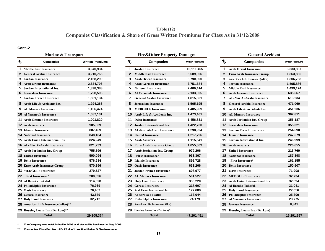# **Companies Classification & Share of Gross Written Premiums Per Class As in 31/12/2008 Table (12)**

#### **Cont.-2**

#### **No. Companies 1 Middle East Insurance 3,940,934 1 Jordan Insurance 10,111,465 1 Arab Orient Insurance 3,333,837 2 General Arabia Insurance 3,210,766 2 Middle East Insurance 5,589,006 2 Euro Arab Insurance Group 1,863,836 3 Jordan Insurance 2,168,290 3 Arab Orient Insurance 3,790,390 3 American Life Insurance(Alico) 1,806,738 4 Arab Orient Insurance 2,634,706 4 Arab German Insurance 3,751,684 4 Jordan Insurance 1,595,886 5 Jordan International Ins. 1,898,388 5 National Insurance 2,460,414 5 Middle East Insurance 1,499,174 6 Jerusalem Insurance 1,798,596 6 Al Yarmouk Insurance 2,133,325 6 Arab German Insurance 635,667 7 Jordan French Insurance 1,501,134 7 General Arabia Insurance 1,815,601 7 AL-Nisr Al-Arabi Insurance 613,234 8 Arab Life & Accidents Ins. 1,294,263 8 Jerusalem Insurance 1,565,195 8 General Arabia Insurance 471,069 9 AL Manara Insurance 1,156,474 9 MEDGULF Insurance 1,485,969 9 Arab Life & Accidents Ins. 451,236 10 Al Yarmouk Insurance 1,087,131 10 Arab Life & Accidents Ins. 1,473,461 10 AL Manara Insurance 367,811 11 Arab German Insurance 1,001,820 11 Delta Insurance 1,456,831 11 Arab Jordanian Ins. Group 356,187 12 Arab Assurers 905,839 12 Jordan International Ins. 1,422,730 12 Jerusalem Insurance 355,321 13 Islamic Insurance 887,459 13 AL-Nisr Al-Arabi Insurance 1,298,924 13 Jordan French Insurance 254,690 14 National Insurance 848,184 14 United Insurance 1,217,796 14 Islamic Insurance 247,579 15 Arab Union International Ins. 824,249 15 Arab Assurers 1,115,541 15 Jordan International Ins. 246,999 16 AL-Nisr Al-Arabi Insurance 821,233 16 Euro Arab Insurance Group 1,055,309 16 Arab Assurers 226,855 17 Arab Jordanian Ins. Group 755,596 17 Arab Jordanian Ins. Group 979,206 17 United Insurance 213,769 18 United Insurance 590,094 18 First Insurance\* 933,367 18 National Insurance 187,398 19 Delta Insurance 576,984 19 Islamic Insurance 895,728 19 First Insurance\* 161,155 20 Euro Arab Insurance Group 570,896 20 Oasis Insurance 633,266 20 Delta Insurance 150,507 21 MEDGULF Insurance 279,527 21 Jordan French Insurance 608,977 21 Oasis Insurance 71,908 22 First Insurance \*23 Al Baraka Takafulِ 114,528 23 Holy Land Insurance 333,220 23 Arab Union International Ins. 32,094 24 Philadelphia Insurance 76,939 24 Gerasa Insurance 217,607 24 Al Baraka Takafulِ 31,041 25 Oasis Insurance 76,457 25 Arab Union International Ins. 177,689 25 Holy Land Insurance 27,056 26 Gerasa Insurance Gerasa Insurance 43,579 26 Al Baraka Takafulِ 163,044 26 Philadelphia Insurance 25,300 27 Holy Land Insurance 32,712 27 Philadelphia Insurance 74,179 27 Al Yarmouk Insurance 23,775 28 American Life Insurance(Alico)\*\* 28 American Life Insurance(Alico) 28 Gerasa Insurance 8,841 29 Housing Loans Ins. (Darkom)\*\* 29 Housing Loans Ins. (Darkom)\*\* 29 Housing Loans Ins. (Darkom) Total**

| Companies            | <b>Written Premiums</b> | $\mathcal{U}_0$ | <b>Companies</b>                      | <b>Written Premiums</b> | $\mathcal{U}_0$ | <b>Companies</b>                      | <b>Written Premium</b> |
|----------------------|-------------------------|-----------------|---------------------------------------|-------------------------|-----------------|---------------------------------------|------------------------|
| <b>nsurance</b>      | 3,940,934               |                 | <b>Jordan Insurance</b>               | 10,111,465              | 1               | <b>Arab Orient Insurance</b>          | 3,333,837              |
| ia Insurance         | 3,210,766               | $\mathbf{2}$    | <b>Middle East Insurance</b>          | 5,589,006               | $\mathbf{2}$    | <b>Euro Arab Insurance Group</b>      | 1,863,836              |
| nce                  | 2,168,290               |                 | <b>Arab Orient Insurance</b>          | 3,790,390               | 3               | <b>American Life Insurance(Alico)</b> | 1,806,738              |
| nsurance             | 2,634,706               |                 | <b>Arab German Insurance</b>          | 3,751,684               | 4               | <b>Jordan Insurance</b>               | 1,595,886              |
| ational Ins.         | 1,898,388               | 5               | <b>National Insurance</b>             | 2,460,414               | 5               | <b>Middle East Insurance</b>          | 1,499,174              |
| urance               | 1,798,596               |                 | <b>Al Yarmouk Insurance</b>           | 2,133,325               | 6               | <b>Arab German Insurance</b>          | 635,667                |
| ı Insurance          | 1,501,134               |                 | <b>General Arabia Insurance</b>       | 1,815,601               |                 | <b>AL-Nisr Al-Arabi Insurance</b>     | 613,234                |
| ccidents Ins.        | 1,294,263               |                 | <b>Jerusalem Insurance</b>            | 1,565,195               | 8               | <b>General Arabia Insurance</b>       | 471,069                |
| ısurance             | 1,156,474               | 9               | <b>MEDGULF Insurance</b>              | 1,485,969               | 9               | Arab Life & Accidents Ins.            | 451,236                |
| nsurance             | 1,087,131               | 10              | Arab Life & Accidents Ins.            | 1,473,461               | 10              | <b>AL Manara Insurance</b>            | 367,811                |
| Insurance            | 1,001,820               |                 | <b>11 Delta Insurance</b>             | 1,456,831               | 11              | Arab Jordanian Ins. Group             | 356,187                |
|                      | 905,839                 |                 | <b>12</b> Jordan International Ins.   | 1,422,730               | 12              | Jerusalem Insurance                   | 355,321                |
| ınce                 | 887,459                 |                 | <b>13</b> AL-Nisr Al-Arabi Insurance  | 1,298,924               | 13.             | Jordan French Insurance               | 254,690                |
| ance                 | 848,184                 |                 | <b>14</b> United Insurance            | 1,217,796               |                 | <b>14</b> Islamic Insurance           | 247,579                |
| ternational Ins.     | 824,249                 | 15              | <b>Arab Assurers</b>                  | 1,115,541               | 15.             | Jordan International Ins.             | 246,999                |
| rabi Insurance       | 821,233                 |                 | <b>16</b> Euro Arab Insurance Group   | 1,055,309               |                 | <b>16</b> Arab Assurers               | 226,855                |
| an Ins. Group        | 755,596                 | 17              | <b>Arab Jordanian Ins. Group</b>      | 979,206                 | 17              | <b>United Insurance</b>               | 213,769                |
| nce                  | 590,094                 | 18              | <b>First Insurance*</b>               | 933,367                 | 18              | <b>National Insurance</b>             | 187,398                |
| ce                   | 576,984                 | 19              | <b>Islamic Insurance</b>              | 895,728                 | 19              | <b>First Insurance*</b>               | 161,155                |
| surance Group        | 570,896                 | 20              | <b>Oasis Insurance</b>                | 633,266                 | 20              | <b>Delta Insurance</b>                | 150,507                |
| ısurance             | 279,527                 | 21              | <b>Jordan French Insurance</b>        | 608,977                 | 21              | <b>Oasis Insurance</b>                | 71,908                 |
| $\mathfrak{c}$ e $*$ | 208,596                 | 22              | <b>AL Manara Insurance</b>            | 501,527                 | 22.             | <b>MEDGULF Insurance</b>              | 32,734                 |
| kaful.               | 114,528                 | 23              | <b>Holy Land Insurance</b>            | 333,220                 | 23.             | Arab Union International Ins.         | 32,094                 |
| nsurance             | 76,939                  | 24              | <b>Gerasa Insurance</b>               | 217,607                 |                 | 24 Al Baraka Takaful                  | 31,041                 |
| ce                   | 76,457                  | 25              | Arab Union International Ins.         | 177,689                 | 25              | <b>Holy Land Insurance</b>            | 27,056                 |
| nce                  | 43,579                  | 26              | Al Baraka Takaful                     | 163,044                 | 26              | Philadelphia Insurance                | 25,300                 |
| urance               | 32,712                  |                 | Philadelphia Insurance                | 74,179                  | 27              | <b>Al Yarmouk Insurance</b>           | 23,775                 |
| Insurance(Alico)**   |                         | 28              | <b>American Life Insurance(Alico)</b> |                         | 28.             | <b>Gerasa Insurance</b>               | 8,841                  |
| s Ins. (Darkom)**    |                         | 29.             | Housing Loans Ins. (Darkom)**         |                         |                 | <b>29</b> Housing Loans Ins. (Darkom) |                        |
| Total                | 29,305,374              |                 | Total                                 | 47,261,451              |                 | Total                                 | 15,291,697             |

| <b>Marine &amp; Transport</b> |                         |                 | <b>Fire&amp;Other Property Damages</b> |                         |               | <b>General Accident</b>               |                         |
|-------------------------------|-------------------------|-----------------|----------------------------------------|-------------------------|---------------|---------------------------------------|-------------------------|
| Companies                     | <b>Written Premiums</b> | $\mathcal{U}_0$ | <b>Companies</b>                       | <b>Written Premiums</b> | $\frac{1}{6}$ | <b>Companies</b>                      | <b>Written Premiums</b> |
| <b>isurance</b>               | 3,940,934               |                 | <b>Jordan Insurance</b>                | 10,111,465              |               | <b>Arab Orient Insurance</b>          | 3,333,837               |
| a Insurance                   | 3,210,766               | 2               | <b>Middle East Insurance</b>           | 5,589,006               | 2             | <b>Euro Arab Insurance Group</b>      | 1,863,836               |
| nce                           | 2,168,290               | 3               | <b>Arab Orient Insurance</b>           | 3,790,390               | 3             | <b>American Life Insurance(Alico)</b> | 1,806,738               |
| nsurance                      | 2,634,706               |                 | <b>Arab German Insurance</b>           | 3,751,684               | Δ             | <b>Jordan Insurance</b>               | 1,595,886               |
| ational Ins.                  | 1,898,388               | 5               | <b>National Insurance</b>              | 2,460,414               | 5             | <b>Middle East Insurance</b>          | 1,499,174               |
| urance                        | 1,798,596               | 6               | <b>Al Yarmouk Insurance</b>            | 2,133,325               | 6             | <b>Arab German Insurance</b>          | 635,667                 |
| ı Insurance                   | 1,501,134               | 7               | <b>General Arabia Insurance</b>        | 1,815,601               |               | <b>AL-Nisr Al-Arabi Insurance</b>     | 613,234                 |
| ccidents Ins.                 | 1,294,263               |                 | <b>Jerusalem Insurance</b>             | 1,565,195               | 8             | <b>General Arabia Insurance</b>       | 471,069                 |
| surance                       | 1,156,474               | 9               | <b>MEDGULF Insurance</b>               | 1,485,969               | 9             | Arab Life & Accidents Ins.            | 451,236                 |
| nsurance                      | 1,087,131               |                 | <b>10</b> Arab Life & Accidents Ins.   | 1,473,461               |               | <b>10</b> AL Manara Insurance         | 367,811                 |
| <b>Insurance</b>              | 1,001,820               | 11              | <b>Delta Insurance</b>                 | 1,456,831               | 11            | Arab Jordanian Ins. Group             | 356,187                 |
|                               | 905,839                 |                 | <b>12</b> Jordan International Ins.    | 1,422,730               |               | <b>12</b> Jerusalem Insurance         | 355,321                 |
| nce                           | 887,459                 |                 | <b>13</b> AL-Nisr Al-Arabi Insurance   | 1,298,924               |               | <b>13</b> Jordan French Insurance     | 254,690                 |
| ance                          | 848,184                 | 14.             | <b>United Insurance</b>                | 1,217,796               |               | <b>14</b> Islamic Insurance           | 247,579                 |
| ternational Ins.              | 824,249                 |                 | <b>15</b> Arab Assurers                | 1,115,541               | 15.           | Jordan International Ins.             | 246,999                 |
| abi Insurance <sup>.</sup>    | 821,233                 |                 | <b>16</b> Euro Arab Insurance Group    | 1,055,309               |               | <b>16 Arab Assurers</b>               | 226,855                 |
| ın Ins. Group                 | 755,596                 | 17.             | <b>Arab Jordanian Ins. Group</b>       | 979,206                 |               | <b>17</b> United Insurance            | 213,769                 |
| nce                           | 590,094                 | 18              | <b>First Insurance*</b>                | 933,367                 |               | <b>18</b> National Insurance          | 187,398                 |
| e:                            | 576,984                 | 19              | <b>Islamic Insurance</b>               | 895,728                 | 19            | <b>First Insurance*</b>               | 161,155                 |
| urance Group                  | 570,896                 | 20 -            | <b>Oasis Insurance</b>                 | 633,266                 | 20            | <b>Delta Insurance</b>                | 150,507                 |
| ısurance                      | 279,527                 |                 | 21 Jordan French Insurance             | 608,977                 | 21            | <b>Oasis Insurance</b>                | 71,908                  |
| ce *                          | 208,596                 |                 | <b>22</b> AL Manara Insurance          | 501,527                 | 22            | <b>MEDGULF Insurance</b>              | 32,734                  |
| .aful                         | 114,528                 | 23              | <b>Holy Land Insurance</b>             | 333,220                 | 23            | Arab Union International Ins.         | 32,094                  |
| nsurance                      | 76,939                  | 24              | <b>Gerasa Insurance</b>                | 217,607                 | 24            | Al Baraka Takaful.                    | 31,041                  |
| ce                            | 76,457                  | 25              | Arab Union International Ins.          | 177,689                 | 25            | <b>Holy Land Insurance</b>            | 27,056                  |
| nce                           | 43,579                  |                 | 26 Al Baraka Takaful                   | 163,044                 | 26            | Philadelphia Insurance                | 25,300                  |
| urance                        | 32,712                  | 27              | Philadelphia Insurance                 | 74,179                  | 27            | <b>Al Yarmouk Insurance</b>           | 23,775                  |
| Insurance(Alico)**            |                         |                 | 28 American Life Insurance(Alico)      |                         | 28            | <b>Gerasa Insurance</b>               | 8,841                   |
| s Ins. (Darkom)**             |                         |                 | 29 Housing Loans Ins. (Darkom)**       |                         |               | <b>29</b> Housing Loans Ins. (Darkom) |                         |
| <b>Total</b>                  | 29,305,374              |                 | <b>Total</b>                           | 47,261,451              |               | <b>Total</b>                          | 15,291,697              |

**\*The Company was established in 2008 and started its business in May 2008**

**\*\* Companies Classified from 28-29 don't practice Marine & Fire Insurance**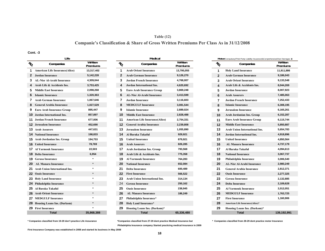# **Table (12) Companie's Classification & Share of Gross Written Premiums Per Class As in 31/12/2008**

**Cont. -3**

|                | Life                                   |                     |              |                         |
|----------------|----------------------------------------|---------------------|--------------|-------------------------|
| NO             | Companies                              | Written<br>Premiums | No.          | Com                     |
| 1              | <b>American Life Insurance (Alico)</b> | 13,317,402          | 1            | <b>Arab Orient Insu</b> |
| $\overline{2}$ | <b>Jordan Insurance</b>                | 5,142,228           | $\mathbf{2}$ | Arab German In          |
| 3              | <b>AL-Nisr Al-Arabi Insurance</b>      | 4,309,044           | 3            | Jordan French Iı        |
| 4              | Arab Life & Accidents Ins.             | 3,753,425           | 4            | Jordan Internati        |
| 5              | <b>Middle East Insurance</b>           | 2,098,268           | 5            | <b>Euro Arab Insur</b>  |
| 6              | <b>Islamic Insurance</b>               | 1,320,363           | 6            | <b>AL-Nisr Al-Arab</b>  |
| 7              | <b>Arab German Insurance</b>           | 1,067,646           | 7            | <b>Jordan Insuranc</b>  |
| 8              | <b>General Arabia Insurance</b>        | 1,027,529           | 8            | <b>MEDGULF Insu</b>     |
| 9              | <b>Euro Arab Insurance Group</b>       | 895,447             | 9            | <b>Islamic Insuranc</b> |
| 10             | Jordan International Ins.              | 857,897             | 10           | <b>Middle East Insu</b> |
| 11             | Jordan French Insurance                | 677,006             | 11           | American Life In        |
| 12             | <b>Jerusalem Insurance</b>             | 452,690             | 12           | <b>General Arabia l</b> |
| 13             | <b>Arab Assurers</b>                   | 447,631             | 13           | Jerusalem Insura        |
|                | <b>14</b> National Insurance           | 198,833             | 14           | Al Baraka Takaf         |
|                | <b>15</b> Arab Jordanian Ins. Group    | 194,753             | 15           | <b>United Insurance</b> |
|                | <b>16</b> United Insurance             | 78,769              | 16           | <b>Arab Assurers</b>    |
| 17             | <b>Al Yarmouk Insurance</b>            | 22,503              | 17           | Arab Jordanian          |
| 18             | <b>Delta Insurance</b>                 | 6,954               | 18           | Arab Life & Acci        |
|                | <b>19 Gerasa Insurance</b>             | ÷                   | 19           | Al Yarmouk Insu         |
| 20             | <b>AL Manara Insurance</b>             |                     | 20           | <b>National Insuran</b> |
| 21             | <b>Arab Union International Ins.</b>   | $\star$             | 21           | <b>Delta Insurance</b>  |
|                | <b>22 Oasis Insurance</b>              | ÷                   | 22           | <b>First Insurance</b>  |
| 23             | <b>Holy Land Insurance</b>             |                     | 23           | <b>Arab Union Inter</b> |
| 24             | Philadelphia Insurance                 | $\star$             | 24           | <b>Gerasa Insuranc</b>  |
| 25             | Al Baraka Takaful                      | ÷                   | 25           | <b>Oasis Insurance</b>  |
| 26             | <b>Arab Orient Insurance</b>           |                     | 26           | <b>AL Manara Insu</b>   |
| 27             | <b>MEDGULF Insurance</b>               | ÷                   | 27           | Philadelphia Insu       |
|                | 28 Housing Loans Ins. (Darkom)         |                     | 28           | <b>Holy Land Insur</b>  |
| 29             | <b>First Insurance</b>                 |                     | 29           | <b>Housing Loans In</b> |
|                | Total                                  | 35.868.388          |              | Total                   |

|                                    |                     |                 |                                       |                     |                 | <b>MOLOI</b> (Compaisory (Trillia Tarty Elability Insurance/&Compictionsive(Ov | vn Daniagos         |
|------------------------------------|---------------------|-----------------|---------------------------------------|---------------------|-----------------|--------------------------------------------------------------------------------|---------------------|
| Companies                          | Written<br>Premiums | $\mathcal{U}_O$ | Companies                             | Written<br>Premiums | $\mathcal{U}_O$ | Companies                                                                      | Written<br>Premiums |
| 1 American Life Insurance(Alico)   | 13,317,402          |                 | <b>Arab Orient Insurance</b>          | 13,795,055          | 1               | <b>Holy Land Insurance</b>                                                     | 11,911,886          |
| 2 Jordan Insurance                 | 5,142,228           | 2               | <b>Arab German Insurance</b>          | 9,126,270           | $\mathbf{2}$    | <b>Arab German Insurance</b>                                                   | 9,186,043           |
| 3 AL-Nisr Al-Arabi Insurance       | 4,309,044           | 3.              | <b>Jordan French Insurance</b>        | 4,768,007           | 3               | <b>Arab Orient Insurance</b>                                                   | 9,133,548           |
| 4 Arab Life & Accidents Ins.       | 3,753,425           | 4               | <b>Jordan International Ins.</b>      | 4,620,692           | 4               | Arab Life & Accidents Ins.                                                     | 8,044,269           |
| 5 Middle East Insurance            | 2,098,268           | 5.              | <b>Euro Arab Insurance Group</b>      | 3,869,248           | 5               | <b>Jordan Insurance</b>                                                        | 8,007,923           |
| <b>6</b> Islamic Insurance         | 1,320,363           |                 | AL-Nisr Al-Arabi Insurance            | 3,413,599           | 6               | <b>Arab Assurers</b>                                                           | 7,485,063           |
| <b>Arab German Insurance</b>       | 1,067,646           | 7               | <b>Jordan Insurance</b>               | 3,116,603           | 7               | <b>Jordan French Insurance</b>                                                 | 7,252,433           |
| 8 General Arabia Insurance         | 1,027,529           | 8               | <b>MEDGULF Insurance</b>              | 3,081,544           | 8               | <b>Islamic Insurance</b>                                                       | 6,308,195           |
| <b>9</b> Euro Arab Insurance Group | 895,447             | 9               | <b>Islamic Insurance</b>              | 2,889,024           | 9               | <b>Jerusalem Insurance</b>                                                     | 6,165,261           |
| <b>0</b> Jordan International Ins. | 857,897             | 10              | <b>Middle East Insurance</b>          | 2,828,488           | 10              | Arab Jordanian Ins. Group                                                      | 6,152,287           |
| 1 Jordan French Insurance          | 677,006             | 11.             | <b>American Life Insurance(Alico)</b> | 2,754,331           | 11              | <b>Euro Arab Insurance Group</b>                                               | 6,115,744           |
| 2 Jerusalem Insurance              | 452,690             | 12              | <b>General Arabia Insurance</b>       | 2,239,808           | 12              | <b>Middle East Insurance</b>                                                   | 5,850,887           |
| 3 Arab Assurers                    | 447,631             | 13              | <b>Jerusalem Insurance</b>            | 1,055,890           | 13              | <b>Arab Union International Ins.</b>                                           | 5,654,783           |
| <b>4</b> National Insurance        | 198,833             | 14              | Al Baraka Takaful                     | 929,921             | 14              | Jordan International Ins.                                                      | 4,918,896           |
| 5 Arab Jordanian Ins. Group        | 194,753             | 15.             | <b>United Insurance</b>               | 879,921             | 15              | <b>United Insurance</b>                                                        | 4,850,564           |
| <b>6</b> United Insurance          | 78,769              | 16.             | <b>Arab Assurers</b>                  | 826,285             | 16              | <b>AL Manara Insurance</b>                                                     | 4,737,179           |
| <b>7</b> Al Yarmouk Insurance      | 22,503              | 17              | Arab Jordanian Ins. Group             | 793,568             | 17              | Al Baraka Takaful                                                              | 4,094,613           |
| <b>8</b> Delta Insurance           | 6,954               | 18              | Arab Life & Accidents Ins.            | 775,358             | 18              | <b>National Insurance</b>                                                      | 3,067,737           |
| 9 Gerasa Insurance                 |                     | 19              | <b>Al Yarmouk Insurance</b>           | 764,283             | 19              | Philadelphia Insurance                                                         | 3,006,540           |
| 20 AL Manara Insurance             | $\star$             | 20              | <b>National Insurance</b>             | 652,084             | 20              | AL-Nisr Al-Arabi Insurance                                                     | 2,980,249           |
| 21 Arab Union International Ins.   |                     | 21              | <b>Delta Insurance</b>                | 600,489             | 21              | <b>General Arabia Insurance</b>                                                | 2,812,371           |
| 22 Oasis Insurance                 | $\star$             | 22.             | <b>First Insurance</b>                | 566,522             | 22              | <b>Oasis Insurance</b>                                                         | 2,277,325           |
| 23 Holy Land Insurance             |                     | 23              | Arab Union International Ins.         | 314,134             | 23              | <b>Gerasa Insurance</b>                                                        | 2,132,885           |
| 24 Philadelphia Insurance          |                     | 24              | <b>Gerasa Insurance</b>               | 250,162             | 24              | <b>Delta Insurance</b>                                                         | 2,109,628           |
| 25 Al Baraka Takaful               |                     | 25              | <b>Oasis Insurance</b>                | 238,945             | 25              | <b>Al Yarmouk Insurance</b>                                                    | 2,012,051           |
| 26 Arab Orient Insurance           |                     | 26              | <b>AL Manara Insurance</b>            | 186,249             | 26              | <b>MEDGULF Insurance</b>                                                       | 1,763,725           |
| 27 MEDGULF Insurance               |                     | 27              | Philadelphia Insurance*               |                     | 27              | <b>First Insurance</b>                                                         | 1,160,906           |
| 28 Housing Loans Ins. (Darkom)     |                     | 28              | <b>Holy Land Insurance*</b>           |                     | 28              | American Life Insurance(Alico)*                                                |                     |
| 29 First Insurance                 |                     | 29              | Housing Loans Ins. (Darkom)*          |                     | 29              | Housing Loans Ins. (Darkom)*                                                   |                     |
| Total                              | 35.868.388          |                 | Total                                 | 65.336.480          |                 | Total                                                                          | 139.192.99          |

|                     |                        | <b>Medical</b>                        |                     | Motor(Compulsory(Third Party Liability Insurance)&Comprehensive(Own Damages)) |                 |                                   |                     |  |  |
|---------------------|------------------------|---------------------------------------|---------------------|-------------------------------------------------------------------------------|-----------------|-----------------------------------|---------------------|--|--|
| Written<br>Premiums | $\tilde{\psi}_{\rm O}$ | Companies                             | Written<br>Premiums |                                                                               | $\mathcal{U}_O$ | Companies                         | Written<br>Premiums |  |  |
| 13,317,402          | 1                      | <b>Arab Orient Insurance</b>          | 13,795,055          |                                                                               | $\mathbf{1}$    | <b>Holy Land Insurance</b>        | 11,911,886          |  |  |
| 5,142,228           | $\mathbf{2}$           | <b>Arab German Insurance</b>          | 9,126,270           |                                                                               | $\overline{2}$  | <b>Arab German Insurance</b>      | 9,186,043           |  |  |
| 4,309,044           | 3                      | <b>Jordan French Insurance</b>        | 4,768,007           |                                                                               | 3               | <b>Arab Orient Insurance</b>      | 9,133,548           |  |  |
| 3,753,425           | 4                      | Jordan International Ins.             | 4,620,692           |                                                                               | 4               | Arab Life & Accidents Ins.        | 8,044,269           |  |  |
| 2,098,268           | 5                      | <b>Euro Arab Insurance Group</b>      | 3,869,248           |                                                                               | 5               | <b>Jordan Insurance</b>           | 8,007,923           |  |  |
| 1,320,363           | 6                      | <b>AL-Nisr Al-Arabi Insurance</b>     | 3,413,599           |                                                                               | 6               | <b>Arab Assurers</b>              | 7,485,063           |  |  |
| 1,067,646           | 7                      | <b>Jordan Insurance</b>               | 3,116,603           |                                                                               | $\overline{7}$  | <b>Jordan French Insurance</b>    | 7,252,433           |  |  |
| 1,027,529           | 8                      | <b>MEDGULF Insurance</b>              | 3,081,544           |                                                                               | 8               | <b>Islamic Insurance</b>          | 6,308,195           |  |  |
| 895,447             | 9                      | <b>Islamic Insurance</b>              | 2,889,024           |                                                                               | 9               | <b>Jerusalem Insurance</b>        | 6,165,261           |  |  |
| 857,897             | 10                     | <b>Middle East Insurance</b>          | 2,828,488           |                                                                               | 10              | Arab Jordanian Ins. Group         | 6,152,287           |  |  |
| 677,006             | 11                     | <b>American Life Insurance(Alico)</b> | 2,754,331           |                                                                               | 11              | Euro Arab Insurance Group         | 6,115,744           |  |  |
| 452,690             | 12                     | <b>General Arabia Insurance</b>       | 2,239,808           |                                                                               | 12              | <b>Middle East Insurance</b>      | 5,850,887           |  |  |
| 447,631             | 13                     | <b>Jerusalem Insurance</b>            | 1,055,890           |                                                                               | 13              | Arab Union International Ins.     | 5,654,783           |  |  |
| 198,833             | 14                     | Al Baraka Takaful                     | 929,921             |                                                                               | 14              | <b>Jordan International Ins.</b>  | 4,918,896           |  |  |
| 194,753             | 15                     | <b>United Insurance</b>               | 879,921             |                                                                               | 15              | <b>United Insurance</b>           | 4,850,564           |  |  |
| 78,769              | 16                     | <b>Arab Assurers</b>                  | 826,285             |                                                                               | 16              | <b>AL Manara Insurance</b>        | 4,737,179           |  |  |
| 22,503              | 17                     | Arab Jordanian Ins. Group             | 793,568             |                                                                               | 17              | Al Baraka Takaful                 | 4,094,613           |  |  |
| 6,954               | 18                     | Arab Life & Accidents Ins.            | 775,358             |                                                                               | 18              | <b>National Insurance</b>         | 3,067,737           |  |  |
|                     | 19                     | <b>Al Yarmouk Insurance</b>           | 764,283             |                                                                               | 19              | Philadelphia Insurance            | 3,006,540           |  |  |
| $\star$             | 20                     | <b>National Insurance</b>             | 652,084             |                                                                               | 20              | <b>AL-Nisr Al-Arabi Insurance</b> | 2,980,249           |  |  |
| $\star$             | 21                     | <b>Delta Insurance</b>                | 600,489             |                                                                               | 21              | <b>General Arabia Insurance</b>   | 2,812,371           |  |  |
| $\star$             | 22                     | <b>First Insurance</b>                | 566,522             |                                                                               | 22              | <b>Oasis Insurance</b>            | 2,277,325           |  |  |
|                     | 23                     | <b>Arab Union International Ins.</b>  | 314,134             |                                                                               | 23              | <b>Gerasa Insurance</b>           | 2,132,885           |  |  |
|                     | 24                     | <b>Gerasa Insurance</b>               | 250,162             |                                                                               | 24              | <b>Delta Insurance</b>            | 2,109,628           |  |  |
|                     | 25                     | <b>Oasis Insurance</b>                | 238,945             |                                                                               | 25              | Al Yarmouk Insurance              | 2,012,051           |  |  |
| $\star$             | 26                     | <b>AL Manara Insurance</b>            | 186,249             |                                                                               | 26              | <b>MEDGULF Insurance</b>          | 1,763,725           |  |  |
| $\star$             | 27                     | Philadelphia Insurance*               |                     |                                                                               | 27              | <b>First Insurance</b>            | 1,160,906           |  |  |
| $\star$             | 28                     | <b>Holy Land Insurance*</b>           |                     |                                                                               | 28              | American Life Insurance(Alico)*   |                     |  |  |
|                     | 29                     | Housing Loans Ins. (Darkom)*          |                     |                                                                               | 29              | Housing Loans Ins. (Darkom)*      |                     |  |  |
| 35,868,388          |                        | Total                                 | 65,336,480          |                                                                               |                 | <b>Total</b>                      | 139,192,991         |  |  |
|                     |                        |                                       |                     |                                                                               |                 |                                   |                     |  |  |

**\* Companies classified from 19-29 don't practice Life Assurance \*Companies classified from 27-29 dont practice Medical Insurance but Philadelphia Insurance company Started practicing medical Insurance in 2009**

**\* Companies classified from 28-29 dont practice motor Insurance**

**First Insurance Company was established in 2008 and started its business in May 2008**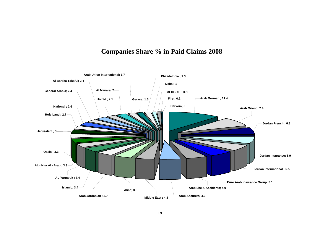# **Companies Share % in Paid Claims 2008**

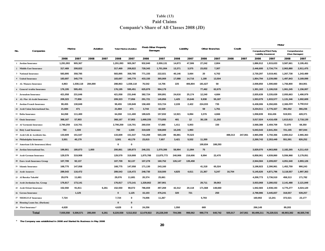# **Paid Claims Companie's Share of All Classes 2008 (JD) Table (13)**

|     |                                   | Marine<br>Aviation |           | <b>Total Marine+Aviation</b> |       | Fire& Other Property |              | Liability  |            |         |         |                       |         |         | Motor   |                                |                       |                                |            |
|-----|-----------------------------------|--------------------|-----------|------------------------------|-------|----------------------|--------------|------------|------------|---------|---------|-----------------------|---------|---------|---------|--------------------------------|-----------------------|--------------------------------|------------|
| No. | Companies                         |                    |           |                              |       |                      |              |            | Damages    |         |         | <b>Other Branches</b> |         | Credit  |         | <b>Compulsory</b> (Third Party | Liability Insurance)  | Comprehensive<br>(Own Damages) |            |
|     |                                   | 2008               | 2007      | 2008                         | 2007  | 2008                 | 2007         | 2008       | 2007       | 2008    | 2007    | 2008                  | 2007    | 2008    | 2007    | 2008                           | 2007                  | 2008                           | 2007       |
|     | 1 Jordan Insurance                | 1,291,093          | 905,367   |                              |       | 1,291,093            | 905,367      | 932,840    | 2,059,131  | 14,873  | 47,506  | 27,242                | 2,804   |         |         | 1,886,912                      | 1,915,633             | 3,587,661                      | 3,195,451  |
|     | 2 Middle East Insurance           | 317,469            | 208,822   |                              |       | 317,469              | 208,822      | 728,343    | 1,701,004  | 13,371  | 3,575   | 23,832                | 7,307   |         |         | 2,446,600                      | 2,734,774             | 2,963,880                      | 2,911,475  |
|     | <b>National Insurance</b>         | 583,895            | 358,785   |                              |       | 583,895              | 358,785      | 771,155    | 222,021    | 40,146  | 3,664   | 20                    | 6,702   |         |         | 2,730,297                      | 3,019,461             | 1,267,738                      | 1,243,489  |
|     | 4 United Insurance                | 183,697            | 345,770   |                              |       | 183,697              | 345,770      | 433,150    | 365,069    | 17,088  | 14,716  | 1,180                 | 13,504  |         |         | 1,854,794                      | 2,239,080             | 1,497,843                      | 3,169,099  |
|     | 5 AL Manara Insurance             | 4,863              | 1,038,118 | 284,000                      |       | 288,863              | 1,038,118    | 76,542     | 14,706     | 225     | 406,804 | 181,627               | 58      |         |         | 2,008,850                      | 1,590,660             | 1,756,800                      | 364,901    |
|     | 6 General Arabia Insurance        | 176,195            | 595,451   |                              |       | 176,195              | 595,451      | 625,879    | 994,179    |         |         | 77,462                | 62,675  |         |         | 1,301,163                      | 1,106,018             | 1,061,245                      | 1,156,007  |
|     | 7 Jerusalem Insurance             | 421,058            | 231,646   |                              |       | 421,058              | 231,646      | 382,724    | 300,891    | 24,616  | 25,174  | 12,240                | 4,684   |         |         | 2,835,639                      | 3,335,639             | 2,055,663                      | 1,490,979  |
|     | 8 AL-Nisr Al-Arabi Insurance      | 209,323            | 77,856    |                              |       | 209,323              | 77,856       | 291,721    | 145,856    | 1,425   | 15,646  | 9,938                 | 55,187  |         |         | 1,553,079                      | 1,933,577             | 1,131,346                      | 1,002,609  |
|     | 9 Jordan French Insurance         | 99,455             | 130,849   |                              |       | 99,455               | 130,849      | 158,400    | 315,724    | 2,228   | 2,422   | 224,033               | 735     |         |         | 6,438,006                      | 6,350,655             | 2,300,224                      | 3,750,612  |
|     | 10 Arab Union International Ins.  | 21,684             | 471       |                              |       | 21,684               | 471          | 3,744      | 42,520     |         |         | 59                    | 1,761   |         |         | 3,234,511                      | 2,776,327             | 391,552                        | 366,236    |
|     | 11 Delta Insurance                | 64,268             | 111,400   |                              |       | 64,268               | 111,400      | 189,625    | 157,832    | 12,921  | 6,894   | 3,376                 | 4,666   |         |         | 1,058,839                      | 816,436               | 519,931                        | 428,371    |
|     | 12 Oasis Insurance                | 368,167            | 57.903    |                              |       | 368,167              | 57,903       | 1,668,335  | 773.055    | 481     | 12      | 38,136                | 11,202  |         |         | 3,017,024                      | 4,416,438             | 1,613,613                      | 2,718,130  |
|     | 13 Al Yarmouk Insurance           | 2,790,259          | 116,701   |                              |       | 2,790,259            | 116,701      | 260,034    | 57,885     | 1,411   | 5,003   |                       | 150     |         |         | 3,568,388                      | 2,459,709             | 72,070                         | 68,350     |
|     | 14 Holy Land Insurance            | 760                | 1,500     |                              |       | 760                  | 1,500        | 319,029    | 538,800    | 10,245  | 1,993   |                       |         |         |         | 5,043,543                      | 2,641,354             | 721,165                        | 697,044    |
|     | 15 Arab Life & Accidents Ins.     | 133,609            | 151,547   |                              |       | 133,609              | 151,547      | 716,269    | 565,189    | 86,881  | 70,523  |                       |         | 488.313 | 247,061 | 3,965,098                      | 3.750.366             | 2,893,612                      | 2,965,363  |
|     | 16 Philadelphia Insurance         | 3,501              | 40,179    |                              |       | 3,501                | 40,179       | 23,815     | 7,657      | 3,421   | 5,532   | 11,300                |         |         |         | 2,269,743                      | 2,353,449             | 551,591                        | 826,252    |
|     | 17 American Life Insurance(Alico) |                    |           |                              |       | $\mathbf{0}$         | 0            |            |            |         |         | 100,834               | 188,293 |         |         |                                |                       |                                |            |
|     | 18 Jordan International Ins.      | 199,861            | 180,873   | 1,000                        |       | 200,861              | 180,873      | 246,331    | 1,070,306  | 58,994  | 11,084  | 75                    |         |         |         | 3,829,070                      | 4,963,868             | 2,182,265                      | 4,211,410  |
|     | 19 Arab German Insurance          | 129,579            | 319,908   |                              |       | 129,579              | 319,908      | 1,875,788  | 13,875,773 | 240,906 | 216,606 | 8,994                 | 22,470  |         |         | 6,858,061                      | 4,939,860             | 5,556,968                      | 3,179,051  |
|     | 20 Euro Arab Insurance Group      | 107,709            | 92,137    |                              |       | 107,709              | 92,137       | 107,278    | 160,752    | 126,147 | 135,458 |                       |         |         |         | 2,944,584                      | 2,209,657             | 4,051,540                      | 2,893,126  |
|     | 21 Islamic Insurance              | 168,775            | 147,058   |                              |       | 168,775              | 147,058      | 171,130    | 243,160    |         |         | 41,318                | 65,324  |         |         | 3,198,923                      | 2,390,961             | 1,452,759                      | 990,243    |
|     | 22 Arab Assurers                  | 289,543            | 116,472   |                              |       | 289,543              | 116,472      | 248,730    | 318,500    | 4.825   | 4,611   | 21,367                | 5,247   | 16,704  |         | 5,145,626                      | 4,871,796             | 3,118,557                      | 1,997,363  |
|     | 23 Al Baraka Takaful              | 29,076             | 11,681    |                              |       | 29,076               | 11,681       | 20,374     | 25,661     |         |         |                       |         |         |         | 4,208,773                      | 3,736,510             | 458,313                        | 171,782    |
|     | 24 Arab Jordanian Ins. Group      | 176,817            | 173,141   |                              |       | 176,817              | 173,141      | 1,328,662  | 287,901    |         |         | 29,711                | 39,063  |         |         | 3,933,068                      | 3,280,032             | 2,141,488                      | 2,121,849  |
|     | 25 Arab Orient Insurance          | 152,550            | 91,811    |                              | 6,261 | 152,550              | 98,072       | 786,659    | 497,269    | 42,312  | 20,118  | 171,568               | 148,660 |         |         | 1,942,583                      | 2,938,193             | 4,775,277                      | 4,024,120  |
|     | 26 Gerasa Insurance               |                    | 1,125     |                              |       | $\mathbf 0$          | 1,125        | 15,103     | 476,241    | 320     | 721     |                       | 250     |         |         | 2,798,986                      | 3,445,837             | 318,557                        | 539,257    |
|     | 27 MEDGULF Insurance              | 7,724              |           |                              |       | 7,724                | $\mathbf{0}$ | 74,006     | 11,267     |         |         | 5,793                 |         |         |         | 160,902                        | 13,241                | 372,521                        | 23,177     |
|     | 28 Housing Loans Ins. (Darkom)    |                    |           |                              |       | $\mathbf{0}$         | $\bf{0}$     |            |            |         |         |                       |         |         |         |                                |                       |                                |            |
|     | 29 First Insurance*               | 4,628              |           |                              |       | 4,628                | 0            | 24,256     |            | 1,550   |         | 669                   |         |         |         | 266,149                        |                       | 89.203                         |            |
|     | <b>Total</b>                      | 7.935.558          | 5.506.571 | 285.000                      | 6.261 | 8,220,558            | 5.512.832    | 12.479.922 | 25.228.349 | 704,386 | 998.062 | 990.774               | 640.742 | 505.017 | 247.061 |                                | 80,499,211 76,229,531 | 48.903.382                     | 46.505.746 |

\* **The Company was established in 2008 and Started its Business in May 2008**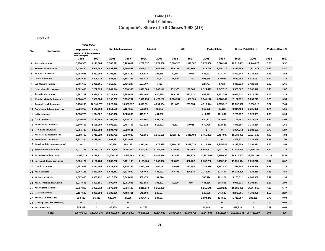# **Table (13) Paid Claims Companie's Share of All Classes 2008 (JD)**

**nt.-2 Co**

|     |                                   | <b>Total Motor</b>                                                                 |             |                     |              |            |            |            |            |              |              |             |                   |                  |       |
|-----|-----------------------------------|------------------------------------------------------------------------------------|-------------|---------------------|--------------|------------|------------|------------|------------|--------------|--------------|-------------|-------------------|------------------|-------|
| No. | Companies                         | <b>Compulsory</b> (Third Party<br>Liability Ins.) & Comprehensive<br>(Own Damages) |             | Non Life Insurances |              | Medical    |            | Life       |            |              | Medical+Life |             | Gross Paid Claims | Market s Share % |       |
|     |                                   | 2008                                                                               | 2007        | 2008                | 2007         | 2008       | 2007       | 2008       | 2007       | 2008         | 2007         | 2008        | 2007              | 2008             | 2007  |
|     | 1 Jordan Insurance                | 5,474,573                                                                          | 5,111,084   | 7,740,621           | 8,125,892    | 1,707,337  | 1,071,600  | 3,368,523  | 1,949,387  | 5,075,860    | 3,020,987    | 12,816,481  | 11,146,879        | 5.85             | 5.37  |
|     | 2 Middle East Insurance           | 5,410,480                                                                          | 5,646,249   | 6,493,495           | 7,566,957    | 2,048,527  | 1,641,210  | 780,237    | 892,906    | 2,828,764    | 2,534,116    | 9,322,259   | 10,101,073        | 4.26             | 4.87  |
|     | 3 National Insurance              | 3,998,035                                                                          | 4,262,950   | 5,393,251           | 4,854,122    | 395,849    | 298,386    | 40,244     | 74,991     | 436,093      | 373,377      | 5,829,344   | 5,227,499         | 2.66             | 2.52  |
|     | 4 United Insurance                | 3,352,637                                                                          | 5,408,179   | 3,987,752           | 6,147,238    | 660,410    | 739,643    | 31,200     | 31,300     | 691,610      | 770,943      | 4,679,362   | 6,918,181         | 2.14             | 3.33  |
|     | 5 AL Manara Insurance             | 3,765,650                                                                          | 1,955,561   | 4,312,907           | 3,415,247    | 127,707    | 5,429      |            |            | 127,707      | 5,429        | 4,440,614   | 3,420,676         | 2.03             | 1.65  |
|     | 6 General Arabia Insurance        | 2,362,408                                                                          | 2,262,025   | 3,241,944           | 3,914,330    | 1,871,503  | 1,848,142  | 252,920    | 199,568    | 2,124,423    | 2,047,710    | 5,366,367   | 5,962,040         | 2.45             | 2.87  |
|     | 7 Jerusalem Insurance             | 4,891,302                                                                          | 4,826,618   | 5,731,940           | 5,389,013    | 680,405    | 630,385    | 269,187    | 493,322    | 949,592      | 1,123,707    | 6,681,532   | 6,512,720         | 3.05             | 3.14  |
|     | 8 AL-Nisr Al-Arabi Insurance      | 2,684,425                                                                          | 2,936,186   | 3,196,832           | 3,230,731    | 2,570,753  | 2,470,162  | 1,370,367  | 1,558,820  | 3,941,120    | 4,028,982    | 7,137,952   | 7,259,713         | 3.26             | 3.50  |
|     | 9 Jordan French Insurance         | 8,738,230                                                                          | 10,101,267  | 9,222,346           | 10,550,997   | 4,078,691  | 4,694,564  | 431,853    | 291,354    | 4,510,544    | 4,985,918    | 13,732,890  | 15,536,915        | 6.27             | 7.49  |
|     | 10 Arab Union International Ins.  | 3,626,063                                                                          | 3,142,563   | 3,651,550           | 3,187,315    | 162,902    | 48,111     |            |            | 162,902      | 48,111       | 3,814,452   | 3,235,426         | 1.74             | 1.56  |
|     | 11 Delta Insurance                | 1,578,770                                                                          | 1,244,807   | 1,848,960           | 1,525,599    | 411,317    | 401,002    |            |            | 411,317      | 401,002      | 2,260,277   | 1,926,601         | 1.03             | 0.93  |
|     | 12 Oasis Insurance                | 4,630,637                                                                          | 7,134,568   | 6,705,756           | 7,976,740    | 440,801    | 453,006    |            |            | 440,801      | 453,006      | 7,146,557   | 8,429,746         | 3.26             | 4.06  |
|     | 13 Al Yarmouk Insurance           | 3,640,458                                                                          | 2,528,059   | 6,692,162           | 2,707,798    | 602,928    | 512,601    | 76,807     | 20,035     | 679,735      | 532,636      | 7,371,897   | 3,240,434         | 3.37             | 1.56  |
|     | 14 Holy Land Insurance            | 5,764,708                                                                          | 3,338,398   | 6,094,742           | 3,880,691    |            |            |            |            | $\mathbf{0}$ | $\mathbf{0}$ | 6,094,742   | 3,880,691         | 2.78             | 1.87  |
|     | 15 Arab Life & Accidents Ins.     | 6,858,710                                                                          | 6,715,729   | 8,283,782           | 7,750,049    | 732,561    | 1,045,629  | 1,722,740  | 1,411,468  | 2,455,301    | 2,457,097    | 10,739,083  | 10,207,146        | 4.90             | 4.92  |
|     | 16 Philadelphia Insurance         | 2,821,334                                                                          | 3,179,701   | 2,863,371           | 3,233,069    |            |            |            |            | $\bf{0}$     | $\bf{0}$     | 2,863,371   | 3,233,069         | 1.31             | 1.56  |
|     | 17 American Life Insurance(Alico) | 0                                                                                  | 0           | 100,834             | 188,293      | 1,921,661  | 1,876,495  | 6,196,355  | 5,329,034  | 8,118,016    | 7,205,529    | 8,218,850   | 7,393,822         | 3.75             | 3.56  |
|     | 18 Jordan International Ins.      | 6,011,335                                                                          | 9,175,278   | 6,517,596           | 10,437,541   | 5,241,267  | 4,169,760  | 325,636    | 231,965    | 5,566,903    | 4,401,725    | 12,084,499  | 14,839,266        | 5.52             | 7.15  |
|     | 19 Arab German Insurance          | 12,415,029                                                                         | 8,118,911   | 14,670,296          | 22,553,668   | 9,790,021  | 5,445,616  | 467,486    | 534,879    | 10,257,507   | 5,980,495    | 24,927,803  | 28,534,163        | 11.39            | 13.75 |
|     | 20 Euro Arab Insurance Group      | 6,996,124                                                                          | 5,102,783   | 7,337,258           | 5,491,130    | 3,171,466  | 1,762,396  | 586,320    | 352,752    | 3,757,786    | 2,115,148    | 11,095,044  | 7,606,278         | 5.07             | 3.67  |
|     | 21 Islamic Insurance              | 4,651,682                                                                          | 3,381,204   | 5,032,905           | 3,836,746    | 1,980,406  | 1,460,172  | 406,533    | 397,648    | 2,386,939    | 1,857,820    | 7,419,844   | 5,694,566         | 3.39             | 2.74  |
|     | 22 Arab Assurers                  | 8,264,183                                                                          | 6,869,159   | 8,845,352           | 7,313,989    | 728,468    | 446,931    | 448,475    | 224,536    | 1,176,943    | 671,467      | 10,022,295  | 7,985,456         | 4.58             | 3.85  |
|     | 23 Al Baraka Takaful              | 4,667,086                                                                          | 3,908,292   | 4,716,536           | 3,945,634    | 568,476    | 101,274    |            |            | 568,476      | 101,274      | 5,285,012   | 4,046,908         | 2.41             | 1.95  |
|     | 24 Arab Jordanian Ins. Group      | 6,074,556                                                                          | 5,401,881   | 7,609,746           | 5,901,986    | 381,580    | 306,101    | 50,000     | 760        | 431,580      | 306,861      | 8,041,326   | 6,208,847         | 3.67             | 2.99  |
|     | 25 Arab Orient Insurance          | 6,717,860                                                                          | 6,962,313   | 7,870,949           | 7,726,432    | 8,215,149  | 6,318,233  |            |            | 8,215,149    | 6,318,233    | 16,086,098  | 14,044,665        | 7.35             | 6.77  |
|     | 26 Gerasa Insurance               | 3,117,543                                                                          | 3,985,094   | 3,132,966           | 4,463,431    | 145,699    | 245,527    |            |            | 145,699      | 245,527      | 3,278,665   | 4,708,958         | 1.50             | 2.27  |
|     | 27 MEDGULF Insurance              | 533,423                                                                            | 36,418      | 620,946             | 47,685       | 1,094,441  | 134,567    |            |            | 1,094,441    | 134,567      | 1,715,387   | 182,252           | 0.78             | 0.09  |
|     | 28 Housing Loans Ins. (Darkom)    | $\mathbf 0$                                                                        | $\bf{0}$    | $\bf{0}$            | $\mathbf 0$  |            |            |            |            | $\bf{0}$     | $\mathbf{0}$ | $\bf{0}$    | $\mathbf 0$       | 0.00             | 0.00  |
|     | 29 First Insurance                | 355,352                                                                            | $\mathbf 0$ | 386,455             | $\mathbf{0}$ | 92,783     |            |            |            | 92,783       | 0            | 479,238     | $\Omega$          | 0.22             | 0.00  |
|     | <b>Total</b>                      | 129,402,593                                                                        | 122,735,277 | 152,303,250         | 155,362,323  | 49,823,108 | 38,126,942 | 16,824,883 | 13,994,725 | 66,647,991   | 52,121,667   | 218,951,241 | 207.483.990       | 100              | 100   |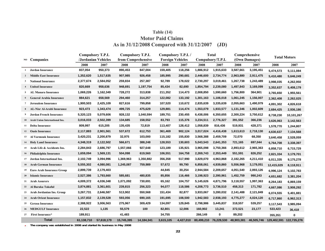# **As in 31/12/2008 Compared with 31/12/2007 (JD) Table (14) Motor Paid Claims**

|                |                                  |            | <b>Compulsory T.P.L</b>   |                    | <b>Compulsory T.P.L</b> | Compulsory T.P.L        |           |           | Total                 | Comprehensive |            |                         | <b>Total Motors</b> |
|----------------|----------------------------------|------------|---------------------------|--------------------|-------------------------|-------------------------|-----------|-----------|-----------------------|---------------|------------|-------------------------|---------------------|
|                | NO Companies                     |            | <b>Jordanian Vehicles</b> | from Comprehensive |                         | <b>Foreign Vehicles</b> |           |           | Compulsory/T.P.L      | (Own Damages) |            |                         |                     |
|                |                                  | 2008       | 2007                      | 2008               | 2007                    | 2008                    | 2007      | 2008      | 2007                  | 2008          | 2007       | 2008                    | 2007                |
| $\mathbf{1}$   | <b>Jordan Insurance</b>          | 837,054    | 950,373                   | 890,453            | 847,004                 | 159,405                 | 118,256   | 1,886,912 | 1,915,633             | 3,587,661     | 3,195,451  | 5,474,573               | 5,111,084           |
| $\overline{2}$ | <b>Middle East Insurance</b>     | 1,352,620  | 1,517,635                 | 907,985            | 926,458                 | 185,995                 | 290,681   | 2,446,600 | 2,734,774             | 2,963,880     | 2,911,475  | 5,410,480               | 5,646,249           |
| 3              | <b>National Insurance</b>        | 2,377,674  | 2,584,052                 | 259,834            | 257,387                 | 92,789                  | 178,022   | 2,730,297 | 3,019,461             | 1,267,738     | 1,243,489  | 3,998,035               | 4,262,950           |
|                | <b>United Insurance</b>          | 820,669    | 958,636                   | 948,691            | 1,197,754               | 85,434                  | 82,690    | 1,854,794 | 2,239,080             | 1,497,843     | 3,169,099  | 3,352,637               | 5,408,179           |
| 5              | <b>AL Manara Insurance</b>       | 1,069,226  | 1,162,349                 | 728,272            | 313,838                 | 211,352                 | 114,473   | 2,008,850 | 1,590,660             | 1,756,800     | 364,901    | 3,765,650               | 1,955,561           |
|                | <b>General Arabia Insurance</b>  | 884,621    | 658,569                   | 294,460            | 314,257                 | 122,082                 | 133,192   | 1,301,163 | 1,106,018             | 1,061,245     | 1,156,007  | 2,362,408               | 2,262,025           |
| 7              | Jerusalem Insurance              | 1,900,503  | 2,425,109                 | 827,616            | 799,858                 | 107,520                 | 110,672   | 2,835,639 | 3,335,639             | 2,055,663     | 1,490,979  | 4,891,302               | 4,826,618           |
|                | 8 AL-Nisr Al-Arabi Insurance     | 923,473    | 1,343,474                 | 499,725            | 475,629                 | 129,881                 | 114,474   | 1,553,079 | 1,933,577             | 1,131,346     | 1,002,609  | 2,684,425               | 2,936,186           |
| 9              | <b>Jordan French Insurance</b>   | 5,320,123  | 5,079,606                 | 928,132            | 1,040,594               | 189,751                 | 230,455   | 6,438,006 | 6,350,655             | 2,300,224     | 3,750,612  | 8,738,230               | 10,101,267          |
|                | 10 Arab Union International Ins. | 3,016,033  | 2,502,399                 | 134,685            | 158,552                 | 83,793                  | 115,376   | 3,234,511 | 2,776,327             | 391,552       | 366,236    | 3,626,063               | 3,142,563           |
| 11             | <b>Delta Insurance</b>           | 809,997    | 615,205                   | 135,435            | 72,819                  | 113,407                 | 128,412   | 1,058,839 | 816,436               | 519,931       | 428,371    | 1,578,770               | 1,244,807           |
|                | 12 Oasis Insurance               | 2,117,883  | 2,901,561                 | 537,672            | 612,753                 | 361,469                 | 902,124   | 3,017,024 | 4,416,438             | 1,613,613     | 2,718,130  | 4,630,637               | 7,134,568           |
| 13             | <b>Al Yarmouk Insurance</b>      | 3,420,231  | 2,200,879                 | 32,975             | 103,000                 | 115,182                 | 155,830   | 3,568,388 | 2,459,709             | 72,070        | 68,350     | 3,640,458               | 2,528,059           |
|                | 14 Holy Land Insurance           | 4,348,319  | 2,122,502                 | 566,671            | 388,248                 | 128,553                 | 130,603   | 5,043,543 | 2,641,353             | 721,165       | 697,044    | 5,764,708               | 3,338,397           |
| 15             | Arab Life & Accidents Ins.       | 2,284,843  | 2,686,797                 | 1,557,066          | 927,648                 | 123,189                 | 135,921   | 3,965,098 | 3,750,366             | 2,893,612     | 2,965,363  | 6,858,710               | 6,715,729           |
|                | 16 Philadelphia Insurance        | 1,659,094  | 1,569,131                 | 504,098            | 619,560                 | 106,551                 | 164,758   | 2,269,743 | 2,353,449             | 551,591       | 826,252    | 2,821,334               | 3,179,701           |
| 17             | Jordan International Ins.        | 2,102,749  | 3,094,996                 | 1,369,963          | 1,350,882               | 356,358                 | 517,990   | 3,829,070 | 4,963,868             | 2,182,265     | 4,211,410  | 6,011,335               | 9,175,278           |
|                | 18 Arab German Insurance         | 5,555,302  | 4,080,081                 | 1,245,087          | 759,989                 | 57,672                  | 99,790    | 6,858,061 | 4,939,860             | 5,556,968     | 3,179,051  | 12,415,029              | 8,118,911           |
| 19             | <b>Euro Arab Insurance Group</b> | 2,899,739  | 2,179,403                 |                    |                         | 44,845                  | 30,254    | 2,944,584 | 2,209,657             | 4,051,540     | 2,893,126  | 6,996,124               | 5,102,783           |
| 20             | <b>Islamic Insurance</b>         | 2,527,386  | 1,793,660                 | 585,681            | 480,835                 | 85,856                  | 116,466   | 3,198,923 | 2,390,961             | 1,452,759     | 990,243    | 4,651,682               | 3,381,204           |
| 21             | <b>Arab Assurers</b>             | 4,009,372  | 4,036,348                 | 1,071,092          | 730,691                 | 65,162                  | 104,757   | 5,145,626 | 4,871,796             | 3,118,557     | 1,997,363  | 8,264,183               | 6,869,159           |
|                | 22 Al Baraka Takaful             | 3,874,881  | 3,361,601                 | 239,815            | 256,323                 | 94,077                  | 118,586   | 4,208,773 | 3,736,510             | 458,313       | 171,782    | 4,667,086               | 3,908,292           |
| 23             | Arab Jordanian Ins. Group        | 3,267,731  | 2,646,587                 | 513,902            | 550,568                 | 151,434                 | 82,877    | 3,933,067 | 3,280,032             | 2,141,488     | 2,121,849  | 6,074,555               | 5,401,881           |
| 24             | <b>Arab Orient Insurance</b>     | 1,157,832  | 2,139,528                 | 593,056            | 690,165                 | 191,695                 | 108,500   | 1,942,583 | 2,938,193             | 4,775,277     | 4,024,120  | 6,717,860               | 6,962,313           |
| 25             | <b>Gerasa Insurance</b>          | 2,388,922  | 3,006,563                 | 275,967            | 309,429                 | 134,097                 | 129,845   | 2,798,986 | 3,445,837             | 318,557       | 539,257    | 3,117,543               | 3,985,094           |
| 26             | <b>MEDGULF Insurance</b>         | 22,522     | 1,135                     | 55,579             | 100                     | 82,801                  | 12,006    | 160,902   | 13,241                | 372,521       | 23,177     | 533,423                 | 36,418              |
| 27             | <b>First Insurance*</b>          | 189,911    |                           | 41,483             |                         | 34,755                  |           | 266,149   | 0                     | 89,202        |            | 355,351                 | 0                   |
|                | <b>Total</b>                     | 61,138,710 | 57,618,179                | 15,745,395         | 14,184,341              | 3,615,105               | 4,427,010 |           | 80,499,210 76,229,530 | 48,903,381    | 46,505,746 | 129,402,591 122,735,276 |                     |
|                |                                  |            |                           |                    |                         |                         |           |           |                       |               |            |                         |                     |

**\*The company was established in 2008 and started its business in May 2008**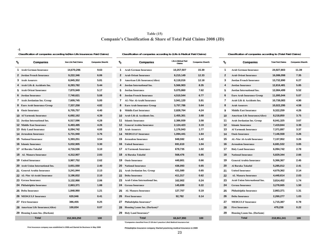### **Table (15) Companie's Classification & Share of Total Paid Claims 2008 (JD)**

**-1**

Classification of companies according to (Non Life Insurances Paid Claims) Classification of companies according to (Life & Medical Paid Claims) Classification of companies according to (Total Paid Claims)

| ≁                            | <b>Companies</b>                          | <b>Non Life Paid Claims</b> | <b>Companies Share%</b> | ∕∿ | <b>Companies</b>                        | Life & Midical Paid<br>Claims | <b>Companies Share%</b> | ∕°             | <b>Companies</b>                      | <b>Total Paid Claims</b> | <b>Companies Share%</b> |
|------------------------------|-------------------------------------------|-----------------------------|-------------------------|----|-----------------------------------------|-------------------------------|-------------------------|----------------|---------------------------------------|--------------------------|-------------------------|
|                              | 1 Arab German Insurance                   | 14,670,296                  | 9.63                    |    | 1 Arab German Insurance                 | 10,257,507                    | 15.39                   | -1             | <b>Arab German Insurance</b>          | 24,927,803               | 11.39                   |
|                              | 2 Jordan French Insurance                 | 9,222,346                   | 6.06                    |    | 2 Arab Orient Insurance                 | 8,215,149                     | 12.33                   | $\mathbf{2}$   | <b>Arab Orient Insurance</b>          | 16,086,098               | 7.35                    |
| 3 Arab Assurers              |                                           | 8,845,352                   | 5.81                    |    | <b>3</b> American Life Insurance(Alico) | 8,118,016                     | 12.18                   | 3              | <b>Jordan French Insurance</b>        | 13,732,890               | 6.27                    |
|                              | 4 Arab Life & Accidents Ins.              | 8,283,782                   | 5.44                    |    | 4 Jordan International Ins.             | 5,566,903                     | 8.35                    | 4              | <b>Jordan Insurance</b>               | 12,816,481               | 5.85                    |
|                              | <b>5</b> Arab Orient Insurance            | 7,870,949                   | 5.17                    |    | 5 Jordan Insurance                      | 5,075,860                     | 7.62                    | 5              | Jordan International Ins.             | 12,084,499               | 5.52                    |
| <b>6</b> Jordan Insurance    |                                           | 7,740,621                   | 5.08                    |    | <b>6</b> Jordan French Insurance        | 4,510,544                     | 6.77                    | 6              | <b>Euro Arab Insurance Group</b>      | 11,095,044               | 5.07                    |
|                              | 7 Arab Jordanian Ins. Group               | 7,609,745                   | 5.00                    |    | 7 AL-Nisr Al-Arabi Insurance            | 3,941,120                     | 5.91                    | $\overline{7}$ | Arab Life & Accidents Ins.            | 10,739,083               | 4.90                    |
|                              | <b>8</b> Euro Arab Insurance Group        | 7,337,258                   | 4.82                    |    | 8 Euro Arab Insurance Group             | 3,757,786                     | 5.64                    | 8              | <b>Arab Assurers</b>                  | 10,022,295               | 4.58                    |
| <b>9</b> Oasis Insurance     |                                           | 6,705,757                   | 4.40                    |    | <b>9</b> Middle East Insurance          | 2,828,764                     | 4.24                    | 9              | <b>Middle East Insurance</b>          | 9,322,259                | 4.26                    |
|                              | <b>10 Al Yarmouk Insurance</b>            | 6,692,162                   | 4.39                    |    | 10 Arab Life & Accidents Ins.           | 2,455,301                     | 3.68                    | 10             | <b>American Life Insurance(Alico)</b> | 8,218,850                | 3.75                    |
|                              | <b>11 Jordan International Ins.</b>       | 6,517,596                   | 4.28                    |    | <b>11</b> Islamic Insurance             | 2,386,939                     | 3.58                    | 11             | Arab Jordanian Ins. Group             | 8,041,325                | 3.67                    |
|                              | <b>12 Middle East Insurance</b>           | 6,493,495                   | 4.26                    |    | <b>12</b> General Arabia Insurance      | 2,124,423                     | 3.19                    | $12 \,$        | <b>Islamic Insurance</b>              | 7,419,844                | 3.39                    |
|                              | <b>13 Holy Land Insurance</b>             | 6,094,742                   | 4.00                    |    | <b>13</b> Arab Assurers                 | 1,176,943                     | 1.77                    | 13             | Al Yarmouk Insurance                  | 7,371,897                | 3.37                    |
|                              | <b>14 Jerusalem Insurance</b>             | 5,731,940                   | 3.76                    |    | <b>14 MEDGULF Insurance</b>             | 1,094,441                     | 1.64                    | 14             | <b>Oasis Insurance</b>                | 7,146,558                | 3.26                    |
| <b>15 National Insurance</b> |                                           | 5,393,251                   | 3.54                    |    | <b>15</b> Jerusalem Insurance           | 949,592                       | 1.42                    | 15             | AL-Nisr Al-Arabi Insurance            | 7,137,952                | 3.26                    |
| <b>16</b> Islamic Insurance  |                                           | 5,032,905                   | 3.30                    |    | <b>16</b> United Insurance              | 691,610                       | 1.04                    | 16.            | <b>Jerusalem Insurance</b>            | 6,681,532                | 3.05                    |
| 17 Al Baraka Takaful         |                                           | 4,716,536                   | 3.10                    |    | <b>17</b> Al Yarmouk Insurance          | 679,735                       | 1.02                    | 17             | <b>Holy Land Insurance</b>            | 6,094,742                | 2.78                    |
|                              | <b>18 AL Manara Insurance</b>             | 4,312,907                   | 2.83                    |    | 18 Al Baraka Takaful                    | 568,476                       | 0.85                    | 18             | <b>National Insurance</b>             | 5,829,344                | 2.66                    |
| <b>19</b> United Insurance   |                                           | 3,987,752                   | 2.62                    |    | <b>19</b> Oasis Insurance               | 440,801                       | 0.66                    | 19             | <b>General Arabia Insurance</b>       | 5,366,367                | 2.45                    |
|                              | 20 Arab Union International Ins.          | 3,651,550                   | 2.40                    |    | <b>20</b> National Insurance            | 436,093                       | 0.65                    | 20             | Al Baraka Takaful                     | 5,285,012                | 2.41                    |
|                              | 21 General Arabia Insurance               | 3,241,944                   | 2.13                    |    | 21 Arab Jordanian Ins. Group            | 431,580                       | 0.65                    | 21             | <b>United Insurance</b>               | 4,679,362                | 2.14                    |
|                              | <b>22 AL-Nisr Al-Arabi Insurance</b>      | 3,196,832                   | 2.10                    |    | <b>22</b> Delta Insurance               | 411,317                       | 0.62                    | 22             | <b>AL Manara Insurance</b>            | 4,440,614                | 2.03                    |
| <b>23 Gerasa Insurance</b>   |                                           | 3,132,966                   | 2.06                    |    | <b>23</b> Arab Union International Ins. | 162,902                       | 0.24                    | 23             | <b>Arab Union International Ins.</b>  | 3,814,452                | 1.74                    |
|                              | 24 Philadelphia Insurance                 | 2,863,371                   | 1.88                    |    | <b>24 Gerasa Insurance</b>              | 145,699                       | 0.22                    | 24             | <b>Gerasa Insurance</b>               | 3,278,665                | 1.50                    |
| 25 Delta Insurance           |                                           | 1,848,960                   | 1.21                    | 25 | <b>AL Manara Insurance</b>              | 127,707                       | 0.19                    | 25             | Philadelphia Insurance                | 2,863,371                | 1.31                    |
|                              | <b>26 MEDGULF Insurance</b>               | 620,946                     | 0.41                    |    | <b>26</b> First Insurance               | 92,782                        | 0.14                    | 26             | <b>Delta Insurance</b>                | 2,260,277                | 1.03                    |
| 27 First Insurance           |                                           | 386,455                     | 0.25                    |    | 27 Philadelphia Insurance*              |                               |                         | 27             | <b>MEDGULF Insurance</b>              | 1,715,387                | 0.78                    |
|                              | <b>28 American Life Insurance (Alico)</b> | 100,834                     | 0.07                    |    | 28 Housing Loans Ins. (Darkom)*         |                               |                         | 28             | <b>First Insurance</b>                | 479,238                  | 0.22                    |
|                              | <b>29 Housing Loans Ins. (Darkom)</b>     |                             |                         |    | 29 Holy Land Insurance*                 |                               |                         | 29             | <b>Housing Loans Ins. (Darkom)</b>    |                          |                         |
|                              | <b>Total</b>                              | 152,303,250                 | 100                     |    | <b>Total</b>                            | 66,647,990                    | 100                     |                | <b>Total</b>                          | 218,951,241              | 100                     |
|                              |                                           |                             |                         |    |                                         |                               |                         |                |                                       |                          |                         |

**\*Companies classified from 27-29 don't practice Life& Medical Insurance but**

**First Insurance company was established in 2008 and Started ite Business in May 2008 Philadelphia Insurance company Started practicing medical Insurance in 2009**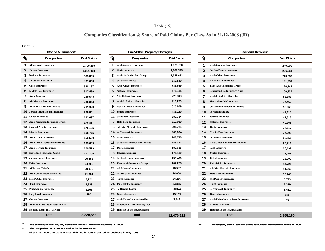### **Table (15)**

# **Companies Classification & Share of Paid Claims Per Class As in 31/12/2008 (JD)**

#### **Cont. -2**

|               | Marine & Transport                    |                    | Fire&Other Property Damages |                                          |                    |  |                 | <b>General Accident</b>                   |                    |  |  |
|---------------|---------------------------------------|--------------------|-----------------------------|------------------------------------------|--------------------|--|-----------------|-------------------------------------------|--------------------|--|--|
| $\frac{1}{2}$ | Companies                             | <b>Paid Claims</b> | $\frac{1}{2}$               | Companies                                | <b>Paid Claims</b> |  | $\mathcal{U}_0$ | Companies                                 | <b>Paid Claims</b> |  |  |
| 1.            | <b>Al Yarmouk Insurance</b>           | 2,790,259          | 1                           | <b>Arab German Insurance</b>             | 1,875,788          |  | -1              | <b>Arab German Insurance</b>              | 249,900            |  |  |
| 2             | <b>Jordan Insurance</b>               | 1,291,093          | $\mathbf{2}$                | <b>Oasis Insurance</b>                   | 1,668,335          |  | $\overline{2}$  | <b>Jordan French Insurance</b>            | 226,261            |  |  |
| 3             | <b>National Insurance</b>             | 583,895            | 3.                          | Arab Jordanian Ins. Group                | 1,328,662          |  | 3               | <b>Arab Orient Insurance</b>              | 213,880            |  |  |
|               | <b>Jerusalem Insurance</b>            | 421.058            |                             | Jordan Insurance                         | 932,840            |  | Δ               | AL Manara Insurance                       | 181.852            |  |  |
| 5             | <b>Oasis Insurance</b>                | 368,167            | 5                           | <b>Arab Orient Insurance</b>             | 786,659            |  | 5               | <b>Euro Arab Insurance Group</b>          | 126,147            |  |  |
| 6             | <b>Middle East Insurance</b>          | 317,469            | 6                           | <b>National Insurance</b>                | 771,155            |  | 6               | <b>American Life Insurance(Alico)</b>     | 100,834            |  |  |
|               | <b>Arab Assurers</b>                  | 289,543            | 7                           | <b>Middle East Insurance</b>             | 728,343            |  | 7               | Arab Life & Accidents Ins.                | 86,881             |  |  |
| 8             | <b>AL Manara Insurance</b>            | 288,863            | 8                           | Arab Life & Accidents Ins                | 716,269            |  | 8               | <b>General Arabia Insurance</b>           | 77,462             |  |  |
| 9             | <b>AL-Nisr Al-Arabi Insurance</b>     | 209,323            | 9                           | <b>General Arabia Insurance</b>          | 625,879            |  | q               | <b>Jordan International Insurance</b>     | 59,069             |  |  |
|               | <b>Jordan International Insurance</b> | 200,861            |                             | <b>10</b> United Insurance               | 433,150            |  |                 | <b>Jordan Insurance</b>                   | 42,115             |  |  |
| 11            | <b>United Insurance</b>               | 183,697            |                             | <b>11</b> Jerusalem Insurance            | 382,724            |  | 11              | <b>Islamic Insurance</b>                  | 41,318             |  |  |
| 12.           | Arab Jordanian Insurance Group        | 176,817            |                             | <b>12</b> Holy Land Insurance            | 319,029            |  | 12              | <b>National Insurance</b>                 | 40,166             |  |  |
| 13            | <b>General Arabia Insurance</b>       | 176,195            |                             | <b>13</b> AL-Nisr Al-Arabi Insurance     | 291,721            |  | 13              | <b>Oasis Insurance</b>                    | 38,617             |  |  |
|               | <b>14</b> Islamic Insurance           | 168,775            |                             | <b>14</b> Al Yarmouk Insurance           | 260,034            |  | 14              | <b>Middle East Insurance</b>              | 37,203             |  |  |
| 15            | <b>Arab Orient Insurance</b>          | 152,550            |                             | <b>15</b> Arab Assurers                  | 248,730            |  | 15              | <b>Jerusalem Insurance</b>                | 36,856             |  |  |
|               | Arab Life & Accidents Insurance       | 133,609            |                             | <b>16</b> Jordan International Insurance | 246,331            |  | 16              | Arab Jordanian Insurance Group            | 29,711             |  |  |
|               | <b>17</b> Arab German Insurance       | 129,579            |                             | <b>17</b> Delta Insurance                | 189,625            |  | 17              | <b>Arab Assurers</b>                      | 26,192             |  |  |
| 18.           | <b>Euro Arab Insurance Group</b>      | 107,709            |                             | <b>18</b> Islamic Insurance              | 171,130            |  | 18              | <b>United Insurance</b>                   | 18,268             |  |  |
| 19.           | <b>Jordan French Insurance</b>        | 99,455             |                             | <b>19</b> Jordan French Insurance        | 158,400            |  | 19              | <b>Delta Insurance</b>                    | 16,297             |  |  |
|               | 20 Delta Insurance                    | 64,268             |                             | <b>20</b> Euro Arab Insurance Group      | 107,278            |  | 20              | Philadelphia Insurance                    | 14,721             |  |  |
| 21            | Al Baraka Takaful                     | 29,076             |                             | 21 AL Manara Insurance                   | 76,542             |  | 21              | AL-Nisr Al-Arabi Insurance                | 11,363             |  |  |
|               | 22 Arab Union International Ins.      | 21,684             |                             | <b>22 MEDGULF Insurance</b>              | 74,006             |  | 22              | <b>Holy Land Insurance</b>                | 10,245             |  |  |
|               | 23 MEDGULF Insurance                  | 7,724              |                             | 23 First Insurance                       | 24,256             |  | 23              | <b>MEDGULF Insurance</b>                  | 5,793              |  |  |
| 24            | <b>First Insurance</b>                | 4,628              |                             | 24 Philadelphia Insurance                | 23,815             |  | 24              | <b>First Insurance</b>                    | 2,219              |  |  |
| 25            | Philadelphia Insurance                | 3,501              |                             | 25 Al Baraka Takaful.                    | 20,374             |  | 25              | <b>Al Yarmouk Insurance</b>               | 1,411              |  |  |
| 26            | <b>Holy Land Insurance</b>            | 760                |                             | 26 Gerasa Insurance                      | 15,103             |  | 26              | <b>Gerasa Insurance</b>                   | 320                |  |  |
| 27            | Gerasa Insurance*                     |                    |                             | 27 Arab Union International Ins.         | 3,744              |  | 27              | <b>Arab Union International Insurance</b> | 59                 |  |  |
|               | 28 American Life Insurance(Alico)**   |                    |                             | 28 American Life Insurance(Alico)        |                    |  | 28              | Al Baraka Takaful**                       |                    |  |  |
|               | 29 Housing Loans Ins. (Darkom)**      |                    |                             | <b>29</b> Housing Loans Ins. (Darkom)    |                    |  | 29              | <b>Housing Loans Ins. (Darkom)</b>        |                    |  |  |
|               | <b>Total</b>                          | 8,220,558          |                             | <b>Total</b>                             | 12.479.922         |  |                 | <b>Total</b>                              | 1.695.160          |  |  |

**\*\*\*The company didn't pay any claims for Marine & transport Insurance in 2008**

\*\***The Companies don't practice Marine & Fire Insurances**

**First Insurance Company was established in 2008 & started its business in May 2008**

**The company didn't pay any claims for General Accident Insurance in 2008**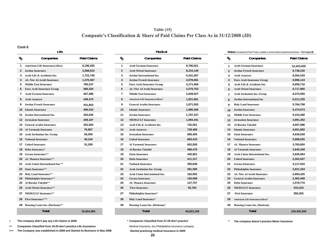# **Companie's Classification & Share of Paid Claims Per Class As in 31/12/2008 (JD) Table (15)**

#### **Cont-3**

|                                       | Life                                  |                    |
|---------------------------------------|---------------------------------------|--------------------|
| $v_{\!\scriptscriptstyle (\!\chi\!)}$ | Companies                             | <b>Paid Claims</b> |
| 1                                     | <b>American Life Insurance(Alico)</b> | 6,196,355          |
| 2                                     | Jordan Insurance                      | 3,368,523          |
| 3                                     | Arab Life & Accidents Ins.            | 1,722,740          |
| 4                                     | <b>AL-Nisr Al-Arabi Insurance</b>     | 1,370,367          |
| 5                                     | <b>Middle East Insurance</b>          | 780,237            |
| 6                                     | <b>Euro Arab Insurance Group</b>      | 586,320            |
| 7                                     | <b>Arab German Insurance</b>          | 467,486            |
| 8                                     | <b>Arab Assurers</b>                  | 448,475            |
| 9                                     | <b>Jordan French Insurance</b>        | 431,853            |
| 10                                    | <b>Islamic Insurance</b>              | 406,533            |
| 11                                    | Jordan International Ins.             | 325,636            |
| 12                                    | Jerusalem Insurance                   | 269,187            |
| 13                                    | <b>General Arabia Insurance</b>       | 252,920            |
| 14                                    | <b>Al Yarmouk Insurance</b>           | 76,807             |
| 15                                    | Arab Jordanian Ins. Group             | 50,000             |
| 16                                    | <b>National Insurance</b>             | 40,244             |
| 17                                    | <b>United Insurance</b>               | 31,200             |
| 18                                    | Delta Insurance*                      |                    |
| 19                                    | Gerasa Insurance**                    |                    |
| 20                                    | AL Manara Insurance**                 |                    |
| 21                                    | Arab Union International Ins.**       |                    |
| 22                                    | <b>Oasis Insurance**</b>              |                    |
| 23                                    | <b>Holy Land Insurance**</b>          |                    |
| 24                                    | Philadelphia Insurance**              |                    |
| 25                                    | Al Baraka Takaful**                   |                    |
| 26                                    | <b>Arab Orient Insurance**</b>        |                    |
| 27                                    | <b>MEDGULF Insurance**</b>            |                    |
| 28                                    | <b>First Insurance***</b>             |                    |
| 29                                    | Housing Loans Ins. (Darkom)**         |                    |
|                                       | <b>Total</b>                          | 16,824,883         |

|  |  | The company didn't pay any Life Claims in 2008 |  |  |  |
|--|--|------------------------------------------------|--|--|--|
|--|--|------------------------------------------------|--|--|--|

**\*\*Companies Classified from 19-29 don't practice Life Assurance**

**\*\*\*The Company was established in 2008 and Started its Business in May 2008**

|             | <b>Lue</b>                            |                    |                 | <b>IVIEUICAI</b>                     |                    |                | MOtOr(Compulsory(Third Party Liability Insurance)&Comprehensive(Own Dam |                   |
|-------------|---------------------------------------|--------------------|-----------------|--------------------------------------|--------------------|----------------|-------------------------------------------------------------------------|-------------------|
| $^v\!\circ$ | Companies                             | <b>Paid Claims</b> | $\mathcal{U}_O$ | Companies                            | <b>Paid Claims</b> | $\frac{1}{6}$  | Companies                                                               | <b>Paid Claim</b> |
| $\mathbf 1$ | <b>American Life Insurance(Alico)</b> | 6,196,355          | -1              | <b>Arab German Insurance</b>         | 9,790,021          | -1             | <b>Arab German Insurance</b>                                            | 12,415,029        |
|             | 2 Jordan Insurance                    | 3,368,523          | $\overline{2}$  | <b>Arab Orient Insurance</b>         | 8,215,149          | $\overline{2}$ | <b>Jordan French Insurance</b>                                          | 8,738,230         |
| 3           | Arab Life & Accidents Ins.            | 1,722,740          | 3               | Jordan International Ins.            | 5,241,267          | 3              | <b>Arab Assurers</b>                                                    | 8,264,183         |
|             | AL-Nisr Al-Arabi Insurance            | 1,370,367          | 4               | <b>Jordan French Insurance</b>       | 4,078,691          |                | Euro Arab Insurance Group                                               | 6,996,124         |
| 5.          | <b>Middle East Insurance</b>          | 780,237            | 5               | Euro Arab Insurance Group            | 3,171,466          | 5              | Arab Life & Accidents Ins.                                              | 6,858,710         |
|             | <b>6</b> Euro Arab Insurance Group    | 586,320            | 6               | <b>AL-Nisr Al-Arabi Insurance</b>    | 2,570,753          |                | <b>Arab Orient Insurance</b>                                            | 6,717,860         |
|             | 7 Arab German Insurance               | 467,486            | 7               | <b>Middle East Insurance</b>         | 2,048,527          | 7              | Arab Jordanian Ins. Group                                               | 6,074,555         |
|             | 8 Arab Assurers                       | 448,475            | 8               | American Life Insurance(Alico)*      | 1,921,661          | 8              | <b>Jordan International Ins</b>                                         | 6,011,335         |
|             | Jordan French Insurance               | 431,853            | 9               | <b>General Arabia Insurance</b>      | 1,871,503          | 9              | <b>Holy Land Insurance</b>                                              | 5,764,708         |
|             | <b>10</b> Islamic Insurance           | 406,533            | 10              | <b>Islamic Insurance</b>             | 1,980,406          | 10             | <b>Jordan Insurance</b>                                                 | 5,474,573         |
|             | 11 Jordan International Ins.          | 325,636            | 11              | <b>Jordan Insurance</b>              | 1,707,337          | 11             | <b>Middle East Insurance</b>                                            | 5,410,480         |
|             | 12 Jerusalem Insurance                | 269,187            | 12              | <b>MEDGULF Insurance</b>             | 1,094,441          | 12             | Jerusalem Insurance                                                     | 4,891,302         |
|             | <b>13 General Arabia Insurance</b>    | 252,920            | 13              | Arab Life & Accidents Ins.           | 732,561            | 13             | Al Baraka Takaful                                                       | 4,667,086         |
|             | <b>14 Al Yarmouk Insurance</b>        | 76,807             | 14              | <b>Arab Assurers</b>                 | 728,468            | 14             | <b>Islamic Insurance</b>                                                | 4,651,682         |
|             | 15 Arab Jordanian Ins. Group          | 50,000             | 15              | <b>Jerusalem Insurance</b>           | 680,405            | 15             | <b>Oasis Insurance</b>                                                  | 4,630,638         |
|             | <b>16 National Insurance</b>          | 40,244             | 16              | <b>United Insurance</b>              | 660,410            | 16             | <b>National Insurance</b>                                               | 3,998,035         |
|             | <b>17</b> United Insurance            | 31,200             | 17              | <b>Al Yarmouk Insurance</b>          | 602,928            | 17             | <b>AL Manara Insurance</b>                                              | 3,765,650         |
|             | 18 Delta Insurance*                   |                    | 18              | Al Baraka Takaful                    | 568,476            | 18             | <b>Al Yarmouk Insurance</b>                                             | 3,640,458         |
|             | 19 Gerasa Insurance**                 |                    | 19              | <b>Oasis Insurance</b>               | 440,801            | 19             | <b>Arab Union International Ins.</b>                                    | 3,626,063         |
|             | 20 AL Manara Insurance**              |                    | 20              | <b>Delta Insurance</b>               | 411,317            | 20             | <b>United Insurance</b>                                                 | 3,352,637         |
|             | 21 Arab Union International Ins.**    |                    | 21              | <b>National Insurance</b>            | 395,849            | 21             | Gerasa Insurance                                                        | 3,117,543         |
|             | 22 Oasis Insurance**                  |                    | 22              | Arab Jordanian Ins. Group            | 381,580            | 22             | Philadelphia Insurance                                                  | 2,821,334         |
|             | 23 Holy Land Insurance**              |                    | 23              | <b>Arab Union International Ins.</b> | 162,902            | 23             | <b>AL-Nisr Al-Arabi Insurance</b>                                       | 2,684,425         |
|             | 24 Philadelphia Insurance**           |                    | 24              | <b>Gerasa Insurance</b>              | 145,699            | 24             | <b>General Arabia Insurance</b>                                         | 2,362,408         |
|             | 25 Al Baraka Takaful**                |                    | 25              | <b>AL Manara Insurance</b>           | 127,707            | 25             | <b>Delta Insurance</b>                                                  | 1,578,770         |
|             | 26 Arab Orient Insurance**            |                    | 26              | <b>First Insurance</b>               | 92,783             | 26             | <b>MEDGULF Insurance</b>                                                | 533,423           |
|             | 27 MEDGULF Insurance**                |                    | 27              | Philadelphia Insurance*              |                    | 27             | <b>First Insurance</b>                                                  | 355,352           |
|             | 28 First Insurance***                 |                    | 28              | <b>Holy Land Insurance*</b>          |                    | 28             | American Life Insurance(Alico)*                                         |                   |
|             | 29 Housing Loans Ins. (Darkom)**      |                    | 29              | Housing Loans Ins. (Darkom)*         |                    | 29             | <b>Housing Loans Ins. (Darkom)</b>                                      |                   |
|             | <b>Total</b>                          | 16,824,883         |                 | <b>Total</b>                         | 49,823,108         |                | <b>Total</b>                                                            | 129.402.593       |

\* Companies Classified from 27-29 don't practice

Medical Insurance, but Philadelphia Insurance company  **Started practicing medical Insurance in 2009**

| е  |                    | Medical                 |                                   |                    | Motor (Compulsory (Third Party Liability Insurance) & Comprehensive (Own Damages)) |                                    |                    |  |  |
|----|--------------------|-------------------------|-----------------------------------|--------------------|------------------------------------------------------------------------------------|------------------------------------|--------------------|--|--|
|    | <b>Paid Claims</b> | $\mathcal{U}_O$         | Companies                         | <b>Paid Claims</b> | $\frac{1}{2}$                                                                      | Companies                          | <b>Paid Claims</b> |  |  |
| )) | 6,196,355          | -1                      | <b>Arab German Insurance</b>      | 9,790,021          | 1                                                                                  | <b>Arab German Insurance</b>       | 12,415,029         |  |  |
|    | 3,368,523          | $\mathbf{2}$            | <b>Arab Orient Insurance</b>      | 8,215,149          |                                                                                    | Jordan French Insurance            | 8,738,230          |  |  |
|    | 1,722,740          | 3                       | Jordan International Ins.         | 5,241,267          | 3                                                                                  | <b>Arab Assurers</b>               | 8,264,183          |  |  |
|    | 1,370,367          | 4                       | <b>Jordan French Insurance</b>    | 4,078,691          | Δ                                                                                  | <b>Euro Arab Insurance Group</b>   | 6,996,124          |  |  |
|    | 780,237            | 5                       | <b>Euro Arab Insurance Group</b>  | 3,171,466          | 5                                                                                  | Arab Life & Accidents Ins.         | 6,858,710          |  |  |
|    | 586,320            | 6                       | <b>AL-Nisr Al-Arabi Insurance</b> | 2,570,753          | 6                                                                                  | <b>Arab Orient Insurance</b>       | 6,717,860          |  |  |
|    | 467,486            | $\overline{\mathbf{r}}$ | <b>Middle East Insurance</b>      | 2,048,527          | $\overline{7}$                                                                     | Arab Jordanian Ins. Group          | 6,074,555          |  |  |
|    | 448,475            | 8                       | American Life Insurance(Alico)*   | 1,921,661          | 8                                                                                  | <b>Jordan International Ins</b>    | 6,011,335          |  |  |
|    | 431,853            | 9                       | <b>General Arabia Insurance</b>   | 1,871,503          | 9                                                                                  | <b>Holy Land Insurance</b>         | 5,764,708          |  |  |
|    | 406,533            | 10                      | <b>Islamic Insurance</b>          | 1,980,406          | 10                                                                                 | Jordan Insurance                   | 5,474,573          |  |  |
|    | 325,636            | 11                      | <b>Jordan Insurance</b>           | 1,707,337          | 11                                                                                 | <b>Middle East Insurance</b>       | 5,410,480          |  |  |
|    | 269,187            | $12$                    | <b>MEDGULF Insurance</b>          | 1,094,441          | 12                                                                                 | <b>Jerusalem Insurance</b>         | 4,891,302          |  |  |
|    | 252,920            | 13                      | Arab Life & Accidents Ins.        | 732,561            | 13                                                                                 | Al Baraka Takaful                  | 4,667,086          |  |  |
|    | 76,807             | 14                      | <b>Arab Assurers</b>              | 728,468            | 14                                                                                 | <b>Islamic Insurance</b>           | 4,651,682          |  |  |
|    | 50,000             | 15                      | <b>Jerusalem Insurance</b>        | 680,405            | 15                                                                                 | <b>Oasis Insurance</b>             | 4,630,638          |  |  |
|    | 40,244             | 16                      | <b>United Insurance</b>           | 660,410            | 16                                                                                 | <b>National Insurance</b>          | 3,998,035          |  |  |
|    | 31,200             | 17                      | <b>Al Yarmouk Insurance</b>       | 602,928            | 17                                                                                 | <b>AL Manara Insurance</b>         | 3,765,650          |  |  |
|    |                    | 18                      | Al Baraka Takaful                 | 568,476            | 18                                                                                 | <b>Al Yarmouk Insurance</b>        | 3,640,458          |  |  |
|    |                    | 19                      | <b>Oasis Insurance</b>            | 440,801            | 19                                                                                 | Arab Union International Ins.      | 3,626,063          |  |  |
|    |                    | 20                      | <b>Delta Insurance</b>            | 411,317            | 20                                                                                 | <b>United Insurance</b>            | 3,352,637          |  |  |
|    |                    | 21                      | <b>National Insurance</b>         | 395,849            | 21                                                                                 | <b>Gerasa Insurance</b>            | 3,117,543          |  |  |
|    |                    | 22                      | Arab Jordanian Ins. Group         | 381,580            | 22                                                                                 | Philadelphia Insurance             | 2,821,334          |  |  |
|    |                    | 23                      | Arab Union International Ins.     | 162,902            | 23                                                                                 | <b>AL-Nisr Al-Arabi Insurance</b>  | 2,684,425          |  |  |
|    |                    | 24                      | <b>Gerasa Insurance</b>           | 145,699            | 24                                                                                 | <b>General Arabia Insurance</b>    | 2,362,408          |  |  |
|    |                    | 25                      | <b>AL Manara Insurance</b>        | 127,707            | 25                                                                                 | <b>Delta Insurance</b>             | 1,578,770          |  |  |
|    |                    | 26                      | <b>First Insurance</b>            | 92,783             | 26                                                                                 | <b>MEDGULF Insurance</b>           | 533,423            |  |  |
|    |                    | 27                      | Philadelphia Insurance*           |                    | 27                                                                                 | <b>First Insurance</b>             | 355,352            |  |  |
|    |                    | 28                      | <b>Holy Land Insurance*</b>       |                    | 28                                                                                 | American Life Insurance(Alico)*    |                    |  |  |
| ċÅ |                    | 29                      | Housing Loans Ins. (Darkom)*      |                    | 29                                                                                 | <b>Housing Loans Ins. (Darkom)</b> |                    |  |  |
|    | 16,824,883         |                         | <b>Total</b>                      | 49,823,108         |                                                                                    | <b>Total</b>                       | 129,402,593        |  |  |

**The company didn't pay any Life Claims in 2008 Companies Classified from 27-29 don't practice The company doesn't practice Motor Insurance**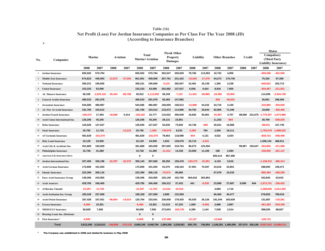### **(According to Insurance Branches) Net Profit (Loss) For Jordan Insurance Companies as Per Class For The Year 2008 (JD) Table (16)**

|              |                                    |            |                              |           |            | Fire& Other |                        |                     |                 |            |           |           | Motor                 |        |         |                                                            |              |
|--------------|------------------------------------|------------|------------------------------|-----------|------------|-------------|------------------------|---------------------|-----------------|------------|-----------|-----------|-----------------------|--------|---------|------------------------------------------------------------|--------------|
|              |                                    |            | Marine                       | Aviation  |            |             | <b>Total</b>           |                     | <b>Property</b> | Liability  |           |           | <b>Other Branches</b> | Credit |         | Compulsory                                                 |              |
| No.          | Companies                          |            |                              |           |            |             | <b>Marine+Aviation</b> | Damages             |                 |            |           |           |                       |        |         | (Third Party                                               |              |
|              |                                    | 2008       | 2007                         | 2008      | 2007       | 2008        | 2007                   | 2008                | 2007            | 2008       | 2007      | 2008      | 2007                  | 2008   | 2007    | <b>Liability Insurance)</b><br>2008                        | 2007         |
| $\mathbf{1}$ | <b>Jordan Insurance</b>            |            |                              |           |            | 655,502     | 570,794                |                     | 250,629         | 79,782     |           |           |                       |        |         | $-459,268$                                                 | $-451,556$   |
|              |                                    | 655,502    | 570,794                      |           |            |             |                        | 302,547             |                 |            | 113,953   | 10,732    | 4,956                 |        |         |                                                            |              |
|              | 2 Middle East Insurance            | 674,823    | 446,593                      | $-12,872$ | $-37,035$  | 661,951     | 409,558                | 267,791             | 231,422         | $-10,629$  | $-17,079$ | 54,273    | 175,745               |        |         | 75,320                                                     | 97,368       |
| 3            | <b>National Insurance</b>          | 350,221    | 195,605                      |           |            | 350,221     | 195,605                | $-5,133$            | 292,057         | 22,461     | 25,139    | 1,365     | 2,238                 |        |         | $-645,822$                                                 | 203,713      |
|              | <b>United Insurance</b>            | 153,333    | 63,090                       |           |            | 153,333     | 63,090                 | 202,082             | 137,537         | 6,556      | 4,424     | 8,918     | 7,955                 |        |         | $-304,467$                                                 | $-211,501$   |
| 5            | <b>AL Manara Insurance</b>         | 66,336     | $-1,025,132$                 | $-25.424$ | $-88,798$  | 40,912      | $-1,113,930$           | 58,159              | $-7,122$        | $-11,422$  | $-69,985$ | -33,590   | $-25,902$             |        |         | 114,299                                                    | $-2,304,738$ |
|              | <b>General Arabia Insurance</b>    | 490,533    | 291,078                      |           |            | 490,533     | 291,078                | 92,465              | 147,982         |            |           | $-853$    | $-46,843$             |        |         | 26,061                                                     | 296,584      |
|              | <b>Jerusalem Insurance</b>         | 544,585    | 480,987                      |           |            | 544,585     | 480,987                | 106,059             | 158,513         | $-12,888$  | 54,232    | 34,710    | 3,150                 |        |         | $-316,984$                                                 | $-403,835$   |
|              | <b>AL-Nisr Al-Arabi Insurance</b>  | 191,760    | 153,512                      |           |            | 191,760     | 153,512                | 133,072             | 114,996         | 44,762     | 25,644    | 82,805    | 71,346                |        |         | 19,568                                                     | $-426,466$   |
| 9            | <b>Jordan French Insurance</b>     | $-106,472$ | 17,463                       | $-19,688$ | 5,314      | $-126,160$  | 22,777                 | 110,022             | 306,648         | 18,602     | 50,801    | -91,667   | 3,757                 | 98,008 |         | 231,675 - 1,776,307                                        | $-1,873,968$ |
|              | 10 Arab Union International Ins.   | 126,206    | 45,245                       |           |            | 126,206     | 45,245                 | 29,131              | 23,901          |            |           | 11,202    | $-584$                |        |         | 30,769                                                     | $-558,035$   |
| 11           | <b>Delta Insurance</b>             | 125,026    | 127,027                      |           |            | 125,026     | 127,027                | 52,630              | 73,830          | 34,746     | $-805$    | 20,021    | 16,988                |        |         | $-88,041$                                                  | 157,745      |
|              | 12 Oasis Insurance                 | 25,792     | 11,719                       |           | $-13,219$  | 25,792      | $-1,500$               | $-739,079$          | 8,233           | $-2,055$   | 784       | 2,550     | 19,111                |        |         | $-1,793,579$                                               | $-1,988,032$ |
|              | 13 Al Yarmouk Insurance            | 481,629    | $-101,670$                   |           |            | 481,629     | $-101,670$             | 78,563              | 118,088         | $-844$     | 4,131     | 4,022     | 3,034                 |        |         | $-928,723$                                                 | $-558,406$   |
|              | 14 Holy Land Insurance             | 32,129     | 24,059                       |           |            | 32,129      | 24,059                 | 1,923               | 130,079         | 25,713     | $-2,541$  |           |                       |        |         | 1,509,134                                                  | 468,911      |
| 15           | Arab Life & Accidents Ins.         | 301,869    | 183,929                      |           |            | 301,869     | 183,929                | 397,693             | 319,764         | 86,073     | 123,394   |           |                       | 99,967 | 193,647 | $-353,855$                                                 | $-471,996$   |
| 16           | Philadelphia Insurance             | 15,728     | 41,289                       |           |            | 15,728      | 41,289                 | $-11,414$           | 14,158          | 23,569     | 11,106    | 198       | 2,084                 |        |         | $-159,093$                                                 | $-321,137$   |
|              | 17 American Life Insurance(Alico)  |            |                              |           |            | 0           | 0                      |                     |                 |            |           | 865,314   | 967,490               |        |         |                                                            |              |
|              | 18 Jordan International Ins.       | 327,450    | 330,196                      | $-22.307$ | $-22,370$  | 305,143     | 307,826                | 86,250              | 159,478         | $-153,272$ | $-15,391$ | 4,134     | 5,616                 |        |         | $-1,138,312$                                               | $-385,214$   |
| 19           | <b>Arab German Insurance</b>       | 172,806    | 101,503                      |           |            | 172,806     | 101,503                | 61,075              | 148,164         | 37,951     | 75,947    | 23,516    | 22,801                |        |         | 288,050                                                    | 159,471      |
|              | 20 Islamic Insurance               | 222,369    | 266,116                      |           |            | 222,369     | 266,116                | $-75,074$           | 85,866          |            |           | 67,678    | 16,233                |        |         | $-995,494$                                                 | $-458,295$   |
| 21           | <b>Euro Arab Insurance Group</b>   | 139,306    | 243,955                      |           |            | 139,306     | 243,955                | 192,149             | 102,756         | 364,618    | 353,953   |           |                       |        |         | 433,943                                                    | 63,633       |
|              | 22 Arab Assurers                   | 429,785    | 340,400                      |           |            | 429,785     | 340,400                | 106,312             | 37,433          | 441        | $-6,530$  | 23,089    | 27,687                | 9,099  | 844     | $-1,872,741$                                               | $-156,432$   |
|              | 23 Al Baraka Takaful               | $-21,297$  | $-11,703$                    |           |            | $-21,297$   | $-11,703$              | $-14,316$           | $-10,310$       |            |           | 2,684     | 1,716                 |        |         | $-1,289,650$                                               | $-1,612,250$ |
|              | 24 Arab Jordanian Ins. Group       | 185,328    | 237,069                      |           |            | 185,328     | 237,069                | 3,689               | 132,569         |            |           | 66,460    | 40,477                |        |         | 578,655                                                    | 799,019      |
|              | 25 Arab Orient Insurance           | 187,428    | 167,551                      | -66,664   | $-14,010$  | 120,764     | 153,541                | 236,608             | 178,420         | 55,535     | 26,126    | 191,344   | 165,639               |        |         | 131,687                                                    | $-115,281$   |
|              | 26 Gerasa Insurance                | $-6,484$   | 10,301                       |           |            | $-6,484$    | 10,301                 | 51,515              | 67,225          | 1,829      | $-9,493$  | 2,086     | 2,887                 |        |         | $-361,493$                                                 | $-918,340$   |
| 27           | <b>MEDGULF Insurance</b>           | 50,609     | 7,936                        |           |            | 50,609      | 7,936                  | 273,053             | $-183,735$      | 6,390      | 1,144     | 7,938     | 2,514                 |        |         | 398,035                                                    | 88,827       |
| 28           | <b>Housing Loans Ins. (Darkom)</b> |            |                              |           |            | $\bf{0}$    | $\bf{0}$               |                     |                 |            |           |           |                       |        |         |                                                            |              |
|              | 29 First Insurance*                | $-4,000$   |                              |           |            | $-4.000$    | 0                      | $-137.492$          |                 | $-12,127$  |           | $-12,648$ |                       |        |         | $-128.715$                                                 |              |
|              | <b>Total</b>                       |            | 5.812.300 3.218.912 -146.955 |           | $-170.118$ |             | 5.665.345 3.048.794    | 1.860.280 3.038.581 |                 | 605.791    | 748.954   |           |                       |        |         | 1,346,281 1,490,095 207,074 426,166 -9,007,023 -10,880,211 |              |

\*  **The Company was established in 2008 and started its business in May 2008** 

**1-**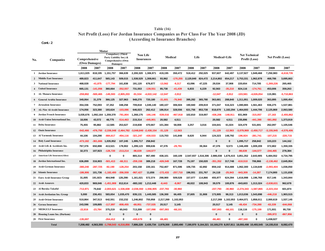### **Net Profit (Loss) For Jordan Insurance Companies as Per Class For The Year 2008 (JD) (According to Insurance Branches) Table (16)**

 **Cont.-2**

|                  |                                       |                                | Motor      |                                                                                               |              |              |                         |            |            |           |         |                               |              |                                                               |               |                          |              |
|------------------|---------------------------------------|--------------------------------|------------|-----------------------------------------------------------------------------------------------|--------------|--------------|-------------------------|------------|------------|-----------|---------|-------------------------------|--------------|---------------------------------------------------------------|---------------|--------------------------|--------------|
| No.              | Companies                             | Comprehensive<br>(Own Damages) |            | <b>Compulsory (Third)</b><br>Party Liability Ins.) &<br><b>Comprehensive (Own</b><br>Damages) |              | Non Life     | <b>Insurances</b>       |            | Medical    | Life      |         | Medical+Life                  |              | <b>Net Technical</b>                                          | Profit (Loss) | <b>Net Profit (Loss)</b> |              |
|                  |                                       | 2008                           | 2007       | 2008                                                                                          | 2007         | 2008         | 2007                    | 2008       | 2007       | 2008      | 2007    | 2008                          | 2007         | 2008                                                          | 2007          | 2008                     | 2007         |
| $\mathbf{1}$     | <b>Jordan Insurance</b>               | 1,611,025                      | 818,195    | 1,151,757                                                                                     | 366,639      | 2,200,320    | 1,306,971               | 419,195    | 350,472    | 518,412   | 292,025 | 937,607                       | 642,497      | 3,137,927                                                     | 1,949,468     | 7,250,983                | $-6,618,735$ |
| $\overline{2}$   | <b>Middle East Insurance</b>          | 489,823                        | 411.647    | 565,143                                                                                       | 509,015      | 1.538.529    | 1,308,661               | 93,962     | -170.255   | 2.120.840 | 824,472 | 2,214,802                     | 654,217      | 3,753,331                                                     | 1,962,878     | 468,786                  | 3,695,663    |
| 3                | <b>National Insurance</b>             | 468,028                        | $-41.875$  | -177.794                                                                                      | 161,838      | 191.120      | 676,877                 | $-13,562$  | $-9,317$   | 43,096    | 47,225  | 29,534                        | 37,908       | 220,654                                                       | 714,785       | -1,269,226               | 265,465      |
| $\boldsymbol{4}$ | <b>United Insurance</b>               | 665,131                        | $-141.056$ | 360.664                                                                                       | $-352,557$   | 731,553      | $-139,551$              | 85,730     | $-41,439$  | 6,833     | 6,229   | 92,563                        | $-35,210$    | 824,116                                                       | $-174,761$    | 453,006                  | 359,263      |
| 5.               | <b>AL Manara Insurance</b>            | $-259.892$                     | $-500.465$ | $-145,593$                                                                                    | $-2,805,203$ | $-91,534$    | $-4.022.142$            | $-12.047$  | $-3,912$   |           |         | $-12,047$                     | $-3,912$     | $-103,581$                                                    | $-4,026,054$  | 115,991                  | $-5,710,863$ |
|                  | <b>General Arabia Insurance</b>       | 340,064                        | 31,379     | 366,125                                                                                       | 327,963      | 948,270      | 720,180                 | $-31,601$  | $-76,940$  | 395,282   | 365,780 | 363,681                       | 288,840      | 1,311,951                                                     | 1,009,020     | 363,895                  | 1,000,454    |
| 7                | <b>Jerusalem Insurance</b>            | 354,336                        | 752,093    | 37,352                                                                                        | 348,258      | 709,818      | 1,045,140               | 180,107    | 306,504    | 190,940   | 209,819 | 371,047                       | 516,323      | 1,080,865                                                     | 1,561,463     | 936,275                  | 1,537,881    |
|                  | <b>AL-Nisr Al-Arabi Insurance</b>     | 174.056                        | 323.380    | 193.624                                                                                       | $-103.086$   | 646.023      | 262.412                 | 186.914    | 328.556    | 631.756   | 853.738 | 818,670                       | 1.182.294    | 1.464.693                                                     | 1,444,706     | 2,125,869                | 2,063,580    |
| 9                | <b>Jordan French Insurance</b>        | 3.035.676                      | 1,092,164  | 1,259,370                                                                                     | $-781.804$   | 1,268,175    | -166.146                | -539.016   | -467,918   | 102,810   | 319.007 | -436.206                      | $-148.911$   | 831,969                                                       | $-315.057$    | $-27,163$                | $-2,455,862$ |
| 10               | Arab Union International Ins.         | 18,006                         | 43,572     | 48,775                                                                                        | $-514.463$   | 215,314      | -445,901                | 20,582     | 4,511      |           |         | 20,582                        | 4,511        | 235,896                                                       | -441,390      | $-581,892$               | 1,373,919    |
| 11               | <b>Delta Insurance</b>                | 75,455                         | 95,882     | $-12,585$                                                                                     | 253,627      | 219,838      | 470,667                 | 101,384    | 58,008     | 3,257     | 3,016   | 104,641                       | 61,024       | 324,479                                                       | 531,691       | 262,097                  | 1,105,546    |
|                  | 12 Oasis Insurance                    | $-542,466$                     | -476.750   | $-2.336.048$                                                                                  | $-2.464.782$ |              | $-3,048,840 -2,438,154$ | $-31,129$  | $-12,563$  |           |         | $-31,129$                     | $-12,563$    | $-3,079,969$                                                  | $-2,450,717$  | $-3,155,945$             | $-4,576,406$ |
| 13               | <b>Al Yarmouk Insurance</b>           | 44,106                         | 104,290    | $-884,617$                                                                                    | -454,116     | -321,247     | -430,533                | 115,703    | 141,848    | 8,620     | 6,944   | 124,323                       | 148,792      | $-196,924$                                                    | $-281,741$    | $-107,215$               | $-220,715$   |
| 14               | <b>Holy Land Insurance</b>            | $-473.182$                     | $-361.666$ | 1.035.952                                                                                     | 107,245      | 1,095,717    | 258.842                 |            |            |           |         | $\mathbf{0}$                  | $\mathbf{0}$ | 1,095,717                                                     | 258,842       | 103,223                  | 144,162      |
| 15               | Arab Life & Accidents Ins.            | 767,376                        | 650.898    | 413.521                                                                                       | 178.902      | 1.299.123    | 999,636                 | 47,376     | $-29.791$  |           | 39,364  | 47,376                        | 9,573        | 1,346,499                                                     | 1,009,209     | 372,802                  | 1,359,335    |
| 16               | Philadelphia Insurance                | 32.373                         | 107.923    | $-126.720$                                                                                    | $-213.214$   | $-98.639$    | $-144,577$              |            |            |           |         | $\mathbf{0}$                  | $\bf{0}$     | $-98.639$                                                     | $-144,577$    | $-244,465$               | 278,384      |
| 17               | <b>American Life Insurance(Alico)</b> |                                |            | 0                                                                                             | $\mathbf 0$  | 865,314      | 967,490                 | 438,101    | 160.109    |           |         | 2.547.937 1.516.306 2.986.038 | 1,676,415    | 3.851.352                                                     | 2.643.905     | 5,484,552                | 4,734,795    |
|                  | 18 Jordan International Ins.          | 636,899                        | 316.903    | $-501.413$                                                                                    | $-68,311$    | $-259,158$   | 389,218                 | $-426,549$ | 167,728    | 75,197    | 150,020 | $-351,352$                    | 317,748      | $-610,510$                                                    | 706,966       | $-2,138,462$             | 2,645,954    |
| 19               | <b>Arab German Insurance</b>          | $-380,240$                     | $-287,725$ | $-92.190$                                                                                     | $-128,254$   | 203,158      | 220,161                 | 752,407    | 871,596    | 106,735   | 42,892  | 859,142                       | 914,488      | 1,062,300                                                     | 1,134,649     | $-2,093,404$             | 1,036,050    |
| 20               | <b>Islamic Insurance</b>              | -186.906                       | 101,736    | $-1.182.400$                                                                                  | $-356.559$   | -967.427     | 11,656                  | -172,433   | $-257.710$ | 196,551   | 231,767 | 24,118                        | $-25.943$    | $-943.309$                                                    | $-14.287$     | 7,174,900                | 1,131,838    |
|                  | 21 Euro Arab Insurance Group          | 31,005                         | 191,923-   | 464,948                                                                                       | 128,290-     | 1,161,021    | 572,374                 | 298,900    | 509,528    | 157,077   | 114,866 | 455,977                       | 624,394      | 1,616,998                                                     | 1,196,768     | 817,146                  | 1,343,844    |
| 22               | <b>Arab Assurers</b>                  | 420,833                        | 969,046    | $-1,451,908$                                                                                  | 812,614      | -883,182     | 1,212,448               | $-8,443$   | $-8,067$   | 48,022    | 108,943 | 39,579                        | 100,876      | $-843,603$                                                    | 1,313,324     | $-2,638,631$             | 962,678      |
| 23               | Al Baraka Takaful                     | -713,971                       | 75,642     | $-2.003.621$                                                                                  | $-1,536,608$ | -2,036,550   | $-1,556,905$            | -237,793   | $-30,960$  |           |         | -237,793                      | -30,960      | -2,274,343                                                    | $-1,587,865$  | $-2,223,154$             | 601,874      |
|                  | 24 Arab Jordanian Ins. Group          | 5.000                          | 236.451    | 583.654                                                                                       | 1.035.470    | 839.131      | 1.445.585               | 136,300    | 66,405     | 37.605    | 31.908  | 173.905                       | 98.313       | 1.013.036                                                     | 1,543,898     | $-446.218$               | 1.903.515    |
| 25               | <b>Arab Orient Insurance</b>          | 510.864                        | 347.513    | 642,551                                                                                       | 232.232      | 1,246,802    | 755,958                 | 2,217,269  | 1,102,053  |           |         | 2,217,269                     | 1.102.053    | 3,464,071                                                     | 1.858.011     | 2,000,619                | 1,537,145    |
| 26               | <b>Gerasa Insurance</b>               | 243,596                        | 109,885    | -117,897                                                                                      | $-808,455$   | $-68,951$    | $-737,535$              | 20,517     | 3,145      |           |         | 20,517                        | 3,145        | $-48,434$                                                     | -734,390      | $-63,339$                | $-644,068$   |
| 27               | <b>MEDGULF Insurance</b>              | $-22,816$                      | $-23,784$  | 375.219                                                                                       | 65,043       | 713,209      | $-107.098$              | -597,093   | $-68,101$  |           |         | -597,093                      | -68,101      | 116,116                                                       | $-175,199$    | 171,931                  | 95,730       |
| 28               | <b>Housing Loans Ins. (Darkom)</b>    |                                |            | $\mathbf{0}$                                                                                  | $\mathbf{0}$ | $\mathbf{0}$ | $\bf{0}$                |            |            |           |         | $\mathbf{0}$                  | $\mathbf{0}$ | $\bf{0}$                                                      | $\mathbf{0}$  | $-395,972$               | $-867,956$   |
| 29               | <b>First Insurance</b>                | $-135,697$                     |            | $-264, 412$                                                                                   | 0            | -430.679     | 0                       | $-66,481$  |            |           |         | $-66,481$                     | $\mathbf{0}$ | -497,160                                                      | 0             | 1,438,027                |              |
|                  | <b>Total</b>                          | 7.208.482                      | 4.563.355  | $-1.798.543$                                                                                  | $-6.316.856$ | 7.886.228    | 2.435.734               | 2,978,300  |            |           |         |                               |              | 2,893,490 7,190,970 5,164,321 10,169,270 8,057,811 18,055,498 | 10.493.545    | 14.155.016               | 8,082,470    |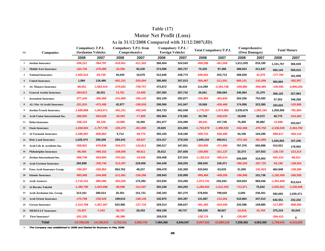# **As in 31/12/2008 Compared with 31/12/2007(JD) Table (17) Motor Net Profit (Loss)**

| NO             | <b>Companies</b>                | <b>Compulsory T.P.L</b><br>/Jordanian Vehicles |               | <b>Compulsory T.P.L from</b><br>Comprehensive |              |           | Compulsory T.P.L/<br><b>Foreign Vehicles</b> |              | <b>Total Compulsory/T.P.L</b> | Comprehensive<br>(Own Damages) |            | <b>Total Motors</b> |              |
|----------------|---------------------------------|------------------------------------------------|---------------|-----------------------------------------------|--------------|-----------|----------------------------------------------|--------------|-------------------------------|--------------------------------|------------|---------------------|--------------|
|                |                                 | 2008                                           | 2007          | 2008                                          | 2007         | 2008      | 2007                                         | 2008         | 2007                          | 2008                           | 2007       | 2008                | 2007         |
| 1              | <b>Jordan Insurance</b>         | $-206,221$                                     | $-364,797$    | $-519,451$                                    | $-411,302$   | 266,404   | 324,543                                      | -459,268     | -451,556                      | 1,611,025                      | 818,195    | 1,151,757           | 366,639      |
| $\overline{2}$ | <b>Middle East Insurance</b>    | $-164,720$                                     | $-279,589$    | $-34,556$                                     | 92,230       | 274,596   | 284,727                                      | 75,320       | 97,368                        | 489,823                        | 411,647    | 565,143             | 509,015      |
| 3              | <b>National Insurance</b>       | $-1,002,513$                                   | $-63,739$     | 44,045                                        | 18,678       | 312,646   | 248,774                                      | $-645,822$   | 203,713                       | 468,028                        | $-41,875$  | $-177,794$          | 161,838      |
| $\overline{4}$ | <b>United Insurance</b>         | 1,084                                          | 116,490       | $-691,151$                                    | $-535,004$   | 385,600   | 207,013                                      | $-304,467$   | $-211,501$                    | 665,131                        | $-141,056$ | 360,664             | $-352,557$   |
| 5              | <b>AL Manara Insurance</b>      | $-88,551$                                      | $-1,583,415$  | -270,022                                      | $-759,757$   | 472,872   | 38,434                                       | 114,299      | -2,304,738                    | -259,892                       | $-500,465$ | $-145,593$          | -2,805,203   |
| 6              | <b>General Arabia Insurance</b> | $-284,813$                                     | 28,331        | 13,781                                        | $-19,489$    | 297,093   | 287,742                                      | 26,061       | 296,584                       | 340,064                        | 31,379     | 366,125             | 327,963      |
| 7              | <b>Jerusalem Insurance</b>      | $-377,244$                                     | -356,569      | -241,899                                      | -330,143     | 302,159   | 282,877                                      | -316,984     | -403,835                      | 354,336                        | 752,093    | 37,352              | 348,258      |
| 8              | AL-Nisr Al-Arabi Insurance      | $-321,915$                                     | -472,495      | 42,977                                        | $-195,918$   | 298,506   | 241,947                                      | 19,568       | -426,466                      | 174,056                        | 323,380    | 193,624             | $-103,086$   |
| 9              | <b>Jordan French Insurance</b>  | $-1,689,889$                                   | $-1,843,071$  | -391,151                                      | -492,945     | 304,733   | 462,048                                      | -1,776,307   | -1,873,968                    | 3,035,676                      | 1,092,164  | 1,259,369           | $-781,804$   |
| 10             | Arab Union International Ins.   | $-286,802$                                     | -655,628      | $-38,393$                                     | -77,989      | 355,964   | 175,582                                      | 30,769       | $-558,035$                    | 18,006                         | 43,572     | 48,775              | $-514,463$   |
| 11             | Delta Insurance                 | $-338,123$                                     | $-92,109$     | $-10,995$                                     | 15,355       | 261,077   | 234,499                                      | $-88,041$    | 157,745                       | 75,455                         | 95,882     | $-12,586$           | 253,627      |
| 12             | <b>Oasis Insurance</b>          | $-1,658,924$                                   | $-1,757,735$  | $-155,475$                                    | -451,990     | 20,820    | 221,693                                      | $-1,793,579$ | $-1,988,032$                  | $-542,466$                     | $-476,750$ | $-2,336,045$        | $-2,464,782$ |
| 13             | <b>Al Yarmouk Insurance</b>     | $-1,289,587$                                   | $-836,802$    | 5,714                                         | $-39,770$    | 355,150   | 318,166                                      | $-928,723$   | $-558,406$                    | 44,106                         | 104,290    | $-884,617$          | $-454, 116$  |
| 14             | <b>Holy Land Insurance</b>      | 1,025,474                                      | 258,208       | 259,343                                       | $-68,627$    | 224,317   | 279,330                                      | 1,509,134    | 468,911                       | $-473,182$                     | $-361,666$ | 1,035,952           | 107,245      |
| 15             | Arab Life & Accidents Ins.      | $-309,901$                                     | $-676,836$    | -334,471                                      | $-142,811$   | 290,517   | 347,651                                      | $-353,855$   | -471,996                      | 767.376                        | 650,898    | 413,521             | 178,902      |
| 16             | Philadelphia Insurance          | $-86,400$                                      | $-480,152$    | $-108,505$                                    | $-98,911$    | 35,812    | 257,926                                      | $-159,093$   | -321,137                      | 32,373                         | 107,923    | $-126,720$          | $-213,214$   |
| 17             | Jordan International Ins.       | $-586,749$                                     | -603,694      | -791,021                                      | $-19,436$    | 239,458   | 237,916                                      | $-1,138,312$ | $-385,214$                    | 636,899                        | 316,903    | $-501,413$          | $-68,311$    |
| 18             | <b>Arab German Insurance</b>    | 260,898                                        | $-339,740$    | $-313,297$                                    | 229,956      | 340,449   | 269,255                                      | 288,050      | 159,471                       | $-380,240$                     | $-287,725$ | $-92,190$           | $-128,254$   |
| 19             | Euro Arab Insurance Group       | $-780,297$                                     | $-326,952$    | 904,762                                       | 48,227       | 309,478   | 342,358                                      | 433,943      | 63,633                        | 31,005                         | $-191,923$ | 464,948             | $-128,290$   |
| 20             | <b>Islamic Insurance</b>        | $-983,946$                                     | $-544,008$    | $-211,491$                                    | $-150,286$   | 199,943   | 235,999                                      | $-995,494$   | $-458,295$                    | $-186,906$                     | 101,736    | $-1,182,400$        | $-356,559$   |
| 21             | <b>Arab Assurers</b>            | $-1,715,141$                                   | -665,090      | -491,535                                      | 175,392      | 333,935   | 333,266                                      | $-1,872,741$ | 156,432-                      | 420,833                        | 969,046    | $-1,451,908$        | 812,614      |
| 22             | Al Baraka Takaful               | $-1,495,790$                                   | $-1,603,998$  | $-96,098$                                     | $-312,507$   | 302,238   | 304,255                                      | $-1,289,650$ | -1,612,250                    | $-713,971$                     | 75,642     | $-2,003,621$        | $-1,536,608$ |
| 23             | Arab Jordanian Ins. Group       | 313,161                                        | 280,014       | 25,301                                        | 151,731      | 240,193   | 367,275                                      | 578,655      | 799,020                       | 5,000                          | 236,451    | 583,655             | 1,035,471    |
| 24             | <b>Arab Orient Insurance</b>    | $-170,798$                                     | $-230,529$    | 199,610                                       | $-189, 149$  | 102,875   | 304,397                                      | 131,687      | -115,281                      | 510,864                        | 347,513    | 642,551             | 232,232      |
| 25             | <b>Gerasa Insurance</b>         | $-1,313,789$                                   | $-1,057,267$  | 622,982                                       | $-127,710$   | 329,314   | 266,637                                      | -361,493     | -918,340                      | 243,596                        | 109,885    | $-117,897$          | $-808,455$   |
| 26             | <b>MEDGULF Insurance</b>        | $-15,407$                                      | $-7,343$      | $-55,757$                                     | 26,433       | 469,199   | 69,737                                       | 398,035      | 88,827                        | $-22,816$                      | $-23,784$  | 375,219             | 65,043       |
| 27             | <b>First Insurance*</b>         | $-201,335$                                     |               | $-86,398$                                     |              | 159,018   |                                              | $-128,715$   | 0                             | $-135,697$                     |            | $-264,412$          | 0            |
|                | <b>Total</b>                    | $-13,768,238$                                  | $-14,158,515$ | $-2,723,151$                                  | $-3,665,742$ | 7,484,366 | 6,944,047                                    | -9,007,023   | $-10,880,210$                 | 7,208,482                      | 4,563,355  | $-1,798,541$        | $-6,316,855$ |

**\* The Company was established in 2008 and Started its Business in May 2008**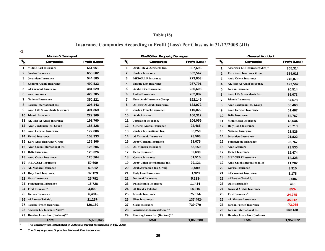# **Table (18)**

# **Insurance Companies According to Profit (Loss) Per Class as in 31/12/2008 (JD)**

**-1**

\*

|                                        | Marine & Transport                  |               |                 | Fire&Other Property Damages          |               |                                                         | <b>General Accident</b>             |             |
|----------------------------------------|-------------------------------------|---------------|-----------------|--------------------------------------|---------------|---------------------------------------------------------|-------------------------------------|-------------|
| $\bar{\psi}_{\!\!\!\!\!\!\!\!\!\!\!O}$ | Companies                           | Profit (Loss) | $\mathcal{U}_0$ | Companies                            | Profit (Loss) | $\tilde{\mathcal{U}}_{\!\!\!\!\!\!\circ\! \mathcal{C}}$ | Companies                           | Profit (Los |
| 1                                      | <b>Middle East Insurance</b>        | 661,951       | -1              | Arab Life & Accidents Ins.           | 397,693       | $\mathbf{1}$                                            | American Life Insurance(Alico)*     | 865,314     |
| 2                                      | <b>Jordan Insurance</b>             | 655,502       | $\mathbf{2}$    | <b>Jordan Insurance</b>              | 302,547       | $\overline{2}$                                          | <b>Euro Arab Insurance Group</b>    | 364,618     |
|                                        | Jerusalem Insurance                 | 544,585       | 3               | <b>MEDGULF Insurance</b>             | 273,053       | 3                                                       | <b>Arab Orient Insurance</b>        | 246,879     |
|                                        | <b>General Arabia Insurance</b>     | 490,533       | Δ               | <b>Middle East Insurance</b>         | 267,791       |                                                         | AL-Nisr Al-Arabi Insurance          | 127,567     |
| 5                                      | <b>Al Yarmouk Insurance</b>         | 481,629       | 5               | <b>Arab Orient Insurance</b>         | 236,608       | 5                                                       | Jordan Insurance                    | 90,514      |
|                                        | <b>Arab Assurers</b>                | 429,785       | 6               | <b>United Insurance</b>              | 202,082       | 6                                                       | Arab Life & Accidents Ins.          | 86,073      |
|                                        | <b>National Insurance</b>           | 350,221       | 7               | <b>Euro Arab Insurance Group</b>     | 192,149       | $\overline{7}$                                          | <b>Islamic Insurance</b>            | 67,678      |
| 8                                      | <b>Jordan International Ins</b>     | 305,143       | 8               | <b>AL-Nisr Al-Arabi Insurance</b>    | 133,072       | 8                                                       | Arab Jordanian Ins. Group           | 66,460      |
|                                        | Arab Life & Accidents Insurance     | 301,869       | 9               | <b>Jordan French Insurance</b>       | 110,022       | 9                                                       | Arab German Insurance               | 61,467      |
|                                        | <b>10</b> Islamic Insurance         | 222,369       | 10              | <b>Arab Assurers</b>                 | 106,312       | 10                                                      | <b>Delta Insurance</b>              | 54,767      |
|                                        | <b>AL-Nisr Al-Arabi Insurance</b>   | 191,760       | 11              | <b>Jerusalem Insurance</b>           | 106,059       | 11                                                      | <b>Middle East Insurance</b>        | 43,644      |
|                                        | <b>12</b> Arab Jordanian Ins. Group | 185,328       | 12              | <b>General Arabia Insurance</b>      | 92,465        | 12                                                      | <b>Holy Land Insurance</b>          | 25,713      |
|                                        | <b>13</b> Arab German Insurance     | 172,806       | 13              | <b>Jordan International Ins.</b>     | 86,250        | 13                                                      | <b>National Insurance</b>           | 23,826      |
| 14.                                    | <b>United Insurance</b>             | 153,333       | 14              | <b>Al Yarmouk Insurance</b>          | 78,563        | 14                                                      | <b>Jerusalem Insurance</b>          | 21,822      |
| 15                                     | <b>Euro Arab Insurance Group</b>    | 139,306       | 15              | <b>Arab German Insurance</b>         | 61,075        | 15                                                      | Philadelphia Insurance              | 23,767      |
| 16.                                    | Arab Union International Ins.       | 126,206       | 16              | <b>AL Manara Insurance</b>           | 58,159        | 16                                                      | <b>Arab Assurers</b>                | 23,530      |
| 17                                     | <b>Delta Insurance</b>              | 125,026       | 17              | <b>Delta Insurance</b>               | 52,630        | 17                                                      | <b>United Insurance</b>             | 15,474      |
|                                        | <b>18</b> Arab Orient Insurance     | 120,764       | 18              | <b>Gerasa Insurance</b>              | 51,515        | 18                                                      | <b>MEDGULF Insurance</b>            | 14,328      |
| 19.                                    | <b>MEDGULF Insurance</b>            | 50,609        | 19              | <b>Arab Union International Ins.</b> | 29,131        | 19                                                      | <b>Arab Union International Ins</b> | 11,202      |
|                                        | <b>20</b> AL Manara Insurance       | 40,912        | 20              | Arab Jordanian Ins. Group            | 3,689         | 20                                                      | <b>Gerasa Insurance</b>             | 3,915       |
| 21.                                    | <b>Holy Land Insurance</b>          | 32,129        | 21              | <b>Holy Land Insurance</b>           | 1,923         | 21                                                      | <b>Al Yarmouk Insurance</b>         | 3,178       |
|                                        | <b>22 Oasis Insurance</b>           | 25,792        | 22              | <b>National Insurance</b>            | $5,133-$      | 22                                                      | Al Baraka Takaful                   | 2,684       |
| 23                                     | Philadelphia Insurance              | 15,728        | 23              | Philadelphia Insurance               | 11,414-       | 23                                                      | <b>Oasis Insurance</b>              | 495         |
|                                        | 24 First Insurance*                 | 4,000-        | 24              | Al Baraka Takaful                    | 14,316-       | 24                                                      | <b>General Arabia Insurance</b>     | 853-        |
| 25.                                    | <b>Gerasa Insurance</b>             | 6,484-        | 25              | <b>Islamic Insurance</b>             | 75,074-       | 25                                                      | First Insurance*                    | 24,775-     |
|                                        | 26 Al Baraka Takaful.               | 21,297-       | 26              | First Insurance*                     | 137,492-      | 26                                                      | <b>AL Manara Insurance</b>          | 45,012-     |
|                                        | <b>Jordan French Insurance</b>      | 126,160-      | 27              | <b>Oasis Insurance</b>               | 739,079-      | 27                                                      | <b>Jordan French Insurance</b>      | $-73,065$   |
| 28                                     | American Life Insurance(Alico)**    |               | 28              | American Life Insurance(Alico)**     |               | 28                                                      | <b>Jordan International Ins</b>     | 149,138-    |
|                                        | 29 Housing Loans Ins. (Darkom)**    |               | 29              | <b>Housing Loans Ins. (Darkom)**</b> |               | 29                                                      | <b>Housing Loans Ins. (Darkom)</b>  |             |
|                                        | <b>Total</b>                        | 5,665,345     |                 | <b>Total</b>                         | 1,860,280     |                                                         | <b>Total</b>                        | 1,952,072   |

|               |                                                                                                                                                                                                                                                                                                                                                                                                                                                                                              | <b>Fire&amp;Other Property Damages</b> |               |                                                           | <b>General Accident</b>                |                    |
|---------------|----------------------------------------------------------------------------------------------------------------------------------------------------------------------------------------------------------------------------------------------------------------------------------------------------------------------------------------------------------------------------------------------------------------------------------------------------------------------------------------------|----------------------------------------|---------------|-----------------------------------------------------------|----------------------------------------|--------------------|
| Profit (Loss) | $\tilde{\mathcal{U}}_{\!\!\!\!\!\!\!\!\circ\!\!\!\!\!\circ\!\!\!\!\circ\!\!\!\!\circ\!\!\!\!\circ\!\!\!\!\circ\!\!\!\!\circ\!\!\!\!\circ\!\!\!\!\circ\!\!\!\!\circ\!\!\!\!\circ\!\!\!\!\circ\!\!\!\!\circ\!\!\!\!\circ\!\!\!\!\circ\!\!\!\!\circ\!\!\!\!\circ\!\!\!\!\circ\!\!\!\!\circ\!\!\!\!\circ\!\!\!\!\circ\!\!\!\!\circ\!\!\!\!\circ\!\!\!\!\circ\!\!\!\!\circ\!\!\!\!\circ\!\!\!\!\circ\!\!\!\!\circ\!\!\!\!\circ\!\!\!\!\circ\!\!\!\!\circ\!\!\!\!\circ\!\!\!\!\circ\!\!\!\!\circ\$ | Companies                              | Profit (Loss) | $\bar{\mathcal{U}}_{\!\!\!\!\!\!\!\!\circ\! \mathcal{U}}$ | Companies                              | <b>Profit (Los</b> |
| 661,951       | $\mathbf{1}$                                                                                                                                                                                                                                                                                                                                                                                                                                                                                 | Arab Life & Accidents Ins.             | 397,693       | 1                                                         | <b>American Life Insurance(Alico)*</b> | 865,314            |
| 655,502       | $\mathbf{2}$                                                                                                                                                                                                                                                                                                                                                                                                                                                                                 | <b>Jordan Insurance</b>                | 302,547       | $\mathbf{2}$                                              | <b>Euro Arab Insurance Group</b>       | 364,618            |
| 544,585       | 3                                                                                                                                                                                                                                                                                                                                                                                                                                                                                            | <b>MEDGULF Insurance</b>               | 273,053       | 3                                                         | <b>Arab Orient Insurance</b>           | 246,879            |
| 490,533       | 4                                                                                                                                                                                                                                                                                                                                                                                                                                                                                            | <b>Middle East Insurance</b>           | 267,791       | 4                                                         | <b>AL-Nisr Al-Arabi Insurance</b>      | 127,567            |
| 481,629       | 5                                                                                                                                                                                                                                                                                                                                                                                                                                                                                            | <b>Arab Orient Insurance</b>           | 236,608       | 5                                                         | <b>Jordan Insurance</b>                | 90,514             |
| 429,785       | 6                                                                                                                                                                                                                                                                                                                                                                                                                                                                                            | <b>United Insurance</b>                | 202,082       | 6                                                         | Arab Life & Accidents Ins.             | 86,073             |
| 350,221       | 7                                                                                                                                                                                                                                                                                                                                                                                                                                                                                            | <b>Euro Arab Insurance Group</b>       | 192,149       | 7                                                         | <b>Islamic Insurance</b>               | 67,678             |
| 305,143       | 8                                                                                                                                                                                                                                                                                                                                                                                                                                                                                            | <b>AL-Nisr Al-Arabi Insurance</b>      | 133,072       | 8                                                         | Arab Jordanian Ins. Group              | 66,460             |
| 301,869       | 9                                                                                                                                                                                                                                                                                                                                                                                                                                                                                            | <b>Jordan French Insurance</b>         | 110,022       | 9                                                         | <b>Arab German Insurance</b>           | 61,467             |
| 222,369       | 10                                                                                                                                                                                                                                                                                                                                                                                                                                                                                           | <b>Arab Assurers</b>                   | 106,312       | 10                                                        | <b>Delta Insurance</b>                 | 54,767             |
| 191,760       | 11                                                                                                                                                                                                                                                                                                                                                                                                                                                                                           | <b>Jerusalem Insurance</b>             | 106,059       | 11                                                        | <b>Middle East Insurance</b>           | 43,644             |
| 185,328       | 12                                                                                                                                                                                                                                                                                                                                                                                                                                                                                           | <b>General Arabia Insurance</b>        | 92,465        | 12                                                        | <b>Holy Land Insurance</b>             | 25,713             |
| 172,806       | 13                                                                                                                                                                                                                                                                                                                                                                                                                                                                                           | Jordan International Ins.              | 86,250        | 13                                                        | <b>National Insurance</b>              | 23,826             |
| 153,333       | 14                                                                                                                                                                                                                                                                                                                                                                                                                                                                                           | <b>Al Yarmouk Insurance</b>            | 78,563        | 14                                                        | <b>Jerusalem Insurance</b>             | 21,822             |
| 139,306       | 15                                                                                                                                                                                                                                                                                                                                                                                                                                                                                           | <b>Arab German Insurance</b>           | 61,075        | 15                                                        | Philadelphia Insurance                 | 23,767             |
| 126,206       | 16                                                                                                                                                                                                                                                                                                                                                                                                                                                                                           | <b>AL Manara Insurance</b>             | 58,159        | 16                                                        | <b>Arab Assurers</b>                   | 23,530             |
| 125,026       | 17                                                                                                                                                                                                                                                                                                                                                                                                                                                                                           | <b>Delta Insurance</b>                 | 52,630        | 17                                                        | <b>United Insurance</b>                | 15,474             |
| 120,764       | 18                                                                                                                                                                                                                                                                                                                                                                                                                                                                                           | <b>Gerasa Insurance</b>                | 51,515        | 18                                                        | <b>MEDGULF Insurance</b>               | 14,328             |
| 50,609        | 19                                                                                                                                                                                                                                                                                                                                                                                                                                                                                           | <b>Arab Union International Ins.</b>   | 29,131        | 19                                                        | <b>Arab Union International Ins</b>    | 11,202             |
| 40,912        | 20                                                                                                                                                                                                                                                                                                                                                                                                                                                                                           | Arab Jordanian Ins. Group              | 3,689         | 20                                                        | <b>Gerasa Insurance</b>                | 3,915              |
| 32,129        | 21                                                                                                                                                                                                                                                                                                                                                                                                                                                                                           | <b>Holy Land Insurance</b>             | 1,923         | 21                                                        | <b>Al Yarmouk Insurance</b>            | 3,178              |
| 25,792        | 22                                                                                                                                                                                                                                                                                                                                                                                                                                                                                           | <b>National Insurance</b>              | $5,133-$      | 22                                                        | Al Baraka Takaful                      | 2,684              |
| 15,728        | 23                                                                                                                                                                                                                                                                                                                                                                                                                                                                                           | Philadelphia Insurance                 | 11,414-       | 23                                                        | <b>Oasis Insurance</b>                 | 495                |
| 4,000-        | 24                                                                                                                                                                                                                                                                                                                                                                                                                                                                                           | Al Baraka Takaful                      | 14,316-       | 24                                                        | <b>General Arabia Insurance</b>        | 853-               |
| 6,484-        | 25                                                                                                                                                                                                                                                                                                                                                                                                                                                                                           | <b>Islamic Insurance</b>               | 75,074-       | 25                                                        | <b>First Insurance*</b>                | 24,775-            |
| 21,297-       | 26                                                                                                                                                                                                                                                                                                                                                                                                                                                                                           | <b>First Insurance*</b>                | 137,492-      | 26                                                        | <b>AL Manara Insurance</b>             | 45,012-            |
| 126,160-      | 27                                                                                                                                                                                                                                                                                                                                                                                                                                                                                           | <b>Oasis Insurance</b>                 | 739,079-      | 27                                                        | <b>Jordan French Insurance</b>         | $-73,065$          |
|               | 28                                                                                                                                                                                                                                                                                                                                                                                                                                                                                           | American Life Insurance(Alico)**       |               | 28                                                        | <b>Jordan International Ins</b>        | 149,138-           |
|               | 29                                                                                                                                                                                                                                                                                                                                                                                                                                                                                           | Housing Loans Ins. (Darkom)**          |               | 29                                                        | <b>Housing Loans Ins. (Darkom)</b>     |                    |
| 5,665,345     |                                                                                                                                                                                                                                                                                                                                                                                                                                                                                              | <b>Total</b>                           | 1,860,280     |                                                           | <b>Total</b>                           | 1,952,072          |

| $\bar{\mathcal{U}}_{\!\!\scriptscriptstyle\mathrm{Q}}$ | <b>General Accident</b><br>Companies | Profit (Loss) |
|--------------------------------------------------------|--------------------------------------|---------------|
|                                                        |                                      |               |
| 1                                                      | American Life Insurance(Alico)*      | 865,314       |
| $\overline{2}$                                         | <b>Euro Arab Insurance Group</b>     | 364.618       |
| 3                                                      | <b>Arab Orient Insurance</b>         | 246,879       |
| 4                                                      | <b>AL-Nisr Al-Arabi Insurance</b>    | 127,567       |
| 5                                                      | <b>Jordan Insurance</b>              | 90,514        |
| 6                                                      | Arab Life & Accidents Ins.           | 86,073        |
| 7                                                      | <b>Islamic Insurance</b>             | 67,678        |
| 8                                                      | Arab Jordanian Ins. Group            | 66,460        |
| 9                                                      | <b>Arab German Insurance</b>         | 61,467        |
| 10                                                     | <b>Delta Insurance</b>               | 54,767        |
| 11                                                     | <b>Middle East Insurance</b>         | 43,644        |
| 12                                                     | <b>Holy Land Insurance</b>           | 25,713        |
| 13                                                     | <b>National Insurance</b>            | 23,826        |
| 14                                                     | Jerusalem Insurance                  | 21,822        |
| 15                                                     | Philadelphia Insurance               | 23,767        |
| 16                                                     | <b>Arab Assurers</b>                 | 23,530        |
| 17                                                     | <b>United Insurance</b>              | 15,474        |
| 18                                                     | <b>MEDGULF Insurance</b>             | 14,328        |
| 19                                                     | <b>Arab Union International Ins</b>  | 11,202        |
| 20                                                     | <b>Gerasa Insurance</b>              | 3,915         |
| 21                                                     | <b>Al Varmouk Insurance</b>          | 3,178         |
| 22                                                     | Al Baraka Takaful.                   | 2.684         |
| 23                                                     | <b>Oasis Insurance</b>               | 495           |
| 24                                                     | <b>General Arabia Insurance</b>      | 853-          |
| 25                                                     | <b>First Insurance*</b>              | 24,775-       |
| 26                                                     | <b>AL Manara Insurance</b>           | 45,012-       |
| 27                                                     | <b>Jordan French Insurance</b>       | $-73,065$     |
| 28                                                     | <b>Jordan International Ins</b>      | 149,138-      |
| 29                                                     | <b>Housing Loans Ins. (Darkom)</b>   |               |
|                                                        | <b>Total</b>                         | 1,952,072     |

**The Company was established in 2008 and started its business in May 2008**

**\*\*The Company doesn't practice Marine & Fire Insurances**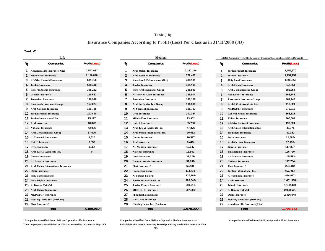### **Table (18)**

# **Insurance Companies According to Profit (Loss) Per Class as in 31/12/2008 (JD)**

#### **Cont. -2**

|                                                                | Life                                      |              |
|----------------------------------------------------------------|-------------------------------------------|--------------|
| $\ensuremath{\mathnormal{v}}_{\!\scriptscriptstyle\mathrm{Q}}$ | Companies                                 | Profit(Loss) |
| 1                                                              | <b>American Life Insurance(Alico)</b>     | 2,547,937    |
| $\mathbf{2}$                                                   | <b>Middle East Insurance</b>              | 2,120,840    |
| 3                                                              | <b>AL-Nisr Al-Arabi Insurance</b>         | 631,756      |
| 4                                                              | <b>Jordan Insurance</b>                   | 518,412      |
| 5                                                              | <b>General Arabia Insurance</b>           | 395,282      |
| 6                                                              | <b>Islamic Insurance</b>                  | 196,551      |
| 7                                                              | Jerusalem Insurance                       | 190,940      |
| 8                                                              | <b>Euro Arab Insurance Group</b>          | 157,077      |
| 9                                                              | <b>Arab German Insurance</b>              | 106,735      |
| 10                                                             | Jordan French Insurance                   | 102,810      |
| 11                                                             | Jordan International Ins.                 | 75,197       |
| 12                                                             | <b>Arab Assurers</b>                      | 48,022       |
|                                                                | <b>13</b> National Insurance              | 43,096       |
|                                                                | 14 Arab Jordanian Ins. Group              | 37,605       |
| 15                                                             | <b>Al Yarmouk Insurance</b>               | 8,620        |
|                                                                | <b>16</b> United Insurance                | 6,832        |
|                                                                | <b>17</b> Delta Insurance                 | 3,257        |
| 18                                                             | Arab Life & Accidents Ins.                | 0            |
|                                                                | <b>19 Gerasa Insurance</b>                |              |
|                                                                | 20 AL Manara Insurance                    |              |
| 21                                                             | <b>Arab Union International Insurance</b> |              |
| 22                                                             | <b>Oasis Insurance</b>                    |              |
| 23                                                             | <b>Holy Land Insurance</b>                |              |
| 24                                                             | Philadelphia Insurance                    |              |
| 25                                                             | Al Baraka Takaful                         |              |
| 26                                                             | <b>Arab Orient Insurance</b>              |              |
|                                                                | 27 MEDGULF Insurance                      |              |
| 28                                                             | <b>Housing Loans Ins. (Darkom)</b>        |              |
| 29                                                             | <b>First Insurance*</b>                   |              |
|                                                                | Total                                     | 7.190.969    |

|    | <b>Life</b>                           |              |                 | месиса                                |              |               | <b>Motor</b> (Compulsory(Third Party Liability Insurance) & Comprehensive (Own Dai |                    |
|----|---------------------------------------|--------------|-----------------|---------------------------------------|--------------|---------------|------------------------------------------------------------------------------------|--------------------|
| r. | Companies                             | Profit(Loss) | $\mathcal{U}_0$ | Companies                             | Profit(Loss) | $\frac{1}{6}$ | Companies                                                                          | <b>Profit(Lost</b> |
|    | American Life Insurance(Alico)        | 2,547,937    |                 | <b>Arab Orient Insurance</b>          | 2,217,269    | 1             | <b>Jordan French Insurance</b>                                                     | 1,259,370          |
|    | 2 Middle East Insurance               | 2,120,840    | $\mathbf{2}$    | <b>Arab German Insurance</b>          | 752,407      | $\mathbf{2}$  | <b>Jordan Insurance</b>                                                            | 1,151,757          |
|    | AL-Nisr Al-Arabi Insurance            | 631,756      | 3               | <b>American Life Insurance(Alico)</b> | 438,101      | 3             | <b>Holy Land Insurance</b>                                                         | 1,035,952          |
|    | Jordan Insurance                      | 518,412      |                 | <b>Jordan Insurance</b>               | 419,195      |               | <b>Arab Orient Insurance</b>                                                       | 642,551            |
|    | <b>General Arabia Insurance</b>       | 395,282      | 5               | <b>Euro Arab Insurance Group</b>      | 298,900      | 5             | Arab Jordanian Ins. Group                                                          | 583,654            |
|    | <b>6</b> Islamic Insurance            | 196,551      |                 | <b>AL-Nisr Al-Arabi Insurance</b>     | 186,914      |               | <b>Middle East Insurance</b>                                                       | 565,143            |
| 7  | Jerusalem Insurance                   | 190,940      |                 | <b>Jerusalem Insurance</b>            | 180,107      |               | <b>Euro Arab Insurance Group</b>                                                   | 464,948            |
|    | Euro Arab Insurance Group             | 157,077      | 8               | Arab Jordanian Ins. Group             | 136,300      | 8             | Arab Life & Accidents Ins.                                                         | 413,521            |
| 9  | <b>Arab German Insurance</b>          | 106,735      |                 | <b>Al Yarmouk Insurance</b>           | 115,703      | 9             | <b>MEDGULF Insurance</b>                                                           | 375,219            |
|    | <b>10</b> Jordan French Insurance     | 102,810      | 10              | <b>Delta Insurance</b>                | 101,384      | 10            | <b>General Arabia Insurance</b>                                                    | 366,125            |
|    | <b>11</b> Jordan International Ins.   | 75,197       | 11              | <b>Middle East Insurance</b>          | 93,962       | 11            | <b>United Insurance</b>                                                            | 360,664            |
|    | <b>12</b> Arab Assurers               | 48,022       | 12              | <b>United Insurance</b>               | 85,730       | 12            | <b>AL-Nisr Al-Arabi Insurance</b>                                                  | 193,624            |
|    | <b>13</b> National Insurance          | 43,096       | 13              | Arab Life & Accidents Ins.            | 47,376       | 13            | <b>Arab Union International Ins.</b>                                               | 48,775             |
|    | <b>14</b> Arab Jordanian Ins. Group   | 37,605       | 14              | Arab Union International Ins.         | 20,582       | 14            | <b>Jerusalem Insurance</b>                                                         | 37,352             |
|    | <b>15</b> Al Yarmouk Insurance        | 8,620        | 15              | <b>Gerasa Insurance</b>               | 20,517       | 15            | <b>Delta Insurance</b>                                                             | 12,585-            |
|    | <b>16</b> United Insurance            | 6,832        | 16              | <b>Arab Assurers</b>                  | 8,443-       | 16            | <b>Arab German Insurance</b>                                                       | 92,190-            |
|    | <b>17</b> Delta Insurance             | 3,257        | 17              | <b>AL Manara Insurance</b>            | 12,047-      | 17            | <b>Gerasa Insurance</b>                                                            | 117,897-           |
|    | 18 Arab Life & Accidents Ins.         | 0            | 18              | <b>National Insurance</b>             | 13,562-      | 18            | Philadelphia Insurance                                                             | 126,720-           |
|    | <b>19</b> Gerasa Insurance            |              | 19              | <b>Oasis Insurance</b>                | 31,129-      | 19            | <b>AL Manara Insurance</b>                                                         | 145,593-           |
|    | 20 AL Manara Insurance                |              | 20              | <b>General Arabia Insurance</b>       | $31,601 -$   | 20            | <b>National Insurance</b>                                                          | 177,794-           |
|    | 21 Arab Union International Insurance |              | 21              | <b>First Insurance*</b>               | 66,481-      | 21            | <b>First Insurance*</b>                                                            | 264,412-           |
|    | 22 Oasis Insurance                    |              | 22              | <b>Islamic Insurance</b>              | 172,433-     | 22            | Jordan International Ins.                                                          | 501,413-           |
|    | 23 Holy Land Insurance                |              | 23              | Al Baraka Takaful                     | 237,793-     | 23            | <b>Al Yarmouk Insurance</b>                                                        | 884,617-           |
|    | 24 Philadelphia Insurance             |              | 24              | Jordan International Ins.             | 426,549-     | 24            | <b>Arab Assurers</b>                                                               | 1,451,908          |
|    | 25 Al Baraka Takaful,                 |              | 25              | <b>Jordan French Insurance</b>        | 539,016-     | 25            | <b>Islamic Insurance</b>                                                           | 1,182,400          |
|    | 26 Arab Orient Insurance              |              | 26              | <b>MEDGULF Insurance</b>              | 597,093-     | 26            | Al Baraka Takaful                                                                  | 2,003,621-         |
|    | 27 MEDGULF Insurance                  |              | 27              | Philadelphia Insurance                |              | 27            | <b>Oasis Insurance</b>                                                             | 2,336,048          |
|    | 28 Housing Loans Ins. (Darkom)        |              | 28              | <b>Holy Land Insurance</b>            |              | 28            | <b>Housing Loans Ins. (Darkom)</b>                                                 |                    |
|    | 29 First Insurance*                   |              | 29              | <b>Housing Loans Ins. (Darkom)</b>    |              | 29            | <b>American Life Insurance(Alico)</b>                                              |                    |
|    | Total                                 | 7.190.969    |                 | <b>Total</b>                          | 2,978,300    |               | <b>Total</b>                                                                       | 1.798.543          |

| Life                 |              |               |                                       | Medical |              |                | <b>Motor</b> (Compulsory(Third Party Liability Insurance)&Comprehensive(Own Damages) |                     |
|----------------------|--------------|---------------|---------------------------------------|---------|--------------|----------------|--------------------------------------------------------------------------------------|---------------------|
| Companies            | Profit(Loss) | $\frac{1}{6}$ | Companies                             |         | Profit(Loss) | %              | Companies                                                                            | <b>Profit(Loss)</b> |
| nsurance(Alico)      | 2,547,937    | 1             | <b>Arab Orient Insurance</b>          |         | 2,217,269    | 1              | <b>Jordan French Insurance</b>                                                       | 1,259,370           |
| urance               | 2,120,840    | $\mathbf{2}$  | <b>Arab German Insurance</b>          |         | 752,407      | $\overline{2}$ | <b>Jordan Insurance</b>                                                              | 1,151,757           |
| bi Insurance         | 631,756      | 3             | <b>American Life Insurance(Alico)</b> |         | 438,101      | 3              | <b>Holy Land Insurance</b>                                                           | 1,035,952           |
| ce                   | 518,412      | 4             | <b>Jordan Insurance</b>               |         | 419,195      | 4              | <b>Arab Orient Insurance</b>                                                         | 642,551             |
| Insurance            | 395,282      | 5             | <b>Euro Arab Insurance Group</b>      |         | 298,900      | 5              | Arab Jordanian Ins. Group                                                            | 583,654             |
| ce                   | 196,551      | 6             | <b>AL-Nisr Al-Arabi Insurance</b>     |         | 186,914      | 6              | <b>Middle East Insurance</b>                                                         | 565,143             |
| rance                | 190,940      | 7             | <b>Jerusalem Insurance</b>            |         | 180,107      | 7              | Euro Arab Insurance Group                                                            | 464,948             |
| rance Group          | 157,077      | 8             | Arab Jordanian Ins. Group             |         | 136,300      | 8              | Arab Life & Accidents Ins.                                                           | 413,521             |
| nsurance             | 106,735      | 9             | <b>Al Yarmouk Insurance</b>           |         | 115,703      | 9              | <b>MEDGULF Insurance</b>                                                             | 375,219             |
| Insurance            | 102,810      | 10            | <b>Delta Insurance</b>                |         | 101,384      | 10             | <b>General Arabia Insurance</b>                                                      | 366,125             |
| tional Ins.          | 75,197       | 11            | <b>Middle East Insurance</b>          |         | 93,962       | 11             | <b>United Insurance</b>                                                              | 360,664             |
|                      | 48,022       | 12            | <b>United Insurance</b>               |         | 85,730       | 12             | AL-Nisr Al-Arabi Insurance                                                           | 193,624             |
| nce                  | 43,096       | 13            | Arab Life & Accidents Ins.            |         | 47,376       | 13             | <b>Arab Union International Ins.</b>                                                 | 48,775              |
| Ins. Group           | 37,605       | 14            | <b>Arab Union International Ins.</b>  |         | 20,582       | 14             | <b>Jerusalem Insurance</b>                                                           | 37,352              |
| surance              | 8,620        | 15            | <b>Gerasa Insurance</b>               |         | 20,517       | 15             | <b>Delta Insurance</b>                                                               | 12,585-             |
| ce                   | 6,832        | 16            | <b>Arab Assurers</b>                  |         | 8,443-       | 16             | <b>Arab German Insurance</b>                                                         | 92,190-             |
|                      | 3,257        | 17            | <b>AL Manara Insurance</b>            |         | 12,047-      | 17             | <b>Gerasa Insurance</b>                                                              | 117,897-            |
| cidents Ins.         | $\bf{0}$     | 18            | <b>National Insurance</b>             |         | 13,562-      | 18             | Philadelphia Insurance                                                               | 126,720-            |
| ce                   |              | 19            | <b>Oasis Insurance</b>                |         | 31,129-      | 19             | <b>AL Manara Insurance</b>                                                           | 145,593-            |
| urance               |              | 20            | <b>General Arabia Insurance</b>       |         | $31,601 -$   | 20             | <b>National Insurance</b>                                                            | 177,794-            |
| ernational Insurance |              | 21            | First Insurance*                      |         | 66,481-      | 21             | First Insurance*                                                                     | 264,412-            |
|                      |              | 22            | <b>Islamic Insurance</b>              |         | 172,433-     | 22             | Jordan International Ins.                                                            | 501,413-            |
| rance                |              | 23            | Al Baraka Takaful                     |         | 237,793-     | 23             | <b>Al Yarmouk Insurance</b>                                                          | 884,617-            |
| surance              |              | 24            | Jordan International Ins.             |         | 426,549-     | 24             | <b>Arab Assurers</b>                                                                 | 1,451,908-          |
| ıful,                |              | 25            | <b>Jordan French Insurance</b>        |         | 539,016-     | 25             | <b>Islamic Insurance</b>                                                             | 1,182,400-          |
| surance              |              | 26            | <b>MEDGULF Insurance</b>              |         | 597,093-     | 26             | Al Baraka Takaful                                                                    | 2,003,621-          |
| urance               |              | 27            | Philadelphia Insurance                |         |              | 27             | <b>Oasis Insurance</b>                                                               | 2,336,048-          |
| Ins. (Darkom)        |              | 28            | <b>Holy Land Insurance</b>            |         |              | 28             | <b>Housing Loans Ins. (Darkom)</b>                                                   |                     |
|                      |              | 29            | <b>Housing Loans Ins. (Darkom)</b>    |         |              | 29             | <b>American Life Insurance(Alico)</b>                                                |                     |
| <b>Total</b>         | 7,190,969    |               | <b>Total</b>                          |         | 2,978,300    |                | <b>Total</b>                                                                         | $1,798,543-$        |
|                      |              |               |                                       |         |              |                |                                                                                      |                     |

**\* Companies Classified from 19-29 don't practice Life Assurance Companies Classified from 27-29 don't practice Medical Insurance but Companies classified from 28-29 dont practice Motor Insurance The Company was established in 2008 and started its business in May 2008 Philadelphia Insurance company Started practicing medical Insurance in 2009**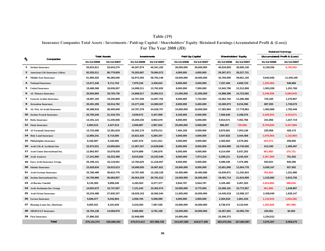# **Table (19)**

# **Insurance Companies Total Assets / Investments / Paid-up Capital / Shareholders' Equity /Retained Earnings (Accumulated Profit & (Loss))**

|              |                                        |             |                     |             | <b>Retained Earnings</b> |             |                 |             |                             |            |                               |
|--------------|----------------------------------------|-------------|---------------------|-------------|--------------------------|-------------|-----------------|-------------|-----------------------------|------------|-------------------------------|
| r            | Companies                              |             | <b>Total Assets</b> |             | <b>Investments</b>       |             | Paid Up Capital |             | <b>Shareholders' Equity</b> |            | (Accumulated) Profit & (Loss) |
|              |                                        | 31/12/2008  | 31/12/2007          | 31/12/2008  | 31/12/2007               | 31/12/2008  | 31/12/2007      | 31/12/2008  | 31/12/2007                  | 31/12/2008 | 31/12/2007                    |
| $\mathbf{1}$ | Jordan Insurance                       | 55,623,811  | 53,643,275          | 40,267,974  | 40,341,192               | 30,000,000  | 30,000,000      | 40,634,829  | 35,690,138                  | 6,139,256  | 4,738,352-                    |
|              | <b>American Life Insurance (Alico)</b> | 82,535,511  | 80,779,959          | 76,303,687  | 76,084,572               | 4,000,000   | 4,000,000       | 29,307,071  | 28,227,731                  |            |                               |
| 3            | <b>Middle East Insurance</b>           | 61,965,525  | 66,285,046          | 52,973,393  | 58,763,146               | 18,000,000  | 18,000,000      | 32,760,050  | 39,601,120                  | 9,642,845  | 11,435,195                    |
|              | <b>National Insurance</b>              | 12,671,246  | 9,711,754           | 7,979,156   | 4,336,624                | 8,000,000   | 3,500,000       | 7,337,494   | 4,606,720                   | 1,220,360- | 548,866                       |
|              | 5 United Insurance                     | 19,488,368  | 18,636,007          | 14,098,211  | 13,762,832               | 8,000,000   | 7,000,000       | 12,942,780  | 12,312,858                  | 1,503,208  | 1,201,768                     |
|              | <b>AL Manara Insurance</b>             | 20,004,665  | 18,755,736          | 14,868,617  | 15,984,511               | 21,000,000  | 21,000,000      | 14,888,396  | 14,723,582                  | 5,248,458- | 6,594,643-                    |
|              | 7 General Arabia Insurance             | 18,097,193  | 19,345,809          | 12,767,259  | 14,507,752               | 8,000,000   | 7,722,504       | 10,562,702  | 12,286,388                  | 725,160    | 1,276,967                     |
| 8            | Jerusalem Insurance                    | 20,491,296  | 18,514,782          | 15,377,240  | 14,080,507               | 8,000,000   | 5,460,000       | 10,400,973  | 9,216,596                   | 887,935    | 1,728,570                     |
|              | <b>AL-Nisr Al-Arabi Insurance</b>      | 30,288,918  | 28,450,949          | 24,797,378  | 24,228,757               | 10,000,000  | 10,000,000      | 17,383,964  | 17,778,963                  | 1,902,868  | 1,783,449                     |
|              | 10 Jordan French Insurance             | 20,765,245  | 21,318,754          | 3,639,572   | 5,347,959                | 9,100,000   | 6,500,000       | 7,026,640   | 4,188,576                   | 4,440,834- | 4,413,671-                    |
|              | 11 Delta Insurance                     | 13,191,121  | 11,245,946          | 10,200,235  | 8,952,670                | 8,000,000   | 5,000,000       | 8,914,571   | 7,452,766                   | 241,956    | 1,327,719                     |
|              | 12 Oasis Insurance                     | 5,083,515   | 4,327,014           | 2,559,887   | 2,857,815                | 25,000,000  | 5,000,000       | 986,357     | 729,666-                    | 8,704,839- | 5,427,894-                    |
|              | 13 Al Yarmouk Insurance                | 13,733,406  | 12,381,818          | 10,302,170  | 9,978,211                | 7,462,108   | 5,000,000       | 8,875,801   | 7,253,146                   | 220,958    | 428,173                       |
|              | 14 Holy Land Insurance                 | 12,984,241  | 8,715,566           | 10,621,525  | 6,284,347                | 4,000,000   | 4,000,000       | 3,547,822   | 3,444,408                   | 1,076,083- | 1,152,964-                    |
|              | 15 Philadelphia Insurance              | 8,166,587   | 8,192,692           | 5,687,676   | 6,011,811                | 4,000,000   | 4,000,000       | 4,305,903   | 4,579,284                   | 225,373-   | 259,092                       |
|              | 16 Arab Life & Accidents Ins.          | 22,972,631  | 23,656,664          | 11,087,327  | 14,639,846               | 8,000,000   | 8,000,000       | 10,004,989  | 10,740,556                  | 613,340    | 1,485,497                     |
|              | 17 Arab Union International Ins.       | 12,963,957  | 10,078,026          | 8,074,889   | 7,246,879                | 6,000,000   | 4,000,000       | 6,214,454   | 5,037,202                   | 581,892-   | 275.721-                      |
|              | 18 Arab Assurers                       | 17,241,800  | 18,223,368          | 8,615,826   | 10,233,540               | 8,000,000   | 7,974,319       | 6,299,211   | 9,245,424                   | 2,367,369- | 751,262                       |
|              | 19 Euro Arab Insurance Group           | 20,199,141  | 16,119,501          | 12,782,625  | 11,218,607               | 8,000,000   | 6,000,000       | 9,496,445   | 7,476,389                   | 933,021    | 940,495                       |
|              | 20 Islamic Insurance                   | 23,628,834  | 19,015,513          | 19,089,055  | 16,067,821               | 10,000,000  | 8,000,000       | 15,651,800  | 12,004,778                  | 5,036,167  | 937,952                       |
|              | 21 Arab German Insurance               | 33,786,489  | 39,815,776          | 14,787,400  | 12,159,129               | 10,400,680  | 10,400,680      | 10,630,871  | 11,242,924                  | 762,064-   | 1,231,080                     |
|              | 22 Jordan International Ins.           | 34,709,966  | 36,684,857          | 26,564,229  | 26,781,012               | 16,500,000  | 16,500,000      | 19,491,714  | 21,624,909                  | 1,216,892  | 5,815,756                     |
|              | 23 Al Baraka Takaful                   | 8,135,300   | 9,899,246           | 4,183,553   | 8,377,377                | 5,944,797   | 5,944,797       | 3,105,492   | 5,457,203                   | 2,823,800- | 588,634-                      |
|              | 24 Arab Jordanian Ins. Group           | 14,603,672  | 15,747,657          | 7,121,242   | 10,302,074               | 10,000,000  | 8,775,000       | 10,286,191  | 10,772,957                  | 461,869-   | 1,249,897                     |
| 25           | <b>Arab Orient Insurance</b>           | 33,234,488  | 27,830,337          | 18,029,153  | 16,592,044               | 11,000,000  | 10,000,000      | 14,445,018  | 12,598,127                  | 2,339,040  | 1,628,147                     |
|              | 26 Gerasa Insurance                    | 5,848,477   | 6,042,804           | 4,558,784   | 5,058,999                | 4,000,000   | 2,800,000       | 2,264,918   | 1,801,234                   | 1,110,043- | 1,044,282-                    |
|              | 27 Housing Loans Ins. (Darkom)         | 9,055,331   | 9,191,628           | 5,319,283   | 7,097,536                | 10,000,000  | 10,000,000      | 8,736,072   | 9,132,044                   | 1,263,928- | 867,956-                      |
|              | 28 MEDGULF Insurance                   | 16,764,138  | 14,069,879          | 9,466,982   | 9,791,158                | 10,000,000  | 10,000,000      | 10,267,661  | 10,095,730                  | 225,061    | 82,502                        |
|              | 29 First Insurance                     | 27,896,202  |                     | 22,948,085  |                          | 24,000,000  |                 | 25,306,372  |                             | 1,234,512  |                               |
|              | <b>Total</b>                           | 676,131,074 | 626,680,363         | 475,072,413 | 457,088,728              | 314,407,585 | 244,577,300     | 362,076,561 | 327,862,087                 | 2,575,307  | 9,008,270                     |

**For The Year 2008 (JD)**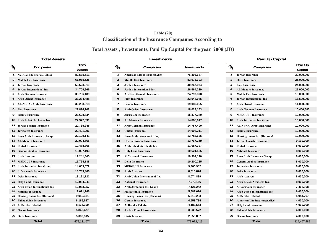# **Table (20) Classification of the Insurance Companies According to**

# **Total Assets , Investments, Paid Up Capital for the year 2008 (JD)**

**Total Assets**

| $v_{\mathcal{O}}$ | Companies                             | Total       | $\mathcal{U}_O$         |                              |
|-------------------|---------------------------------------|-------------|-------------------------|------------------------------|
|                   |                                       | Assets      |                         |                              |
| 1                 | <b>American Life Insurance(Alico)</b> | 82,535,511  | 1                       | <b>American Life Insura</b>  |
| 2                 | <b>Middle East Insurance</b>          | 61,965,525  | $\overline{2}$          | <b>Middle East Insurane</b>  |
| 3                 | Jordan Insurance                      | 55,623,811  | 3                       | Jordan Insurance             |
| 4                 | Jordan International Ins.             | 34,709,966  | $\overline{\mathbf{4}}$ | <b>Jordan International</b>  |
| 5                 | <b>Arab German Insurance</b>          | 33,786,489  | 5                       | <b>AL-Nisr Al-Arabi Ins</b>  |
| 6                 | <b>Arab Orient Insurance</b>          | 33,234,488  | 6                       | <b>First Insurance</b>       |
| 7                 | <b>AL-Nisr Al-Arabi Insurance</b>     | 30,288,918  | $\overline{7}$          | <b>Islamic Insurance</b>     |
| 8                 | <b>First Insurance</b>                | 27,896,202  | 8                       | <b>Arab Orient Insurane</b>  |
| 9                 | <b>Islamic Insurance</b>              | 23,628,834  | 9                       | <b>Jerusalem Insurance</b>   |
| 10                | Arab Life & Accidents Ins.            | 22,972,631  | 10                      | <b>AL Manara Insurand</b>    |
| 11                | <b>Jordan French Insurance</b>        | 20,765,245  | 11                      | <b>Arab German Insura</b>    |
| 12 <sup>2</sup>   | <b>Jerusalem Insurance</b>            | 20,491,296  | 12                      | <b>United Insurance</b>      |
| 13                | <b>Euro Arab Insurance Group</b>      | 20,199,141  | 13                      | <b>Euro Arab Insurance</b>   |
| 14                | <b>AL Manara Insurance</b>            | 20,004,665  | 14                      | <b>General Arabia Insur</b>  |
| 15                | <b>United Insurance</b>               | 19,488,368  | 15                      | Arab Life & Acciden          |
| 16                | <b>General Arabia Insurance</b>       | 18,097,193  | 16                      | <b>Holy Land Insurance</b>   |
| 17                | <b>Arab Assurers</b>                  | 17,241,800  | 17                      | <b>Al Yarmouk Insuran</b>    |
| 18                | <b>MEDGULF Insurance</b>              | 16,764,138  | 18                      | <b>Delta Insurance</b>       |
| 19                | Arab Jordanian Ins. Group             | 14,603,672  | 19                      | <b>MEDGULF Insurand</b>      |
| 20                | <b>Al Yarmouk Insurance</b>           | 13,733,406  | 20                      | <b>Arab Assurers</b>         |
| 21                | <b>Delta Insurance</b>                | 13,191,121  | 21                      | <b>Arab Union Internati</b>  |
| 22                | <b>Holy Land Insurance</b>            | 12,984,241  | 22                      | <b>National Insurance</b>    |
| 23                | <b>Arab Union International Ins.</b>  | 12,963,957  | 23                      | Arab Jordanian Ins.          |
| 24                | <b>National Insurance</b>             | 12,671,246  | 24                      | Philadelphia Insuran         |
| 25                | <b>Housing Loans Ins. (Darkom)</b>    | 9,055,331   | 25                      | <b>Housing Loans Ins.</b> (I |
| 26                | Philadelphia Insurance                | 8,166,587   | 26                      | <b>Gerasa Insurance</b>      |
| 27                | Al Baraka Takaful                     | 8,135,300   | 27                      | Al Baraka Takaful            |
| 28                | <b>Gerasa Insurance</b>               | 5,848,477   | 28                      | Jordan French Insur          |
| 29                | <b>Oasis Insurance</b>                | 5,083,515   | 29                      | <b>Oasis Insurance</b>       |
|                   | <b>Total</b>                          | 676,131,074 |                         | <b>Total</b>                 |

| ъ  | Companies                                | Total<br>Assets | $\mathcal{U}_O$ | Companies                             | Investments | $\frac{1}{2}$ | Companies                             | Paid Up<br>Capital |
|----|------------------------------------------|-----------------|-----------------|---------------------------------------|-------------|---------------|---------------------------------------|--------------------|
|    | <b>American Life Insurance(Alico)</b>    | 82,535,511      | $\mathbf{1}$    | <b>American Life Insurance(Alico)</b> | 76,303,687  |               | <b>Jordan Insurance</b>               | 30,000,000         |
|    | <b>Middle East Insurance</b>             | 61,965,525      | $\overline{2}$  | <b>Middle East Insurance</b>          | 52,973,393  | 2             | <b>Oasis Insurance</b>                | 25,000,000         |
|    | <b>Jordan Insurance</b>                  | 55,623,811      | 3               | <b>Jordan Insurance</b>               | 40,267,974  |               | <b>First Insurance</b>                | 24,000,000         |
|    | Jordan International Ins.                | 34,709,966      |                 | Jordan International Ins.             | 26,564,229  |               | <b>AL Manara Insurance</b>            | 21,000,000         |
|    | <b>Arab German Insurance</b>             | 33,786,489      | 5               | <b>AL-Nisr Al-Arabi Insurance</b>     | 24,797,378  |               | <b>Middle East Insurance</b>          | 18,000,000         |
| 6  | <b>Arab Orient Insurance</b>             | 33,234,488      | 6               | <b>First Insurance</b>                | 22,948,085  |               | <b>Jordan International Ins.</b>      | 16,500,000         |
|    | <b>AL-Nisr Al-Arabi Insurance</b>        | 30,288,918      | 7               | <b>Islamic Insurance</b>              | 19,089,055  |               | <b>Arab Orient Insurance</b>          | 11,000,000         |
| 8. | <b>First Insurance</b>                   | 27,896,202      | 8               | <b>Arab Orient Insurance</b>          | 18,029,153  |               | <b>Arab German Insurance</b>          | 10,400,680         |
|    | 9 Islamic Insurance                      | 23,628,834      | 9               | <b>Jerusalem Insurance</b>            | 15,377,240  |               | <b>MEDGULF Insurance</b>              | 10,000,000         |
|    | <b>10 Arab Life &amp; Accidents Ins.</b> | 22,972,631      | 10              | <b>AL Manara Insurance</b>            | 14,868,617  | 10            | Arab Jordanian Ins. Group             | 10,000,000         |
|    | l 1 Jordan French Insurance              | 20,765,245      | 11              | <b>Arab German Insurance</b>          | 14,787,400  | 11            | <b>AL-Nisr Al-Arabi Insurance</b>     | 10,000,000         |
|    | 2 Jerusalem Insurance                    | 20,491,296      | 12              | <b>United Insurance</b>               | 14,098,211  | 12            | <b>Islamic Insurance</b>              | 10,000,000         |
|    | 3 Euro Arab Insurance Group              | 20,199,141      | 13              | <b>Euro Arab Insurance Group</b>      | 12,782,625  | 13            | <b>Housing Loans Ins. (Darkom)</b>    | 10,000,000         |
|    | 14 AL Manara Insurance                   | 20,004,665      | 14              | <b>General Arabia Insurance</b>       | 12,767,259  | 14            | <b>Jordan French Insurance</b>        | 9,100,000          |
|    | <b>15 United Insurance</b>               | 19,488,368      | 15              | Arab Life & Accidents Ins.            | 11,087,327  | 15            | <b>United Insurance</b>               | 8,000,000          |
|    | l 6 General Arabia Insurance             | 18,097,193      | 16              | <b>Holy Land Insurance</b>            | 10,621,525  | 16            | <b>National Insurance</b>             | 8,000,000          |
|    | 17 Arab Assurers                         | 17,241,800      | 17              | <b>Al Yarmouk Insurance</b>           | 10,302,170  | 17            | <b>Euro Arab Insurance Group</b>      | 8,000,000          |
|    | <b>18 MEDGULF Insurance</b>              | 16,764,138      | 18              | <b>Delta Insurance</b>                | 10,200,235  | 18            | <b>General Arabia Insurance</b>       | 8,000,000          |
|    | 9 Arab Jordanian Ins. Group              | 14,603,672      | 19              | <b>MEDGULF Insurance</b>              | 9,466,982   | 19            | <b>Jerusalem Insurance</b>            | 8,000,000          |
|    | 20 Al Yarmouk Insurance                  | 13,733,406      | 20              | <b>Arab Assurers</b>                  | 8,615,826   | 20            | <b>Delta Insurance</b>                | 8,000,000          |
|    | 21 Delta Insurance                       | 13,191,121      | 21              | <b>Arab Union International Ins.</b>  | 8,074,889   | 21            | <b>Arab Assurers</b>                  | 8,000,000          |
|    | 22 Holy Land Insurance                   | 12,984,241      | 22              | <b>National Insurance</b>             | 7,979,156   | 22            | Arab Life & Accidents Ins.            | 8,000,000          |
|    | 23 Arab Union International Ins.         | 12,963,957      | 23              | Arab Jordanian Ins. Group             | 7,121,242   | 23            | <b>Al Yarmouk Insurance</b>           | 7,462,108          |
|    | 24 National Insurance                    | 12,671,246      | 24              | Philadelphia Insurance                | 5,687,676   | 24            | Arab Union International Ins.         | 6,000,000          |
|    | 25 Housing Loans Ins. (Darkom)           | 9,055,331       | 25              | <b>Housing Loans Ins. (Darkom)</b>    | 5,319,283   | 25            | Al Baraka Takaful                     | 5,944,797          |
|    | 26 Philadelphia Insurance                | 8,166,587       | 26              | <b>Gerasa Insurance</b>               | 4,558,784   | 26            | <b>American Life Insurance(Alico)</b> | 4,000,000          |
|    | <sup>2</sup> 7 - Al Baraka Takaful       | 8,135,300       | 27              | Al Baraka Takaful                     | 4,183,553   | 27            | <b>Holy Land Insurance</b>            | 4,000,000          |
|    | 28 Gerasa Insurance                      | 5,848,477       | 28              | <b>Jordan French Insurance</b>        | 3,639,572   | 28            | Philadelphia Insurance                | 4,000,000          |
|    | 29 Oasis Insurance                       | 5,083,515       | 29              | <b>Oasis Insurance</b>                | 2,559,887   | 29            | <b>Gerasa Insurance</b>               | 4,000,000          |
|    | <b>Total</b>                             | 676,131,074     |                 | <b>Total</b>                          | 475,072,413 |               | <b>Total</b>                          | 314,407,585        |

| S<br>Total |               |                 | Investments                           |                    | Paid Up Capital |                                        |                    |  |  |  |
|------------|---------------|-----------------|---------------------------------------|--------------------|-----------------|----------------------------------------|--------------------|--|--|--|
|            | <b>Assets</b> | $\mathcal{U}_O$ | Companies                             | <b>Investments</b> | $\mathcal{U}_O$ | Companies                              | Paid Up<br>Capital |  |  |  |
|            | 82,535,511    | 1               | <b>American Life Insurance(Alico)</b> | 76,303,687         | 1               | <b>Jordan Insurance</b>                | 30,000,000         |  |  |  |
|            | 61,965,525    | $\overline{2}$  | <b>Middle East Insurance</b>          | 52,973,393         | 2               | <b>Oasis Insurance</b>                 | 25,000,000         |  |  |  |
|            | 55,623,811    | 3               | <b>Jordan Insurance</b>               | 40,267,974         | 3               | <b>First Insurance</b>                 | 24,000,000         |  |  |  |
|            | 34,709,966    | $\overline{4}$  | <b>Jordan International Ins.</b>      | 26,564,229         | 4               | <b>AL Manara Insurance</b>             | 21,000,000         |  |  |  |
|            | 33,786,489    | 5               | <b>AL-Nisr Al-Arabi Insurance</b>     | 24,797,378         | 5               | <b>Middle East Insurance</b>           | 18,000,000         |  |  |  |
|            | 33,234,488    | 6               | <b>First Insurance</b>                | 22,948,085         | 6               | Jordan International Ins.              | 16,500,000         |  |  |  |
|            | 30,288,918    | 7               | <b>Islamic Insurance</b>              | 19,089,055         | 7               | <b>Arab Orient Insurance</b>           | 11,000,000         |  |  |  |
|            | 27,896,202    | 8               | <b>Arab Orient Insurance</b>          | 18,029,153         | 8               | <b>Arab German Insurance</b>           | 10,400,680         |  |  |  |
|            | 23,628,834    | 9               | Jerusalem Insurance                   | 15,377,240         | 9               | <b>MEDGULF Insurance</b>               | 10,000,000         |  |  |  |
|            | 22,972,631    | 10              | <b>AL Manara Insurance</b>            | 14,868,617         | 10              | Arab Jordanian Ins. Group              | 10,000,000         |  |  |  |
|            | 20,765,245    | 11              | <b>Arab German Insurance</b>          | 14,787,400         | 11              | <b>AL-Nisr Al-Arabi Insurance</b>      | 10,000,000         |  |  |  |
|            | 20,491,296    | 12              | <b>United Insurance</b>               | 14,098,211         | 12              | <b>Islamic Insurance</b>               | 10,000,000         |  |  |  |
|            | 20,199,141    | 13              | <b>Euro Arab Insurance Group</b>      | 12,782,625         | 13              | <b>Housing Loans Ins. (Darkom)</b>     | 10,000,000         |  |  |  |
|            | 20,004,665    | 14              | <b>General Arabia Insurance</b>       | 12,767,259         | 14              | <b>Jordan French Insurance</b>         | 9,100,000          |  |  |  |
|            | 19,488,368    | 15              | Arab Life & Accidents Ins.            | 11,087,327         | 15              | <b>United Insurance</b>                | 8,000,000          |  |  |  |
|            | 18,097,193    | 16              | <b>Holy Land Insurance</b>            | 10,621,525         | 16              | <b>National Insurance</b>              | 8,000,000          |  |  |  |
|            | 17,241,800    | 17              | <b>Al Yarmouk Insurance</b>           | 10,302,170         | 17              | <b>Euro Arab Insurance Group</b>       | 8,000,000          |  |  |  |
|            | 16,764,138    | 18              | <b>Delta Insurance</b>                | 10,200,235         | 18              | <b>General Arabia Insurance</b>        | 8,000,000          |  |  |  |
|            | 14,603,672    | 19              | <b>MEDGULF Insurance</b>              | 9,466,982          | 19              | <b>Jerusalem Insurance</b>             | 8,000,000          |  |  |  |
|            | 13,733,406    | 20              | <b>Arab Assurers</b>                  | 8,615,826          | 20              | <b>Delta Insurance</b>                 | 8,000,000          |  |  |  |
|            | 13,191,121    | 21              | <b>Arab Union International Ins.</b>  | 8,074,889          | 21              | <b>Arab Assurers</b>                   | 8,000,000          |  |  |  |
|            | 12,984,241    | 22              | <b>National Insurance</b>             | 7,979,156          | 22              | Arab Life & Accidents Ins.             | 8,000,000          |  |  |  |
|            | 12,963,957    | 23              | Arab Jordanian Ins. Group             | 7,121,242          | 23              | <b>Al Yarmouk Insurance</b>            | 7,462,108          |  |  |  |
|            | 12,671,246    | 24              | Philadelphia Insurance                | 5,687,676          | 24              | Arab Union International Ins.          | 6,000,000          |  |  |  |
|            | 9,055,331     | 25              | <b>Housing Loans Ins. (Darkom)</b>    | 5,319,283          | 25              | Al Baraka Takaful                      | 5,944,797          |  |  |  |
|            | 8,166,587     | 26              | <b>Gerasa Insurance</b>               | 4,558,784          | 26              | <b>American Life Insurance (Alico)</b> | 4,000,000          |  |  |  |
|            | 8,135,300     | 27              | Al Baraka Takaful                     | 4,183,553          | 27              | <b>Holy Land Insurance</b>             | 4,000,000          |  |  |  |
|            | 5,848,477     | 28              | <b>Jordan French Insurance</b>        | 3,639,572          | 28              | Philadelphia Insurance                 | 4,000,000          |  |  |  |
|            | 5,083,515     | 29              | <b>Oasis Insurance</b>                | 2,559,887          | 29              | <b>Gerasa Insurance</b>                | 4,000,000          |  |  |  |
|            | 676.131.074   |                 | Total                                 | 475.072.413        |                 | <b>Total</b>                           | 314.407.585        |  |  |  |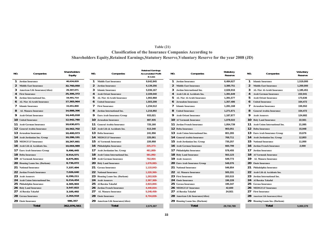### **Table (21) Classification of the Insurance Companies According to Shareholders Equity,Retained Earnings,Statutory Reserve,Voluntary Reserve for the year 2008 (JD)**

| NO.              | Companies                           | <b>Shareholders</b><br>Equity | NO.              | Companies                            | <b>Retained Earnings</b><br><b>Accumulated Profit</b><br>& Loss | NO. | Companies                         | Statutory<br>Reserve | NO.          | Companies                         | Voluntary<br>Reserve |
|------------------|-------------------------------------|-------------------------------|------------------|--------------------------------------|-----------------------------------------------------------------|-----|-----------------------------------|----------------------|--------------|-----------------------------------|----------------------|
| 1                | Jordan Insurance                    | 40,634,829                    |                  | <b>Middle East Insurance</b>         | 9,642,845                                                       |     | <b>Jordan Insurance</b>           | 6,484,627            |              | <b>Islamic Insurance</b>          | 1,519,000            |
|                  | 2 Middle East Insurance             | 32,760,050                    | 2                | Jordan Insurance                     | 6,139,256                                                       |     | 2 Middle East Insurance           | 3,380,751            | $\mathbf{2}$ | <b>Middle East Insurance</b>      | 1,200,000            |
|                  | 3 American Life Insurance(Alico)    | 29,307,071                    | 3                | <b>Islamic Insurance</b>             | 5,036,167                                                       |     | Jordan International Ins.         | 2,026,916            | 3            | <b>AL-Nisr Al-Arabi Insurance</b> | 1,185,451            |
|                  | 4 First Insurance                   | 25,306,372                    |                  | <b>Arab Orient Insurance</b>         | 2,339,040                                                       |     | Arab Life & Accidents Ins.        | 1,391,649            | 4            | <b>Arab German Insurance</b>      | 222,041              |
|                  | Jordan International Ins.           | 19,491,714                    |                  | <b>AL-Nisr Al-Arabi Insurance</b>    | 1,902,868                                                       |     | <b>AL-Nisr Al-Arabi Insurance</b> | 1,391,577            | 5.           | <b>Arab Orient Insurance</b>      | 173,636              |
|                  | <b>6</b> AL-Nisr Al-Arabi Insurance | 17,383,964                    |                  | <b>United Insurance</b>              | 1,503,208                                                       |     | 6 Jerusalem Insurance             | 1,357,486            |              | <b>United Insurance</b>           | 164,472              |
|                  | 7 Islamic Insurance                 | 15,651,800                    |                  | <b>First Insurance</b>               | 1,234,512                                                       |     | <b>Islamic Insurance</b>          | 1,281,168            |              | <b>Jerusalem Insurance</b>        | 155,552              |
|                  | <b>AL Manara Insurance</b>          | 14,888,396                    | 8                | Jordan International Ins.            | 1,216,892                                                       |     | 8 United Insurance                | 1,271,671            | 8            | <b>General Arabia Insurance</b>   | 154,472              |
|                  | 9 Arab Orient Insurance             | 14,445,018                    | 9                | Euro Arab Insurance Group            | 933,021                                                         |     | 9 Arab Orient Insurance           | 1,187,877            | 9.           | <b>Arab Assurers</b>              | 124,682              |
|                  | 10 United Insurance                 | 12,942,780                    |                  | 10 Jerusalem Insurance               | 887,935                                                         |     | 10 Al Yarmouk Insurance           | 1,078,022            |              | 10 Holy Land Insurance            | 22,561               |
|                  | 11 Arab German Insurance            | 10,630,871                    |                  | 11 General Arabia Insurance          | 725,160                                                         |     | 11 Jordan French Insurance        | 1,054,739            |              | 11 Arab Union International Ins.  | 21,085               |
|                  | <b>12</b> General Arabia Insurance  | 10,562,702                    |                  | <b>12</b> Arab Life & Accidents Ins. | 613,340                                                         |     | 12 Delta Insurance                | 903,051              |              | 12 Delta Insurance                | 15,948               |
|                  | 13 Jerusalem Insurance              | 10,400,973                    |                  | <b>13 Delta Insurance</b>            | 241,956                                                         |     | 13 Arab Union International Ins.  | 801,265              |              | 13 Euro Arab Insurance Group      | 15,676               |
|                  | 14 Arab Jordanian Ins. Group        | 10,286,191                    |                  | <b>14 MEDGULF Insurance</b>          | 225,061                                                         |     | 14 General Arabia Insurance       | 769,711              |              | 14 Arab Jordanian Ins. Group      | 12,803               |
|                  | <b>15 MEDGULF Insurance</b>         | 10.267.661                    |                  | 15 Al Yarmouk Insurance              | 220,958                                                         |     | 15 Arab Jordanian Ins. Group      | 735,257              |              | 15 National Insurance             | 11,000               |
|                  | 16 Arab Life & Accidents Ins.       | 10,004,989                    |                  | 16 Philadelphia Insurance            | 225,373-                                                        |     | 16 Arab German Insurance          | 660,799              |              | 16 Jordan French Insurance        | 2,000                |
|                  | 17 Euro Arab Insurance Group        | 9,496,445                     |                  | 17 Arab Jordanian Ins. Group         | 461.869-                                                        |     | 17 Philadelphia Insurance         | 578,455              |              | 17 Jordan Insurance               |                      |
|                  | 18 Delta Insurance                  | 8,914,571                     |                  | 18 Arab Union International Ins.     | 581,892-                                                        |     | 18 Holy Land Insurance            | 563,123              |              | 18 Al Yarmouk Insurance           |                      |
|                  | 19 Al Yarmouk Insurance             | 8,875,801                     |                  | 19 - Arab German Insurance           | 762,064-                                                        |     | 19 Arab Assurers                  | 549,773              | 19           | <b>AL Manara Insurance</b>        |                      |
|                  | 20 Housing Loans Ins. (Darkom)      | 8,736,072                     |                  | 20 Holy Land Insurance               | 1,076,083-                                                      |     | 20 Euro Arab Insurance Group      | 548,076              |              | 20 Oasis Insurance                |                      |
|                  | 21 National Insurance               | 7,337,494                     |                  | 21 Gerasa Insurance                  | 1,110,043-                                                      |     | 21 National Insurance             | 546,854              |              | 21 Philadelphia Insurance         |                      |
|                  | 22 Jordan French Insurance          | 7,026,640                     |                  | 22 National Insurance                | 1,220,360-                                                      |     | 22 AL Manara Insurance            | 505,331              |              | 22 Arab Life & Accidents Ins.     |                      |
| 23 Arab Assurers |                                     | 6,299,211                     |                  | 23 Housing Loans Ins. (Darkom)       | 1,263,928-                                                      |     | 23 First Insurance                | 203,515              |              | 23 Jordan International Ins.      |                      |
|                  | 24 Arab Union International Ins.    | 6,214,454                     | 24 Arab Assurers |                                      | 2,367,369-                                                      |     | 24 Oasis Insurance                | 196,228              |              | 24 Al Baraka Takaful              |                      |
|                  | 25 Philadelphia Insurance           | 4,305,903                     |                  | 25 Al Baraka Takaful                 | 2,823,800-                                                      |     | 25 Gerasa Insurance               | 195,347              |              | 25 Gerasa Insurance               |                      |
|                  | 26 Holy Land Insurance              | 3,547,822                     |                  | 26 Jordan French Insurance           | 4,440,834-                                                      |     | <b>26 MEDGULF Insurance</b>       | 42,600               |              | 26 MEDGULF Insurance              |                      |
|                  | 27 Al Baraka Takaful                | 3,105,492                     |                  | 27 AL Manara Insurance               | 5,248,458-                                                      |     | 27 Al Baraka Takaful              | 24,921               |              | 27 First Insurance                |                      |
|                  | 28 Gerasa Insurance                 | 2,264,918                     |                  | 28 Oasis Insurance                   | 8,704,839-                                                      |     | 28 American Life Insurance(Alico) |                      |              | 28 American Life Insurance(Alico) |                      |
|                  | 29 Oasis Insurance                  | 986,357                       |                  | 29 American Life Insurance(Alico)    |                                                                 |     | 29 Housing Loans Ins. (Darkom)    |                      |              | 29 Housing Loans Ins. (Darkom)    |                      |
|                  | <b>Total</b>                        | 362,076,561                   |                  | <b>Total</b>                         | 2,575,307                                                       |     | <b>Total</b>                      | 29,730,789           |              | <b>Total</b>                      | 5,000,379            |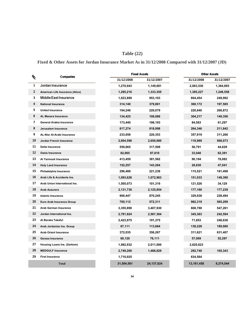# **Table (22)**

**Fixed & Other Assets for Jordan Insurance Market As in 31/12/2008 Compared with 31/12/2007 (JD)**

|                |                                   |            | <b>Fixed Assets</b> | <b>Other Assets</b> |            |  |  |
|----------------|-----------------------------------|------------|---------------------|---------------------|------------|--|--|
| $\imath_{\!o}$ | Companies                         | 31/12/2008 | 31/12/2007          | 31/12/2008          | 31/12/2007 |  |  |
| 1              | Jordan Insurance                  | 1,270,943  | 1,149,681           | 2,083,530           | 1,364,893  |  |  |
| 2              | American Life Insurance (Alico)   | 1,295,216  | 1,333,355           | 1,395,227           | 1,248,558  |  |  |
| 3              | <b>Middle East Insurance</b>      | 1,023,889  | 953,103             | 804,454             | 249,992    |  |  |
| 4              | <b>National Insurance</b>         | 314,140    | 379,861             | 360,172             | 197,585    |  |  |
| 5              | <b>United Insurance</b>           | 194,246    | 220,079             | 220,840             | 266,872    |  |  |
| 6              | <b>AL Manara Insurance</b>        | 134,425    | 108,086             | 304,217             | 149,356    |  |  |
| 7              | <b>General Arabia Insurance</b>   | 173,440    | 198,193             | 84,583              | 61,297     |  |  |
| 8              | Jerusalem Insurance               | 817,274    | 818,998             | 264,346             | 211,842    |  |  |
| 9              | <b>AL-Nisr Al-Arabi Insurance</b> | 233,058    | 220,353             | 357,919             | 311,266    |  |  |
| 10             | Jordan French Insurance           | 2,604,596  | 2,650,880           | 118,969             | 568,073    |  |  |
| 11             | Delta Insurance                   | 559,865    | 317,509             | 56,791              | 44,629     |  |  |
| 12             | <b>Oasis Insurance</b>            | 82,065     | 87,610              | 33,040              | 62,391     |  |  |
| 13             | Al Yarmouk Insurance              | 413,459    | 381,582             | 90,194              | 78,082     |  |  |
| 14             | <b>Holy Land Insurance</b>        | 152,257    | 143,264             | 28,830              | 47,041     |  |  |
| 15             | Philadelphia Insurance            | 296,488    | 221,238             | 115,521             | 181,498    |  |  |
| 16             | Arab Life & Accidents Ins.        | 1,093,626  | 1,072,963           | 151,033             | 149,390    |  |  |
| 17             | Arab Union International Ins.     | 1,505,073  | 101,319             | 121,526             | 34,129     |  |  |
| 18             | <b>Arab Assurers</b>              | 2,131,730  | 2,125,854           | 177,160             | 177,239    |  |  |
| 19             | <b>Islamic Insurance</b>          | 900,447    | 870,245             | 329,938             | 228,494    |  |  |
| 20             | <b>Euro Arab Insurance Group</b>  | 785,112    | 572,311             | 982,319             | 565,299    |  |  |
| 21             | <b>Arab German Insurance</b>      | 3,355,890  | 3,407,930           | 608,788             | 547,261    |  |  |
| 22             | Jordan International Ins.         | 2,781,924  | 2,567,364           | 345,363             | 242,594    |  |  |
| 23             | Al Baraka Takaful                 | 2,423,975  | 191,375             | 71,853              | 248,636    |  |  |
| 24             | Arab Jordanian Ins. Group         | 87,111     | 113,664             | 138,228             | 189,080    |  |  |
| 25             | <b>Arab Orient Insurance</b>      | 372,035    | 356,267             | 311,621             | 631,407    |  |  |
| 26             | Gerasa Insurance                  | 60,120     | 76,111              | 57,069              | 52,297     |  |  |
| 27             | Housing Loans Ins. (Darkom)       | 1,982,932  | 2,011,000           | 2,620,623           |            |  |  |
| 28             | <b>MEDGULF Insurance</b>          | 2,749,200  | 1,486,829           | 292,740             | 165,343    |  |  |
| 29             | <b>First Insurance</b>            | 1,710,025  |                     | 634,564             |            |  |  |
|                | <b>Total</b>                      | 31,504,561 | 24, 137, 024        | 13,161,458          | 8,274,544  |  |  |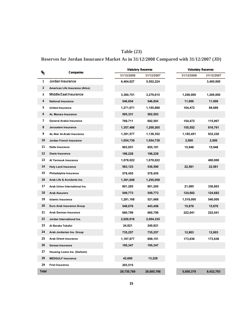# **Table (23)**

# **Reserves for Jordan Insurance Market As in 31/12/2008 Compared with 31/12/2007 (JD)**

| $\frac{1}{2}$ | Companies                       |            | <b>Statutory Reserves</b> | <b>Voluntary Reserves</b> |            |
|---------------|---------------------------------|------------|---------------------------|---------------------------|------------|
|               |                                 | 31/12/2008 | 31/12/2007                | 31/12/2008                | 31/12/2007 |
| 1             | Jordan Insurance                | 6,484,627  | 5,502,224                 |                           | 3,400,000  |
| 2             | American Life Insurance (Alico) |            |                           |                           |            |
| 3             | Middle East Insurance           | 3,380,751  | 3,279,615                 | 1,200,000                 | 1,200,000  |
| 4             | <b>National Insurance</b>       | 546,854    | 546,854                   | 11,000                    | 11,000     |
| 5             | <b>United Insurance</b>         | 1,271,671  | 1,195,888                 | 164,472                   | 88,689     |
| 6             | AL Manara Insurance             | 505,331    | 502,503                   |                           |            |
| 7             | General Arabia Insurance        | 769,711    | 692,581                   | 154,472                   | 115,907    |
| 8             | Jerusalem Insurance             | 1,357,486  | 1,209,265                 | 155,552                   | 818,761    |
| 9             | AL-Nisr Al-Arabi Insurance      | 1,391,577  | 1,138,352                 | 1,185,451                 | 932,226    |
| 10            | Jordan French Insurance         | 1,054,739  | 1,054,739                 | 2,000                     | 2,000      |
| 11            | Delta Insurance                 | 903,051    | 855,191                   | 15,948                    | 15,948     |
| 12            | Oasis Insurance                 | 196,228    | 196,228                   |                           |            |
| 13            | Al Yarmouk Insurance            | 1,078,022  | 1,078,022                 |                           | 400,000    |
| 14            | <b>Holy Land Insurance</b>      | 563,123    | 536,590                   | 22,561                    | 22,561     |
| 15            | Philadelphia Insurance          | 578,455    | 578,455                   |                           |            |
| 16            | Arab Life & Accidents Ins.      | 1,391,649  | 1,255,059                 |                           |            |
| 17            | Arab Union International Ins.   | 801,265    | 801,265                   | 21,085                    | 336,863    |
| 18            | <b>Arab Assurers</b>            | 549,773    | 549,773                   | 124,682                   | 124,682    |
| 19            | <b>Islamic Insurance</b>        | 1,281,168  | 521,668                   | 1,519,000                 | 540,000    |
| 20            | Euro Arab Insurance Group       | 548,076    | 443,456                   | 15,676                    | 15,676     |
| 21            | Arab German Insurance           | 660,799    | 660,799                   | 222,041                   | 222,041    |
| 22            | Jordan International Ins.       | 2,026,916  | 2,004,335                 |                           |            |
| 23            | Al Baraka Takaful               | 24,921     | 240,921                   |                           |            |
| 24            | Arab Jordanian Ins. Group       | 735,257    | 735,257                   | 12,803                    | 12,803     |
| 25            | <b>Arab Orient Insurance</b>    | 1,187,877  | 898,151                   | 173,636                   | 173,636    |
| 26            | Gerasa Insurance                | 195,347    | 195,347                   |                           |            |
| 27            | Housing Loans Ins. (Darkom)     |            |                           |                           |            |
| 28            | <b>MEDGULF Insurance</b>        | 42,600     | 13,228                    |                           |            |
| 29            | <b>First Insurance</b>          | 203,515    |                           |                           |            |
| Total         |                                 | 29,730,789 | 26,685,766                | 5,000,379                 | 8,432,793  |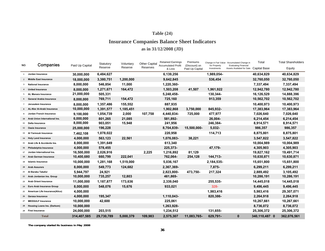# **Table (24)**

# **Insurance Companies Balance Sheet Indicators as in 31/12/2008 (JD)**

| NO. | Companies                         |                 | Statutory  | Voluntary | <b>Other Capital</b> | <b>Retained Earnings</b><br><b>Accumulated Profit</b> | Premiums                         |                             | Change in Fair Value Accumulated Change in<br><b>Evaluating Financial</b> | Total               | <b>Total Shareholders</b> |
|-----|-----------------------------------|-----------------|------------|-----------|----------------------|-------------------------------------------------------|----------------------------------|-----------------------------|---------------------------------------------------------------------------|---------------------|---------------------------|
|     |                                   | Paid Up Capital | Reserve    | Reserve   | Reserves             | & Loss                                                | (Discount) on<br>Paid Up Capital | for Property<br>Investments | Assets Availabel for Sale                                                 | <b>Capital Base</b> | Equity                    |
|     | Jordan Insurance                  | 30,000,000      | 6,484,627  |           |                      | 6,139,256                                             |                                  | 1,989,054-                  |                                                                           | 40,634,829          | 40,634,829                |
|     | 2 Middle East Insurance           | 18,000,000      | 3,380,751  | 1,200,000 |                      | 9,642,845                                             |                                  | 536,454                     |                                                                           | 32,760,050          | 32,760,050                |
|     | 3 National Insurance              | 8,000,000       | 546,854    | 11,000    |                      | 1,220,360-                                            |                                  |                             |                                                                           | 7,337,494           | 7,337,494                 |
|     | <b>United Insurance</b>           | 8,000,000       | 1,271,671  | 164,472   |                      | 1,503,208                                             | 41,507                           | 1,961,922                   |                                                                           | 12,942,780          | 12,942,780                |
|     | 5 AL Manara Insurance             | 21,000,000      | 505,331    |           |                      | 5,248,458-                                            |                                  | 130,344-                    |                                                                           | 16,126,529          | 14,888,396                |
|     | 6 General Arabia Insurance        | 8,000,000       | 769,711    | 154,472   |                      | 725,160                                               |                                  | 913,359                     |                                                                           | 10,562,702          | 10,562,702                |
|     | Jerusalem Insurance               | 8,000,000       | 1,357,486  | 155,552   |                      | 887,935                                               |                                  |                             |                                                                           | 10,400,973          | 10,400,973                |
|     | 8 AL-Nisr Al-Arabi Insurance      | 10,000,000      | 1,391,577  | 1,185,451 |                      | 1,902,868                                             | 3,750,000                        | 845,932-                    |                                                                           | 17,383,964          | 17,383,964                |
|     | Jordan French Insurance           | 9,100,000       | 1,054,739  | 2,000     | 107,758              | 4,440,834-                                            | 725,000                          | 477,977                     |                                                                           | 7,026,640           | 7,026,640                 |
|     | 10 Arab Union International Ins.  | 6,000,000       | 801,265    | 21,085    |                      | 581,892-                                              |                                  | 26,004-                     |                                                                           | 6,214,454           | 6,214,454                 |
|     | 11 Delta Insurance                | 8,000,000       | 903,051    | 15,948    |                      | 241,956                                               |                                  | 246,384-                    |                                                                           | 8,914,571           | 8,914,571                 |
|     | 12 Oasis Insurance                | 25,000,000      | 196,228    |           |                      | 8,704,839-                                            | 15,500,000-                      | 5,032-                      |                                                                           | 986,357             | 986,357                   |
|     | 13 Al Yarmouk Insurance           | 7,462,108       | 1,078,022  |           |                      | 220,958                                               |                                  | 114,713                     |                                                                           | 8,875,801           | 8,875,801                 |
|     | 14 Holy Land Insurance            | 4,000,000       | 563,123    | 22,561    |                      | 1,076,083-                                            | 38,221                           |                             |                                                                           | 3,547,822           | 3,547,822                 |
|     | 15 Arab Life & Accidents Ins.     | 8,000,000       | 1,391,649  |           |                      | 613,340                                               |                                  |                             |                                                                           | 10,004,989          | 10,004,989                |
|     | 16 Philadelphia Insurance         | 4,000,000       | 578,455    |           |                      | 225,373-                                              |                                  | 47,179-                     |                                                                           | 4,305,903           | 4,305,903                 |
| 17  | Jordan International Ins.         | 16,500,000      | 2,026,916  |           | 2,225                | 1,216,892                                             | 81,129                           |                             |                                                                           | 19,827,162          | 19,491,714                |
|     | 18 Arab German Insurance          | 10,400,680      | 660,799    | 222,041   |                      | 762,064-                                              | 254,128                          | 144.713-                    |                                                                           | 10,630,871          | 10,630,871                |
|     | 19 Islamic Insurance              | 10,000,000      | 1,281,168  | 1,519,000 |                      | 5,036,167                                             |                                  | 2,184,535-                  |                                                                           | 15,651,800          | 15,651,800                |
|     | 20 Arab Assurers                  | 8,000,000       | 549,773    | 124,682   |                      | 2,367,369-                                            |                                  | 7,875-                      |                                                                           | 6,299,211           | 6,299,211                 |
|     | 21 Al Baraka Takaful              | 5,944,797       | 24,921     |           |                      | 2,823,800-                                            | 473,750-                         | 217,324                     |                                                                           | 2,889,492           | 3,105,492                 |
|     | 22 Arab Jordanian Ins. Group      | 10,000,000      | 735,257    | 12,803    |                      | 461,869-                                              |                                  |                             |                                                                           | 10,286,191          | 10,286,191                |
|     | 23 Arab Orient Insurance          | 11,000,000      | 1,187,877  | 173,636   |                      | 2,339,040                                             |                                  | 255,535-                    |                                                                           | 14,445,018          | 14,445,018                |
|     | 24 Euro Arab Insurance Group      | 8,000,000       | 548,076    | 15,676    |                      | 933,021                                               |                                  | 328-                        |                                                                           | 9,496,445           | 9,496,445                 |
|     | 25 American Life Insurance(Alico) | 4,000,000       |            |           |                      |                                                       |                                  | 1,983,416                   |                                                                           | 5,983,416           | 29,307,071                |
|     | 26 Gerasa Insurance               | 4,000,000       | 195,347    |           |                      | 1,110,043-                                            |                                  | 820,386-                    |                                                                           | 2,264,918           | 2,264,918                 |
|     | 27 MEDGULF Insurance              | 10,000,000      | 42,600     |           |                      | 225,061                                               |                                  |                             |                                                                           | 10,267,661          | 10,267,661                |
|     | 28 Housing Loans Ins. (Darkom)    | 10,000,000      |            |           |                      | 1,263,928-                                            |                                  |                             |                                                                           | 8,736,072           | 8,736,072                 |
|     | 29 First Insurance                | 24,000,000      | 203,515    |           |                      | 1,234,512                                             |                                  | 131,655-                    |                                                                           | 25,306,372          | 25,306,372                |
|     | <b>Total</b>                      | 314,407,585     | 29,730,789 | 5,000,379 | 109,983              | 2,575,307                                             | 11,083,765-                      | 629,791-                    | $\mathbf{0}$                                                              | 340,110,487 0       | 362,076,561               |

**The company started its business in May 2008**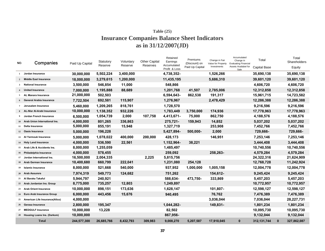# **Insurance Companies Balance Sheet Indicators as in 31/12/2007(JD) Table (25)**

| NO.            | Companies                         | Paid Up Capital | Statutory<br>Reserve | Voluntary<br>Reserve | <b>Other Capital</b><br>Reserves | Retained<br>Earnings<br>Accumulated<br>Profit & Loss | Premiums<br>(Discount) on<br>Paid Up Capital | Change in Fair<br>Value for Property<br>Investments | Accumulated<br>Change in<br><b>Evaluating Financial</b><br>Assets Availabel for<br>Sale | Total<br><b>Capital Base</b> |              | Total<br>Shareholders<br>Equity |
|----------------|-----------------------------------|-----------------|----------------------|----------------------|----------------------------------|------------------------------------------------------|----------------------------------------------|-----------------------------------------------------|-----------------------------------------------------------------------------------------|------------------------------|--------------|---------------------------------|
|                | 1 Jordan Insurance                | 30,000,000      | 5,502,224            | 3,400,000            |                                  | 4,738,352-                                           |                                              | 1,526,266                                           |                                                                                         | 35,690,138                   |              | 35,690,138                      |
| $\overline{2}$ | Middle East Insurance             | 18.000.000      | 3,279,615            | 1.200.000            |                                  | 11,435,195                                           |                                              | 5.686.310                                           |                                                                                         | 39,601,120                   |              | 39,601,120                      |
| $3^{\circ}$    | <b>National Insurance</b>         | 3,500,000       | 546,854              | 11,000               |                                  | 548,866                                              |                                              |                                                     |                                                                                         | 4,606,720                    |              | 4,606,720                       |
|                | <b>United Insurance</b>           | 7,000,000       | 1,195,888            | 88,689               |                                  | 1,201,768                                            | 41,507                                       | 2,785,006                                           |                                                                                         | 12,312,858                   |              | 12,312,858                      |
|                | 5 AL Manara Insurance             | 21,000,000      | 502,503              |                      |                                  | 6,594,643-                                           | 862,538                                      | 191,317                                             |                                                                                         | 15,961,715                   |              | 14,723,582                      |
|                | <b>General Arabia Insurance</b>   | 7,722,504       | 692,581              | 115,907              |                                  | 1,276,967                                            |                                              | 2,478,429                                           |                                                                                         | 12,286,388                   |              | 12,286,388                      |
|                | Jerusalem Insurance               | 5,460,000       | 1,209,265            | 818,761              |                                  | 1,728,570                                            |                                              |                                                     |                                                                                         | 9,216,596                    |              | 9,216,596                       |
|                | AL-Nisr Al-Arabi Insurance        | 10,000,000      | 1,138,352            | 932,226              |                                  | 1,783,449                                            | 3,750,000                                    | 174,936                                             |                                                                                         | 17,778,963                   |              | 17,778,963                      |
|                | Jordan French Insurance           | 6,500,000       | 1,054,739            | 2,000                | 107,758                          | 4,413,671-                                           | 75,000                                       | 862,750                                             |                                                                                         | 4,188,576                    |              | 4,188,576                       |
|                | 10 Arab Union International Ins.  | 4,000,000       | 801,265              | 336,863              |                                  | 275,721-                                             | 159,943                                      | 14,852                                              |                                                                                         | 5,037,202                    |              | 5,037,202                       |
| 11             | Delta Insurance                   | 5,000,000       | 855,191              | 15,948               |                                  | 1,327,719                                            |                                              | 253,908                                             |                                                                                         | 7,452,766                    |              | 7,452,766                       |
|                | 12 Oasis Insurance                | 5,000,000       | 196,228              |                      |                                  | 5,427,894-                                           | 500,000-                                     | 2,000                                               |                                                                                         | 729,666-                     |              | 729,666-                        |
|                | 13 Al Yarmouk Insurance           | 5,000,000       | 1,078,022            | 400,000              | 200,000                          | 428,173                                              |                                              | 146,951                                             |                                                                                         | 7,253,146                    |              | 7,253,146                       |
|                | 14 Holy Land Insurance            | 4,000,000       | 536,590              | 22,561               |                                  | 1,152,964-                                           | 38,221                                       |                                                     |                                                                                         | 3,444,408                    |              | 3,444,408                       |
|                | 15 Arab Life & Accidents Ins.     | 8,000,000       | 1,255,059            |                      |                                  | 1,485,497                                            |                                              |                                                     |                                                                                         | 10,740,556                   |              | 10,740,556                      |
|                | 16 Philadelphia Insurance         | 4,000,000       | 578,455              |                      |                                  | 259,092                                              |                                              | 258.263-                                            |                                                                                         | 4,579,284                    |              | 4,579,284                       |
| 17             | Jordan International Ins.         | 16,500,000      | 2,004,335            |                      | 2,225                            | 5,815,756                                            |                                              |                                                     |                                                                                         | 24,322,316                   |              | 21,624,909                      |
|                | 18 Arab German Insurance          | 10,400,680      | 660,799              | 222,041              |                                  | 1,231,080                                            | 254,128                                      |                                                     |                                                                                         | 12,768,728                   |              | 11,242,924                      |
| 19             | <b>Islamic Insurance</b>          | 8,000,000       | 521,668              | 540,000              |                                  | 937,952                                              | 1,000,000                                    | 1,005,158                                           |                                                                                         | 12,004,778                   |              | 12,004,778                      |
|                | 20 Arab Assurers                  | 7,974,319       | 549,773              | 124,682              |                                  | 751,262                                              |                                              | 154,612-                                            |                                                                                         | 9,245,424                    |              | 9,245,424                       |
|                | 21 Al Baraka Takaful              | 5,944,797       | 240,921              |                      |                                  | 588,634-                                             | 473.750-                                     | 333,869                                             |                                                                                         | 5,457,203                    |              | 5,457,203                       |
|                | 22 Arab Jordanian Ins. Group      | 8,775,000       | 735,257              | 12,803               |                                  | 1,249,897                                            |                                              |                                                     |                                                                                         | 10,772,957                   |              | 10,772,957                      |
|                | 23 Arab Orient Insurance          | 10,000,000      | 898,151              | 173,636              |                                  | 1,628,147                                            |                                              | 101,807-                                            |                                                                                         | 12,598,127                   |              | 12,598,127                      |
|                | 24 Euro Arab Insurance Group      | 6,000,000       | 443,456              | 15,676               |                                  | 940,495                                              |                                              | 76,762                                              |                                                                                         | 7,476,389                    |              | 7,476,389                       |
|                | 25 American Life Insurance(Alico) | 4,000,000       |                      |                      |                                  |                                                      |                                              | 3,036,044                                           |                                                                                         | 7,036,044                    |              | 28,227,731                      |
|                | 26 Gerasa Insurance               | 2,800,000       | 195.347              |                      |                                  | 1,044,282-                                           |                                              | 149,831-                                            |                                                                                         | 1,801,234                    |              | 1,801,234                       |
| 27             | <b>MEDGULF Insurance</b>          | 10,000,000      | 13,228               |                      |                                  | 82,502                                               |                                              |                                                     |                                                                                         | 10,095,730                   |              | 10,095,730                      |
|                | 28 Housing Loans Ins. (Darkom)    | 10,000,000      |                      |                      |                                  | 867,956-                                             |                                              |                                                     |                                                                                         | 9,132,044                    |              | 9,132,044                       |
|                | <b>Total</b>                      | 244,577,300     | 26,685,766           | 8,432,793            | 309,983                          | 9,008,270                                            | 5,207,587                                    | 17,910,045                                          | $\mathbf{0}$                                                                            | 312, 131, 744                | $\mathbf{0}$ | 327,862,087                     |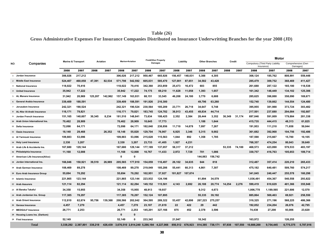# **Table (26)**

# **Gross Administrative Expenses For Insurance Companies Distributed on Insurance Underwritting Branches for the year 2008 (JD)**

|     |                                   |         | <b>Marine &amp; Transport</b> |         | Aviation |         | <b>Marine+Aviation</b> |                               | <b>Fire&amp;Other Property</b> |                 | Liability | <b>Other Branches</b> |         |        | Credit  |                                                 | Motor     |                                |           |
|-----|-----------------------------------|---------|-------------------------------|---------|----------|---------|------------------------|-------------------------------|--------------------------------|-----------------|-----------|-----------------------|---------|--------|---------|-------------------------------------------------|-----------|--------------------------------|-----------|
| NO. | Companies                         |         |                               |         |          |         |                        |                               | <b>Damages</b>                 |                 |           |                       |         |        |         | Compulsory (Third Party Liability<br>Insurance) |           | Comprehensive (Own<br>Damages) |           |
|     |                                   | 2008    | 2007                          | 2008    | 2007     | 2008    | 2007                   | 2008                          | 2007                           | 2008            | 2007      | 2008                  | 2007    | 2008   | 2007    | 2008                                            | 2007      | 2008                           | 2007      |
|     | Jordan Insurance                  | 306,026 | 217,212                       |         |          | 306.026 | 217,212                | 950,467                       | 665,926                        | 156.457         | 148,031   | 5,388                 | 4,305   |        |         | 308,124                                         | 185,762   | 808,991                        | 559,448   |
|     | 2 Middle East Insurance           | 524,407 | 460,058                       | 47.391  | 82.534   | 571.798 | 542,592                | 605,031                       | 585,470                        | 127.001         | 87,651    | 34.582                | 43,428  |        |         | 285,479                                         | 309,752   | 368,469                        | 411,427   |
|     | 3 National Insurance              | 118,022 | 70,416                        |         |          | 118,022 | 70,416                 | 342,360                       | 253,859                        | 25,473          | 16,472    | 603                   | 855     |        |         | 261,688                                         | 287,122   | 165,180                        | 118,538   |
|     | <b>United Insurance</b>           | 35,942  | 17,222                        |         |          | 35,942  | 17,222                 | 74,175                        | 69,210                         | 11,628          | 11,058    | 1,393                 | 1,657   |        |         | 161,342                                         | 148,449   | 134,102                        | 125,306   |
|     | 5 AL Manara Insurance             | 31,942  | 20,969                        | 125,207 | 142,962  | 157,149 | 163,931                | 68,151                        | 33,545                         | 46.208          | 24,180    | 3,770                 | 6,688   |        |         | 285,625                                         | 398,888   | 358,090                        | 169,671   |
|     | 6 General Arabia Insurance        | 339,409 | 188.591                       |         |          | 339.409 | 188.591                | 191.926                       | 216,300                        |                 |           | 49.796                | 63,260  |        |         | 152,740                                         | 139,662   | 144.554                        | 124,480   |
|     | 7 Jerusalem Insurance             | 242.321 | 190.524                       |         |          | 242.321 | 190.524                | 230.564                       | 185.209                        | 23.771          | 26.718    | 34.647                | 5,748   |        |         | 395,955                                         | 381,988   | 373,724                        | 303,482   |
|     | 8 AL-Nisr Al-Arabi Insurance      | 116,171 | 79,821                        |         |          | 116,171 | 79.821                 | 183,745                       | 124,782                        | 36,913          | 43,455    | 49,834                | 44,714  |        |         | 217,501                                         | 237,680   | 204,084                        | 192,687   |
|     | Jordan French Insurance           | 151,165 | 140,607                       | 30,345  | 8,234    | 181,510 | 148,841                | 73,634                        | 108,425                        | 2,352           | 2,384     | 28,444                | 3,352   | 30,349 | 31,174  | 697,046                                         | 591,009   | 179,884                        | 281,338   |
|     | 10 Arab Union International Ins.  | 70,462  | 28,909                        |         |          | 70,462  | 28,909                 | 10,645                        | 17,773                         |                 |           | 1,188                 | 1,644   |        |         | 415,735                                         | 444,415   | 48,313                         | 61,825    |
|     | 11 Delta Insurance                | 72,098  | 64,171                        |         |          | 72,098  | 64,171                 | 182,040                       | 238,856                        | 11,710          | 14,678    | 7,097                 | 7,267   |        |         | 191,953                                         | 111,210   | 71,658                         | 50,044    |
|     | 12 Oasis Insurance                | 18,148  | 29,468                        |         | 26,352   | 18,148  | 55,820                 | 129,704                       | 76,907                         | 6,925           | 3,346     | 5,315                 | 9,002   |        |         | 361,682                                         | 392,968   | 104,756                        | 192,486   |
|     | 13 Al Yarmouk Insurance           | 109,883 | 53,096                        |         |          | 109.883 | 53.096                 | 215,628                       | 115,563                        | 1.044           | 892       | 1.358                 | 1,785   |        |         | 187,590                                         | 215,667   | 15,780                         | 10,105    |
|     | 14 Holy Land Insurance            | 2.330   | 3,207                         |         |          | 2,330   | 3,207                  | 23,733                        | 41.405                         | 1.927           | 4,231     |                       |         |        |         | 768,357                                         | 474,254   | 80.043                         | 39,649    |
|     | 15 Arab Life & Accidents Ins.     | 167,680 | 129,144                       |         |          | 167.680 | 129,144                | 177,189                       | 137,057                        | 58,317          | 37,212    |                       |         | 53,335 | 74,100  | 468,573                                         | 423,890   | 579,533                        | 483,197   |
|     | 16 Philadelphia Insurance         | 11,168  | 12,008                        |         |          | 11.168  | 12.008                 | 10.767                        | 11,433                         | 2.972           | 7,729     | 701                   | 1.086   |        |         | 330,757                                         | 416,763   | 105,653                        | 189,714   |
|     | 17 American Life Insurance(Alico) |         |                               |         |          | 0       | 0                      |                               |                                |                 |           | 144,063               | 156,742 |        |         |                                                 |           |                                |           |
|     | 18 Jordan International Ins.      | 166,046 | 150,921                       | 39.519  | 26.989   | 205,565 | 177,910                | 154,059                       | 116,497                        | 26,102          | 34,635    | 644                   | 818     |        |         | 312,487                                         | 357,414   | 220,210                        | 265,433   |
|     | 19 Arab German Insurance          | 108,469 | 89,278                        |         |          | 108,469 | 89,278                 | 219,049                       | 185,286                        | 55,441          | 60,313    | 4,861                 | 7,307   |        |         | 475,182                                         | 640,481   | 509,760                        | 574,217   |
|     | 20 Euro Arab Insurance Group      | 55,694  | 70,292                        |         |          | 55,694  | 70,292                 | 102,951                       | 37,927                         | 181,827         | 107,674   |                       |         |        |         | 341,045                                         | 240,447   | 255,578                        | 160,298   |
|     | 21 Islamic Insurance              | 221,865 | 123,144                       |         |          | 221,865 | 123,144                | 223,932                       | 124,196                        |                 |           | 61,894                | 34,579  |        |         | 1,036,491                                       | 454,367   | 540,558                        | 293,822   |
|     | 22 Arab Assurers                  | 121,114 | 82,294                        |         |          | 121,114 | 82.294                 | 149,152                       | 115,501                        | 4,143           | 2,692     | 26,188                | 20,774  | 14,254 | 2,276   | 599,419                                         | 610,629   | 401,366                        | 355,948   |
|     | 23 Al Baraka Takaful              | 34,358  | 15,955                        |         |          | 34,358  | 15,955                 | 48,913                        | 19,937                         |                 |           | 9,312                 | 4,673   |        |         | 1,006,778                                       | 1,189,565 | 221,606                        | 12,570    |
|     | 24 Arab Jordanian Ins. Group      | 117,385 | 78,297                        |         |          | 117,385 | 78,297                 | 152,124                       | 107,895                        |                 |           | 55,335                | 39,192  |        |         | 885,864                                         | 569,463   | 69.921                         | 258,550   |
|     | 25 Arab Orient Insurance          | 112,810 | 62,674                        | 95,756  | 139,368  | 208,566 | 202,042                | 364,595                       | 289,322                        | 53,457          | 42,698    | 267,223               | 275,257 |        |         | 310,325                                         | 271,196   | 568,225                        | 486,366   |
|     | 26 Gerasa Insurance               | 4,457   | 7,270                         |         |          | 4.457   | 7,270                  | 23,107                        | 21,619                         | 22              | 422       | 29                    | 442     |        |         | 192,052                                         | 234,204   | 26,076                         | 42,795    |
|     | 27 MEDGULF Insurance              | 26,771  | 2,253                         |         |          | 26,771  | 2,253                  | 145,201                       | 327,166                        | 875             | 452       | 2,378                 | 3.596   |        |         | 74,438                                          | 27,200    | 93.006                         | 23,620    |
|     | 28 Housing Loans Ins. (Darkom)    |         |                               |         |          | 0       | 0                      |                               |                                |                 |           |                       |         |        |         |                                                 |           |                                |           |
|     | 29 First Insurance                | 52.149  |                               |         |          | 52.149  | $\mathbf{0}$           | 233,342                       |                                | 21.947          |           | 18.342                |         |        |         | 163,972                                         |           | 126,255                        |           |
|     | <b>Total</b>                      |         | 3.338.292 2.387.801           | 338,218 | 426.439  |         |                        | 3.676.510 2.814.240 5.286.184 | 4.227.066                      | 856.512 676.923 |           | 814,385               | 738.171 | 97.938 | 107.550 | 10.888.200                                      | 9.754.445 | 6,775,375                      | 5,787,016 |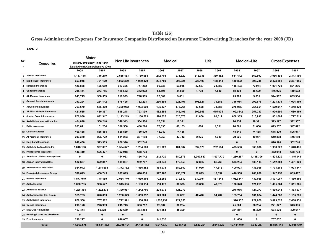# **Table (26)**

# **Gross Administrative Expenses For Insurance Companies Distributed on Insurance Underwritting Branches for the year 2008 (JD)**

#### **Cont.-2**

|     |                                   | Motor                                                                 |            |                            |            |           |                |           |           |            |              |                       |             |
|-----|-----------------------------------|-----------------------------------------------------------------------|------------|----------------------------|------------|-----------|----------------|-----------|-----------|------------|--------------|-----------------------|-------------|
| NO. | Companies                         | Motor (Compulsory (Third Party<br>Liability Ins. & Comprehensive (Own |            | <b>Non Life Insurances</b> |            |           | <b>Medical</b> | Life      |           |            | Medical+Life | <b>Gross Expenses</b> |             |
|     |                                   | 2008                                                                  | 2007       | 2008                       | 2007       | 2008      | 2007           | 2008      | 2007      | 2008       | 2007         | 2008                  | 2007        |
|     | 1 Jordan Insurance                | 1,117,115                                                             | 745,210    | 2,535,453                  | 1,780,684  | 212,704   | 231,620        | 318,738   | 330,882   | 531,442    | 562,502      | 3,066,895             | 2,343,186   |
|     | 2 Middle East Insurance           | 653,948                                                               | 721,179    | 1,992,360                  | 1,980,320  | 204,789   | 208,321        | 226,103   | 188,414   | 430,892    | 396,735      | 2,423,252             | 2,377,055   |
|     | 3 National Insurance              | 426,868                                                               | 405,660    | 913,326                    | 747,262    | 90,736    | 50,085         | 27,667    | 23,889    | 118,403    | 73,974       | 1,031,729             | 821,236     |
|     | 4 United Insurance                | 295,444                                                               | 273,755    | 418,582                    | 372,902    | 53,595    | 41,860         | 4,798     | 4,830     | 58,393     | 46,690       | 476,975               | 419,592     |
|     | 5 AL Manara Insurance             | 643,715                                                               | 568,559    | 918,993                    | 796,903    | 25,309    | 9,031          |           |           | 25,309     | 9,031        | 944,302               | 805,934     |
|     | 6 General Arabia Insurance        | 297,294                                                               | 264,142    | 878,425                    | 732,293    | 236,393   | 221,191        | 108,621   | 71,385    | 345,014    | 292,576      | 1,223,439             | 1,024,869   |
|     | 7 Jerusalem Insurance             | 769,679                                                               | 685,470    | 1,300,982                  | 1,093,669  | 195,337   | 176,265        | 83,628    | 78,386    | 278,965    | 254,651      | 1,579,947             | 1,348,320   |
|     | 8 AL-Nisr Al-Arabi Insurance      | 421,585                                                               | 430,367    | 808,248                    | 723,139    | 482,886   | 442,196        | 609,556   | 515,034   | 1,092,442  | 957,230      | 1,900,690             | 1,680,369   |
|     | 9 Jordan French Insurance         | 876,930                                                               | 872,347    | 1,193,219                  | 1,166,523  | 576,525   | 520,378        | 81,860    | 90,612    | 658,385    | 610,990      | 1,851,604             | 1,777,513   |
|     | 10 Arab Union International Ins.  | 464,048                                                               | 506,240    | 546,343                    | 554,566    | 26,854    | 18,391         |           |           | 26,854     | 18,391       | 573,197               | 572,957     |
|     | 11 Delta Insurance                | 263,611                                                               | 161,254    | 536,556                    | 486,226    | 75,035    | 60,165         | 1,666     | 1,501     | 76,701     | 61,666       | 613,257               | 547,892     |
|     | 12 Oasis Insurance                | 466,438                                                               | 585,454    | 626,530                    | 730,529    | 48,940    | 74,488         |           |           | 48,940     | 74,488       | 675,470               | 805,017     |
|     | 13 Al Yarmouk Insurance           | 203,370                                                               | 225,772    | 531,283                    | 397,108    | 77,250    | 47,742         | 2,275     | 1,339     | 79,525     | 49,081       | 610,808               | 446,189     |
|     | 14 Holy Land Insurance            | 848,400                                                               | 513,903    | 876,390                    | 562,746    |           |                |           |           | 0          | 0            | 876,390               | 562,746     |
|     | 15 Arab Life & Accidents Ins.     | 1,048,106                                                             | 907,087    | 1,504,627                  | 1,284,600  | 101,023   | 101,302        | 392,573   | 262,584   | 493,596    | 363,886      | 1,998,223             | 1,648,486   |
|     | 16 Philadelphia Insurance         | 436,410                                                               | 606,477    | 462,018                    | 638,733    |           |                |           |           | 0          | 0            | 462,018               | 638,733     |
|     | 17 American Life Insurance(Alico) | 0                                                                     | 0          | 144,063                    | 156,742    | 212,720   | 180,576        | 1,067,537 | 1,007,730 | 1,280,257  | 1,188,306    | 1,424,320             | 1,345,048   |
|     | 18 Jordan International Ins.      | 532,697                                                               | 622,847    | 919,067                    | 952,707    | 500,349   | 472,850        | 92,885    | 66,263    | 593,234    | 539,113      | 1,512,301             | 1,491,820   |
|     | 19 Arab German Insurance          | 984,942                                                               | 1,214,698  | 1,372,762                  | 1,556,882  | 358,933   | 389,650        | 41,990    | 47,315    | 400,923    | 436,965      | 1,773,685             | 1,993,847   |
|     | 20 Euro Arab Insurance Group      | 596,623                                                               | 400,745    | 937,095                    | 616,638    | 377,465   | 250,177        | 32,893    | 18,652    | 410,358    | 268,829      | 1,347,453             | 885,467     |
|     | 21 Islamic Insurance              | 1,577,049                                                             | 748,189    | 2,084,740                  | 1,030,108  | 722,256   | 272,510        | 330,091   | 157,548   | 1,052,347  | 430,058      | 3,137,087             | 1,460,166   |
|     | 22 Arab Assurers                  | 1,000,785                                                             | 966,577    | 1,315,636                  | 1,190,114  | 110,478   | 80,573         | 59,850    | 40,678    | 170,328    | 121,251      | 1,485,964             | 1,311,365   |
|     | 23 Al Baraka Takaful              | 1,228,384                                                             | 1,202,135  | 1,320,967                  | 1,242,700  | 278,976   | 121,277        |           |           | 278,976    | 121,277      | 1,599,943             | 1,363,977   |
|     | 24 Arab Jordanian Ins. Group      | 955,785                                                               | 828,013    | 1,280,629                  | 1,053,397  | 123,284   | 67,097         | 40,470    | 34,787    | 163,754    | 101,884      | 1,444,383             | 1,155,281   |
|     | 25 Arab Orient Insurance          | 878,550                                                               | 757,562    | 1,772,391                  | 1,566,881  | 1,326,937 | 922,050        |           |           | 1,326,937  | 922,050      | 3,099,328             | 2,488,931   |
|     | 26 Gerasa Insurance               | 218,128                                                               | 276,999    | 245,743                    | 306,752    | 25,584    | 36,284         |           |           | 25,584     | 36,284       | 271,327               | 343,036     |
|     | 27 MEDGULF Insurance              | 167,444                                                               | 50,821     | 342,669                    | 384,288    | 331,851   | 45,329         |           |           | 331,851    | 45,329       | 674,520               | 429,617     |
|     | 28 Housing Loans Ins. (Darkom)    | $\mathbf 0$                                                           | $\pmb{0}$  | 0                          | $\pmb{0}$  |           |                |           |           | 0          | $\mathbf 0$  | $\mathbf 0$           | $\mathbf 0$ |
|     | 29 First Insurance                | 290,227                                                               | 0          | 616,007                    | 0          | 141,630   |                |           |           | 141,630    | 0            | 757,637               | 0           |
|     | <b>Total</b>                      | 17,663,575                                                            | 15,541,462 | 28,395,104                 | 24,105,412 | 6,917,839 | 5,041,408      | 3,523,201 | 2,941,829 | 10,441,040 | 7,983,237    | 38,836,144            | 32,088,649  |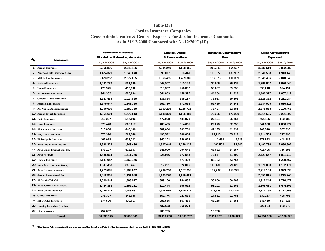## **Table (27) Gross Administrative & General Expenses For Jordan Insurance Companies Jordan Insurance Companies As in 31/12/2008 Compared with 31/12/2007 (JD)**

| $\mathcal{U}_\mathrm{o}$<br>1<br>2<br>3<br>5<br>6<br>7<br>8<br>9 |                                        | <b>Administrative Expenses</b> | <b>Allocated on Underwriting Accounts</b> |            | Salaries, Wages<br>& Remunerations | <b>Insurance Commission's</b><br>Fees |            | <b>Gross Administrative</b><br>Expenses* |            |  |
|------------------------------------------------------------------|----------------------------------------|--------------------------------|-------------------------------------------|------------|------------------------------------|---------------------------------------|------------|------------------------------------------|------------|--|
|                                                                  | Companies                              | 31/12/2008                     | 31/12/2007                                | 31/12/2008 | 31/12/2007                         | 31/12/2008                            | 31/12/2007 | 31/12/2008                               | 31/12/2007 |  |
|                                                                  | Jordan Insurance                       | 3,066,895                      | 2,343,186                                 | 2,034,240  | 1,558,065                          | 203,833                               | 164,697    | 3,833,619                                | 2,982,982  |  |
|                                                                  | <b>American Life Insurance (Alico)</b> | 1,424,320                      | 1,345,048                                 | 999,077    | 913,440                            | 130,077                               | 130,987    | 2,046,568                                | 1,913,143  |  |
|                                                                  | <b>Middle East Insurance</b>           | 2,423,252                      | 2,377,055                                 | 1,566,455  | 1,499,886                          | 117,925                               | 101,359    | 2,849,406                                | 2,840,543  |  |
|                                                                  | <b>National Insurance</b>              | 1,031,729                      | 821,236                                   | 649,902    | 515,139                            | 30,658                                | 28,439     | 1,289,662                                | 1,026,545  |  |
|                                                                  | <b>United Insurance</b>                | 476,975                        | 419,592                                   | 315,367    | 258,892                            | 53,607                                | 59,755     | 596,218                                  | 524,491    |  |
|                                                                  | <b>AL Manara Insurance</b>             | 944,302                        | 805,934                                   | 644,853    | 458,327                            | 44,254                                | 11,824     | 1,180,377                                | 1,007,417  |  |
|                                                                  | <b>General Arabia Insurance</b>        | 1,223,439                      | 1,024,869                                 | 831,854    | 635,187                            | 76,923                                | 59,206     | 1,529,352                                | 1,281,084  |  |
|                                                                  | <b>Jerusalem Insurance</b>             | 1,579,947                      | 1,348,320                                 | 962,780    | 771,956                            | 69,429                                | 94,248     | 1,784,009                                | 1,530,815  |  |
|                                                                  | <b>AL-Nisr Al-Arabi Insurance</b>      | 1,900,690                      | 1,680,369                                 | 1,360,235  | 1,158,721                          | 78,427                                | 82,581     | 2,375,863                                | 2,100,461  |  |
|                                                                  | 10 Jordan French Insurance             | 1,851,604                      | 1,777,513                                 | 1,138,320  | 1,066,383                          | 70,395                                | 172,290    | 2,314,505                                | 2,221,892  |  |
|                                                                  | 11 Delta Insurance                     | 613,257                        | 547,892                                   | 477,068    | 434,873                            | 27,464                                | 25,254     | 764,486                                  | 682,988    |  |
|                                                                  | 12 Oasis Insurance                     | 675,470                        | 805,017                                   | 405,485    | 514,665                            | 22,273                                | 62,255     | 844,338                                  | 1,006,272  |  |
|                                                                  | 13 Al Yarmouk Insurance                | 610,808                        | 446,189                                   | 389,054    | 303,761                            | 42,135                                | 42,037     | 763,510                                  | 557,736    |  |
|                                                                  | 14 Holy Land Insurance                 | 876,390                        | 562,746                                   | 495,532    | 360,054                            | 182,710                               | 55,819     | 1,114,568                                | 717,990    |  |
|                                                                  | 15 Philadelphia Insurance              | 462,018                        | 638,733                                   | 340,202    | 246,922                            | 2,453                                 | 7,739      | 577,522                                  | 448,389    |  |
|                                                                  | 16 Arab Life & Accidents Ins.          | 1,998,223                      | 1,648,486                                 | 1,607,649  | 1,320,134                          | 102,500                               | 85,742     | 2,497,780                                | 2,060,607  |  |
|                                                                  | 17 Arab Union International Ins.       | 573,197                        | 572,957                                   | 345,900    | 294,646                            | 43,632                                | 64,157     | 716,496                                  | 716,196    |  |
|                                                                  | 18 Arab Assurers                       | 1,485,964                      | 1,311,365                                 | 926,946    | 773,583                            | 72,577                                | 71,399     | 2,121,657                                | 1,801,719  |  |
|                                                                  | 19 Islamic Insurance                   | 3,137,087                      | 1,460,166                                 |            | 677,408                            | 84,742                                | 63,765     |                                          | 1,209,567  |  |
|                                                                  | 20 Euro Arab Insurance Group           | 1,347,453                      | 885,467                                   | 912,291    | 522,016                            | 105,481                               | 79,429     | 1,676,093                                | 1,102,171  |  |
|                                                                  | 21 Arab German Insurance               | 1,773,685                      | 1,993,847                                 | 1,289,706  | 1,107,255                          | 177,707                               | 158,295    | 2,217,108                                | 1,993,838  |  |
|                                                                  | 22 Jordan International Ins.           | 1,512,301                      | 1,491,820                                 | 1,160,278  | 1,076,424                          |                                       |            | 2,353,815                                | 2,245,743  |  |
|                                                                  | 23 Al Baraka Takaful                   | 1,599,944                      | 1,363,977                                 | 389,166    | 284,838                            | 38,056                                | 66,609     | 1,918,244                                | 1,710,477  |  |
|                                                                  | 24 Arab Jordanian Ins. Group           | 1,444,383                      | 1,155,281                                 | 810,444    | 606,918                            | 53,102                                | 52,366     | 1,805,481                                | 1,444,101  |  |
|                                                                  | 25 Arab Orient Insurance               | 3,099,328                      | 2,488,931                                 | 1,908,685  | 1,540,915                          | 218,698                               | 200,740    | 3,874,160                                | 3,111,163  |  |
|                                                                  | 26 Gerasa Insurance                    | 271,327                        | 343,036                                   | 167,776    | 223,566                            | 17,561                                | 21,781     | 339,157                                  | 428,796    |  |
|                                                                  | 27 MEDGULF Insurance                   | 674,520                        | 429,617                                   | 283,565    | 167,489                            | 48,158                                | 37,651     | 843,450                                  | 537,023    |  |
|                                                                  | 28 Housing Loans Ins. (Darkom)         |                                |                                           | 437,623    | 269,274                            |                                       |            | 527,064                                  | 982,676    |  |
|                                                                  | 29 First Insurance                     | 757,637                        |                                           | 260,785    |                                    | 19,798                                |            |                                          |            |  |
|                                                                  | <b>Total</b>                           | 38,836,145                     | 32,088,649                                | 23,111,238 | 19,560,737                         | 2,114,777                             | 2,000,424  | 44,754,508                               | 40,186,825 |  |

**\* The Gross Administrative Expenses include the Donations Paid by the Companies which amounted JD 191,782 in 2008**